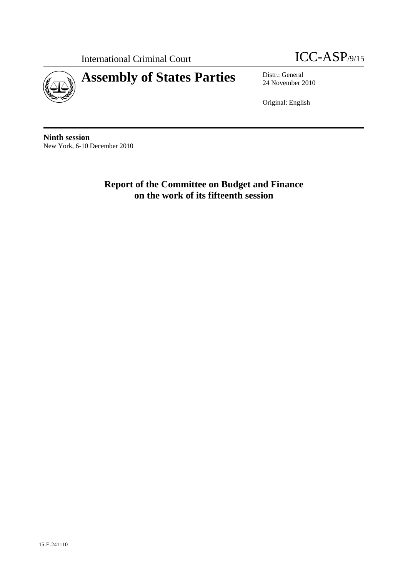International Criminal Court **ICC-ASP**/9/15



24 November 2010

Original: English

**Ninth session**  New York, 6-10 December 2010

> **Report of the Committee on Budget and Finance on the work of its fifteenth session**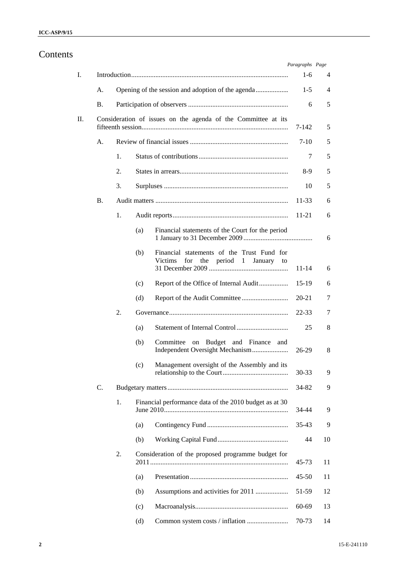# Contents

|                 |    |     |                                                                                                     | Paragraphs Page |    |
|-----------------|----|-----|-----------------------------------------------------------------------------------------------------|-----------------|----|
|                 |    |     |                                                                                                     | $1-6$           | 4  |
| A.              |    |     |                                                                                                     | $1-5$           | 4  |
| <b>B.</b>       |    |     |                                                                                                     | 6               | 5  |
|                 |    |     | Consideration of issues on the agenda of the Committee at its                                       | 7-142           | 5  |
| А.              |    |     |                                                                                                     | 7-10            | 5  |
|                 | 1. |     |                                                                                                     | 7               | 5  |
|                 | 2. |     |                                                                                                     | 8-9             | 5  |
|                 | 3. |     |                                                                                                     | 10              | 5  |
| В.              |    |     |                                                                                                     | $11 - 33$       | 6  |
|                 | 1. |     |                                                                                                     | 11-21           | 6  |
|                 |    | (a) | Financial statements of the Court for the period                                                    |                 | 6  |
|                 |    | (b) | Financial statements of the Trust Fund for<br>Victims<br>for<br>period<br>January<br>the<br>1<br>to | 11-14           | 6  |
|                 |    | (c) | Report of the Office of Internal Audit                                                              | 15-19           | 6  |
|                 |    | (d) |                                                                                                     | 20-21           | 7  |
|                 | 2. |     |                                                                                                     | 22-33           | 7  |
|                 |    | (a) |                                                                                                     | 25              | 8  |
|                 |    | (b) | Committee on Budget and Finance<br>and                                                              | 26-29           | 8  |
|                 |    | (c) | Management oversight of the Assembly and its                                                        | 30-33           | 9  |
| $\mathcal{C}$ . |    |     |                                                                                                     | 34-82           | 9  |
|                 | 1. |     | Financial performance data of the 2010 budget as at 30                                              | 34-44           | 9  |
|                 |    | (a) |                                                                                                     | $35 - 43$       | 9  |
|                 |    | (b) |                                                                                                     | 44              | 10 |
|                 | 2. |     | Consideration of the proposed programme budget for                                                  | 45-73           | 11 |
|                 |    | (a) |                                                                                                     | $45 - 50$       | 11 |
|                 |    | (b) |                                                                                                     | 51-59           | 12 |
|                 |    | (c) |                                                                                                     | 60-69           | 13 |
|                 |    | (d) |                                                                                                     | 70-73           | 14 |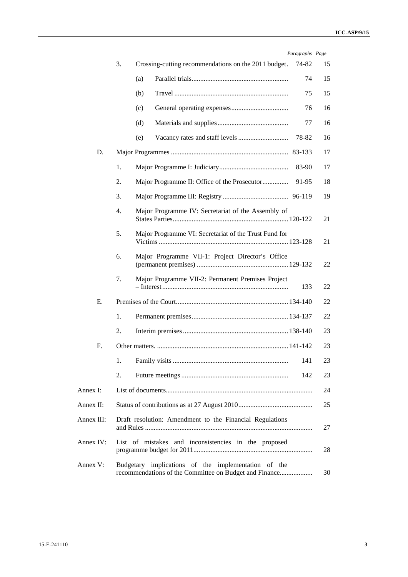| Paragraphs Page |  |
|-----------------|--|

|            |    |     |                                                                                                               | rurugrupns ruge |    |
|------------|----|-----|---------------------------------------------------------------------------------------------------------------|-----------------|----|
|            | 3. |     | Crossing-cutting recommendations on the 2011 budget.                                                          | 74-82           | 15 |
|            |    | (a) |                                                                                                               | 74              | 15 |
|            |    | (b) |                                                                                                               | 75              | 15 |
|            |    | (c) |                                                                                                               | 76              | 16 |
|            |    | (d) |                                                                                                               | 77              | 16 |
|            |    | (e) |                                                                                                               | 78-82           | 16 |
| D.         |    |     |                                                                                                               | 83-133          | 17 |
|            | 1. |     |                                                                                                               | 83-90           | 17 |
|            | 2. |     |                                                                                                               | 91-95           | 18 |
|            | 3. |     |                                                                                                               | 96-119          | 19 |
|            | 4. |     | Major Programme IV: Secretariat of the Assembly of                                                            |                 | 21 |
|            | 5. |     | Major Programme VI: Secretariat of the Trust Fund for                                                         |                 | 21 |
|            | 6. |     | Major Programme VII-1: Project Director's Office                                                              |                 | 22 |
|            | 7. |     | Major Programme VII-2: Permanent Premises Project                                                             | 133             | 22 |
| Ε.         |    |     |                                                                                                               |                 | 22 |
|            | 1. |     |                                                                                                               |                 | 22 |
|            | 2. |     |                                                                                                               |                 | 23 |
| F.         |    |     |                                                                                                               |                 | 23 |
|            |    |     |                                                                                                               | 141             | 23 |
|            | 2. |     |                                                                                                               | 142             | 23 |
| Annex I:   |    |     |                                                                                                               |                 | 24 |
| Annex II:  |    |     |                                                                                                               |                 | 25 |
| Annex III: |    |     | Draft resolution: Amendment to the Financial Regulations                                                      |                 | 27 |
| Annex IV:  |    |     | List of mistakes and inconsistencies in the proposed                                                          |                 | 28 |
| Annex V:   |    |     | Budgetary implications of the implementation of the<br>recommendations of the Committee on Budget and Finance |                 | 30 |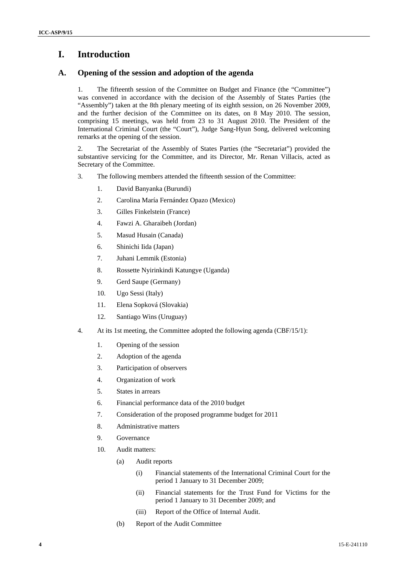# **I. Introduction**

# **A. Opening of the session and adoption of the agenda**

1. The fifteenth session of the Committee on Budget and Finance (the "Committee") was convened in accordance with the decision of the Assembly of States Parties (the "Assembly") taken at the 8th plenary meeting of its eighth session, on 26 November 2009, and the further decision of the Committee on its dates, on 8 May 2010. The session, comprising 15 meetings, was held from 23 to 31 August 2010. The President of the International Criminal Court (the "Court"), Judge Sang-Hyun Song, delivered welcoming remarks at the opening of the session.

2. The Secretariat of the Assembly of States Parties (the "Secretariat") provided the substantive servicing for the Committee, and its Director, Mr. Renan Villacis, acted as Secretary of the Committee.

- 3. The following members attended the fifteenth session of the Committee:
	- 1. David Banyanka (Burundi)
	- 2. Carolina María Fernández Opazo (Mexico)
	- 3. Gilles Finkelstein (France)
	- 4. Fawzi A. Gharaibeh (Jordan)
	- 5. Masud Husain (Canada)
	- 6. Shinichi Iida (Japan)
	- 7. Juhani Lemmik (Estonia)
	- 8. Rossette Nyirinkindi Katungye (Uganda)
	- 9. Gerd Saupe (Germany)
	- 10. Ugo Sessi (Italy)
	- 11. Elena Sopková (Slovakia)
	- 12. Santiago Wins (Uruguay)
- 4. At its 1st meeting, the Committee adopted the following agenda (CBF/15/1):
	- 1. Opening of the session
	- 2. Adoption of the agenda
	- 3. Participation of observers
	- 4. Organization of work
	- 5. States in arrears
	- 6. Financial performance data of the 2010 budget
	- 7. Consideration of the proposed programme budget for 2011
	- 8. Administrative matters
	- 9. Governance
	- 10. Audit matters:
		- (a) Audit reports
			- (i) Financial statements of the International Criminal Court for the period 1 January to 31 December 2009;
			- (ii) Financial statements for the Trust Fund for Victims for the period 1 January to 31 December 2009; and
			- (iii) Report of the Office of Internal Audit.
		- (b) Report of the Audit Committee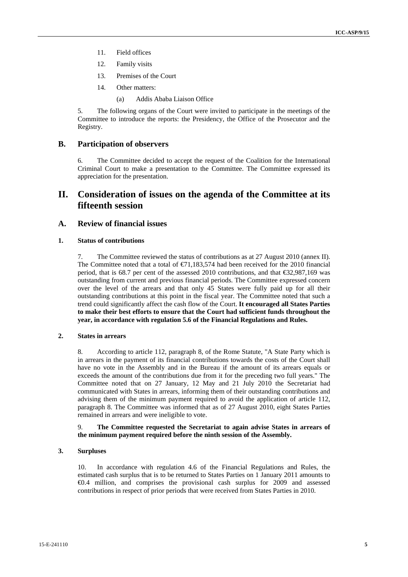- 11. Field offices
- 12. Family visits
- 13. Premises of the Court
- 14. Other matters:
	- (a) Addis Ababa Liaison Office

5. The following organs of the Court were invited to participate in the meetings of the Committee to introduce the reports: the Presidency, the Office of the Prosecutor and the Registry.

# **B. Participation of observers**

6. The Committee decided to accept the request of the Coalition for the International Criminal Court to make a presentation to the Committee. The Committee expressed its appreciation for the presentation.

# **II. Consideration of issues on the agenda of the Committee at its fifteenth session**

# **A. Review of financial issues**

# **1. Status of contributions**

7. The Committee reviewed the status of contributions as at 27 August 2010 (annex II). The Committee noted that a total of  $\epsilon$ 71,183,574 had been received for the 2010 financial period, that is 68.7 per cent of the assessed 2010 contributions, and that €32,987,169 was outstanding from current and previous financial periods. The Committee expressed concern over the level of the arrears and that only 45 States were fully paid up for all their outstanding contributions at this point in the fiscal year. The Committee noted that such a trend could significantly affect the cash flow of the Court. **It encouraged all States Parties to make their best efforts to ensure that the Court had sufficient funds throughout the year, in accordance with regulation 5.6 of the Financial Regulations and Rules.** 

# **2. States in arrears**

8. According to article 112, paragraph 8, of the Rome Statute, "A State Party which is in arrears in the payment of its financial contributions towards the costs of the Court shall have no vote in the Assembly and in the Bureau if the amount of its arrears equals or exceeds the amount of the contributions due from it for the preceding two full years." The Committee noted that on 27 January, 12 May and 21 July 2010 the Secretariat had communicated with States in arrears, informing them of their outstanding contributions and advising them of the minimum payment required to avoid the application of article 112, paragraph 8. The Committee was informed that as of 27 August 2010, eight States Parties remained in arrears and were ineligible to vote.

# 9. **The Committee requested the Secretariat to again advise States in arrears of the minimum payment required before the ninth session of the Assembly.**

# **3. Surpluses**

10. In accordance with regulation 4.6 of the Financial Regulations and Rules, the estimated cash surplus that is to be returned to States Parties on 1 January 2011 amounts to €0.4 million, and comprises the provisional cash surplus for 2009 and assessed contributions in respect of prior periods that were received from States Parties in 2010.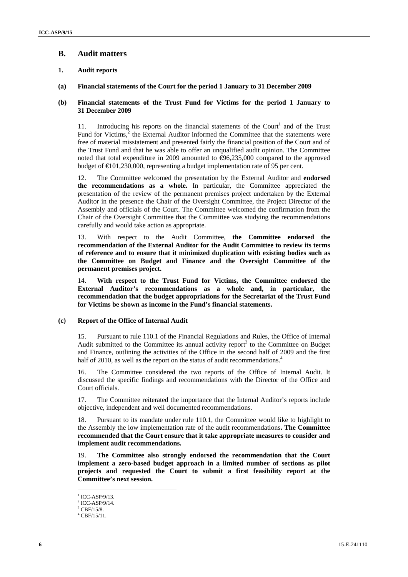# **B. Audit matters**

# **1. Audit reports**

# **(a) Financial statements of the Court for the period 1 January to 31 December 2009**

# **(b) Financial statements of the Trust Fund for Victims for the period 1 January to 31 December 2009**

11. Introducing his reports on the financial statements of the Court<sup>1</sup> and of the Trust Fund for Victims, $2$  the External Auditor informed the Committee that the statements were free of material misstatement and presented fairly the financial position of the Court and of the Trust Fund and that he was able to offer an unqualified audit opinion. The Committee noted that total expenditure in 2009 amounted to  $\Theta$ 6,235,000 compared to the approved budget of  $\text{\textsterling}01,230,000$ , representing a budget implementation rate of 95 per cent.

12. The Committee welcomed the presentation by the External Auditor and **endorsed the recommendations as a whole.** In particular, the Committee appreciated the presentation of the review of the permanent premises project undertaken by the External Auditor in the presence the Chair of the Oversight Committee, the Project Director of the Assembly and officials of the Court. The Committee welcomed the confirmation from the Chair of the Oversight Committee that the Committee was studying the recommendations carefully and would take action as appropriate.

13. With respect to the Audit Committee, **the Committee endorsed the recommendation of the External Auditor for the Audit Committee to review its terms of reference and to ensure that it minimized duplication with existing bodies such as the Committee on Budget and Finance and the Oversight Committee of the permanent premises project.** 

14. **With respect to the Trust Fund for Victims, the Committee endorsed the External Auditor's recommendations as a whole and, in particular, the recommendation that the budget appropriations for the Secretariat of the Trust Fund for Victims be shown as income in the Fund's financial statements.** 

# **(c) Report of the Office of Internal Audit**

15. Pursuant to rule 110.1 of the Financial Regulations and Rules, the Office of Internal Audit submitted to the Committee its annual activity report $3$  to the Committee on Budget and Finance, outlining the activities of the Office in the second half of 2009 and the first half of 2010, as well as the report on the status of audit recommendations.<sup>4</sup>

16. The Committee considered the two reports of the Office of Internal Audit. It discussed the specific findings and recommendations with the Director of the Office and Court officials.

17. The Committee reiterated the importance that the Internal Auditor's reports include objective, independent and well documented recommendations.

18. Pursuant to its mandate under rule 110.1, the Committee would like to highlight to the Assembly the low implementation rate of the audit recommendations**. The Committee recommended that the Court ensure that it take appropriate measures to consider and implement audit recommendations.** 

19. **The Committee also strongly endorsed the recommendation that the Court implement a zero-based budget approach in a limited number of sections as pilot projects and requested the Court to submit a first feasibility report at the Committee's next session.** 

 $1$  ICC-ASP/9/13.

 $2$  ICC-ASP/9/14.

 $3$  CBF/15/8.

<sup>4</sup> CBF/15/11.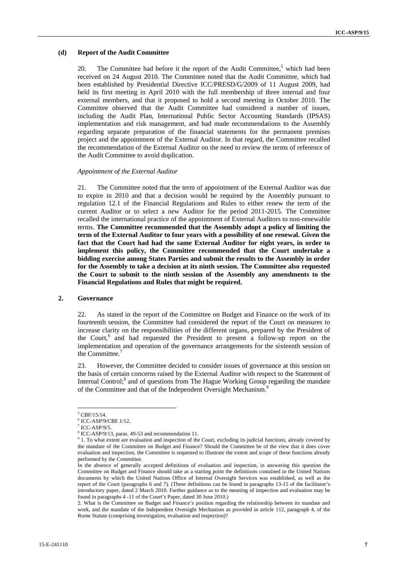# **(d) Report of the Audit Committee**

20. The Committee had before it the report of the Audit Committee,<sup>5</sup> which had been received on 24 August 2010. The Committee noted that the Audit Committee, which had been established by Presidential Directive ICC/PRESD/G/2009 of 11 August 2009, had held its first meeting in April 2010 with the full membership of three internal and four external members, and that it proposed to hold a second meeting in October 2010. The Committee observed that the Audit Committee had considered a number of issues, including the Audit Plan, International Public Sector Accounting Standards (IPSAS) implementation and risk management, and had made recommendations to the Assembly regarding separate preparation of the financial statements for the permanent premises project and the appointment of the External Auditor. In that regard, the Committee recalled the recommendation of the External Auditor on the need to review the terms of reference of the Audit Committee to avoid duplication.

#### *Appointment of the External Auditor*

21. The Committee noted that the term of appointment of the External Auditor was due to expire in 2010 and that a decision would be required by the Assembly pursuant to regulation 12.1 of the Financial Regulations and Rules to either renew the term of the current Auditor or to select a new Auditor for the period 2011-2015. The Committee recalled the international practice of the appointment of External Auditors to non-renewable terms. **The Committee recommended that the Assembly adopt a policy of limiting the term of the External Auditor to four years with a possibility of one renewal. Given the fact that the Court had had the same External Auditor for eight years, in order to implement this policy, the Committee recommended that the Court undertake a bidding exercise among States Parties and submit the results to the Assembly in order for the Assembly to take a decision at its ninth session. The Committee also requested the Court to submit to the ninth session of the Assembly any amendments to the Financial Regulations and Rules that might be required.** 

## **2. Governance**

22. As stated in the report of the Committee on Budget and Finance on the work of its fourteenth session, the Committee had considered the report of the Court on measures to increase clarity on the responsibilities of the different organs, prepared by the President of the Court,<sup>6</sup> and had requested the President to present a follow-up report on the implementation and operation of the governance arrangements for the sixteenth session of the Committee.<sup>7</sup>

23. However, the Committee decided to consider issues of governance at this session on the basis of certain concerns raised by the External Auditor with respect to the Statement of Internal Control;<sup>8</sup> and of questions from The Hague Working Group regarding the mandate of the Committee and that of the Independent Oversight Mechanism.<sup>9</sup>

 5 CBF/15/14.

<sup>6</sup> ICC-ASP/9/CBF.1/12.

 $7$  ICC-ASP/9/5.

<sup>&</sup>lt;sup>8</sup> ICC-ASP/9/13, paras. 49-53 and recommendation 11.

<sup>&</sup>lt;sup>9</sup> 1. To what extent are evaluation and inspection of the Court, excluding its judicial functions, already covered by the mandate of the Committee on Budget and Finance? Should the Committee be of the view that it does cover evaluation and inspection, the Committee is requested to illustrate the extent and scope of these functions already performed by the Committee.

In the absence of generally accepted definitions of evaluation and inspection, in answering this question the Committee on Budget and Finance should take as a starting point the definitions contained in the United Nations documents by which the United Nations Office of Internal Oversight Services was established, as well as the report of the Court (paragraphs 6 and 7). (These definitions can be found in paragraphs 13-15 of the facilitator's introductory paper, dated 2 March 2010. Further guidance as to the meaning of inspection and evaluation may be found in paragraphs 4 -11 of the Court's Paper, dated 30 June 2010.)

<sup>2.</sup> What is the Committee on Budget and Finance's position regarding the relationship between its mandate and work, and the mandate of the Independent Oversight Mechanism as provided in article 112, paragraph 4, of the Rome Statute (comprising investigation, evaluation and inspection)?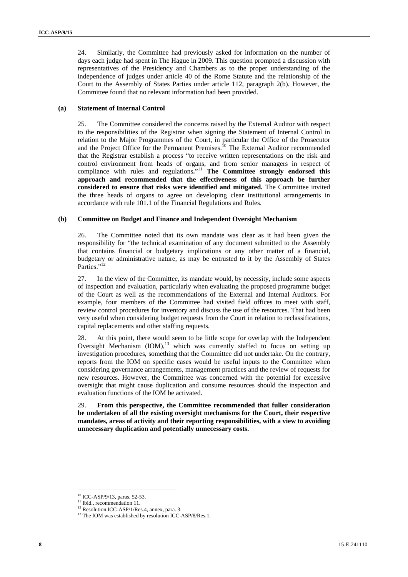24. Similarly, the Committee had previously asked for information on the number of days each judge had spent in The Hague in 2009. This question prompted a discussion with representatives of the Presidency and Chambers as to the proper understanding of the independence of judges under article 40 of the Rome Statute and the relationship of the Court to the Assembly of States Parties under article 112, paragraph 2(b). However, the Committee found that no relevant information had been provided.

# **(a) Statement of Internal Control**

25. The Committee considered the concerns raised by the External Auditor with respect to the responsibilities of the Registrar when signing the Statement of Internal Control in relation to the Major Programmes of the Court, in particular the Office of the Prosecutor and the Project Office for the Permanent Premises.<sup>10</sup> The External Auditor recommended that the Registrar establish a process "to receive written representations on the risk and control environment from heads of organs, and from senior managers in respect of compliance with rules and regulations**.**" <sup>11</sup> **The Committee strongly endorsed this approach and recommended that the effectiveness of this approach be further considered to ensure that risks were identified and mitigated.** The Committee invited the three heads of organs to agree on developing clear institutional arrangements in accordance with rule 101.1 of the Financial Regulations and Rules.

# **(b) Committee on Budget and Finance and Independent Oversight Mechanism**

26. The Committee noted that its own mandate was clear as it had been given the responsibility for "the technical examination of any document submitted to the Assembly that contains financial or budgetary implications or any other matter of a financial, budgetary or administrative nature, as may be entrusted to it by the Assembly of States Parties."<sup>12</sup>

27. In the view of the Committee, its mandate would, by necessity, include some aspects of inspection and evaluation, particularly when evaluating the proposed programme budget of the Court as well as the recommendations of the External and Internal Auditors. For example, four members of the Committee had visited field offices to meet with staff, review control procedures for inventory and discuss the use of the resources. That had been very useful when considering budget requests from the Court in relation to reclassifications, capital replacements and other staffing requests.

28. At this point, there would seem to be little scope for overlap with the Independent Oversight Mechanism (IOM),<sup>13</sup> which was currently staffed to focus on setting up investigation procedures, something that the Committee did not undertake. On the contrary, reports from the IOM on specific cases would be useful inputs to the Committee when considering governance arrangements, management practices and the review of requests for new resources. However, the Committee was concerned with the potential for excessive oversight that might cause duplication and consume resources should the inspection and evaluation functions of the IOM be activated.

29. **From this perspective, the Committee recommended that fuller consideration be undertaken of all the existing oversight mechanisms for the Court, their respective mandates, areas of activity and their reporting responsibilities, with a view to avoiding unnecessary duplication and potentially unnecessary costs.** 

<sup>10</sup> ICC-ASP/9/13, paras. 52-53.

<sup>&</sup>lt;sup>11</sup> Ibid., recommendation 11.

<sup>&</sup>lt;sup>12</sup> Resolution ICC-ASP/1/Res.4, annex, para. 3.

<sup>&</sup>lt;sup>13</sup> The IOM was established by resolution ICC-ASP/8/Res.1.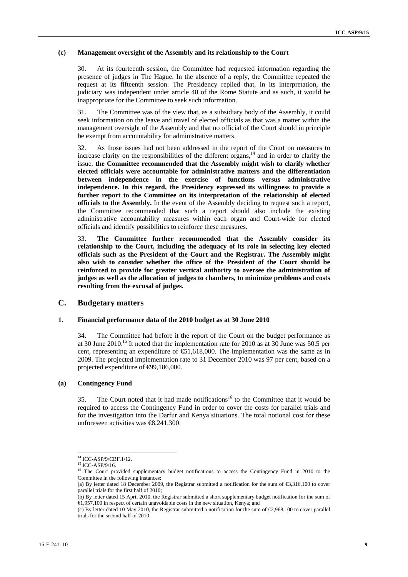## **(c) Management oversight of the Assembly and its relationship to the Court**

30. At its fourteenth session, the Committee had requested information regarding the presence of judges in The Hague. In the absence of a reply, the Committee repeated the request at its fifteenth session. The Presidency replied that, in its interpretation, the judiciary was independent under article 40 of the Rome Statute and as such, it would be inappropriate for the Committee to seek such information.

31. The Committee was of the view that, as a subsidiary body of the Assembly, it could seek information on the leave and travel of elected officials as that was a matter within the management oversight of the Assembly and that no official of the Court should in principle be exempt from accountability for administrative matters.

32. As those issues had not been addressed in the report of the Court on measures to increase clarity on the responsibilities of the different organs,  $14$  and in order to clarify the issue, **the Committee recommended that the Assembly might wish to clarify whether elected officials were accountable for administrative matters and the differentiation between independence in the exercise of functions versus administrative independence. In this regard, the Presidency expressed its willingness to provide a further report to the Committee on its interpretation of the relationship of elected officials to the Assembly.** In the event of the Assembly deciding to request such a report, the Committee recommended that such a report should also include the existing administrative accountability measures within each organ and Court-wide for elected officials and identify possibilities to reinforce these measures.

33. **The Committee further recommended that the Assembly consider its relationship to the Court, including the adequacy of its role in selecting key elected officials such as the President of the Court and the Registrar. The Assembly might also wish to consider whether the office of the President of the Court should be reinforced to provide for greater vertical authority to oversee the administration of judges as well as the allocation of judges to chambers, to minimize problems and costs resulting from the excusal of judges.** 

# **C. Budgetary matters**

# **1. Financial performance data of the 2010 budget as at 30 June 2010**

34. The Committee had before it the report of the Court on the budget performance as at 30 June 2010.15 It noted that the implementation rate for 2010 as at 30 June was 50.5 per cent, representing an expenditure of  $\epsilon$ 51,618,000. The implementation was the same as in 2009. The projected implementation rate to 31 December 2010 was 97 per cent, based on a projected expenditure of ⊕9,186,000.

# **(a) Contingency Fund**

35. The Court noted that it had made notifications<sup>16</sup> to the Committee that it would be required to access the Contingency Fund in order to cover the costs for parallel trials and for the investigation into the Darfur and Kenya situations. The total notional cost for these unforeseen activities was €8,241,300.

<sup>14</sup> ICC-ASP/9/CBF.1/12.

<sup>15</sup> ICC-ASP/9/16.

<sup>&</sup>lt;sup>16</sup> The Court provided supplementary budget notifications to access the Contingency Fund in 2010 to the Committee in the following instances:

<sup>(</sup>a) By letter dated 18 December 2009, the Registrar submitted a notification for the sum of €3,316,100 to cover parallel trials for the first half of 2010;

<sup>(</sup>b) By letter dated 15 April 2010, the Registrar submitted a short supplementary budget notification for the sum of €1,957,100 in respect of certain unavoidable costs in the new situation, Kenya; and

<sup>(</sup>c) By letter dated 10 May 2010, the Registrar submitted a notification for the sum of €2,968,100 to cover parallel trials for the second half of 2010.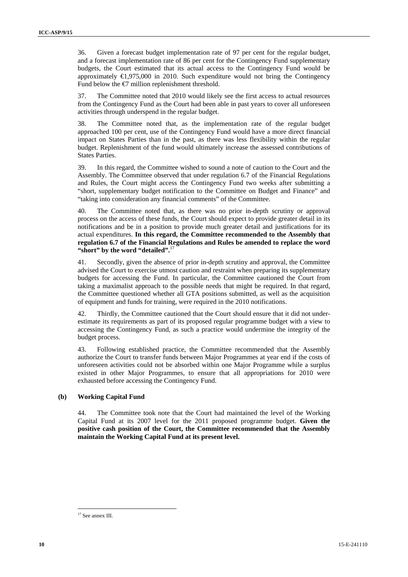36. Given a forecast budget implementation rate of 97 per cent for the regular budget, and a forecast implementation rate of 86 per cent for the Contingency Fund supplementary budgets, the Court estimated that its actual access to the Contingency Fund would be approximately €1,975,000 in 2010. Such expenditure would not bring the Contingency Fund below the  $\epsilon$  million replenishment threshold.

37. The Committee noted that 2010 would likely see the first access to actual resources from the Contingency Fund as the Court had been able in past years to cover all unforeseen activities through underspend in the regular budget.

38. The Committee noted that, as the implementation rate of the regular budget approached 100 per cent, use of the Contingency Fund would have a more direct financial impact on States Parties than in the past, as there was less flexibility within the regular budget. Replenishment of the fund would ultimately increase the assessed contributions of States Parties.

39. In this regard, the Committee wished to sound a note of caution to the Court and the Assembly. The Committee observed that under regulation 6.7 of the Financial Regulations and Rules, the Court might access the Contingency Fund two weeks after submitting a "short, supplementary budget notification to the Committee on Budget and Finance" and "taking into consideration any financial comments" of the Committee.

40. The Committee noted that, as there was no prior in-depth scrutiny or approval process on the access of these funds, the Court should expect to provide greater detail in its notifications and be in a position to provide much greater detail and justifications for its actual expenditures. **In this regard, the Committee recommended to the Assembly that regulation 6.7 of the Financial Regulations and Rules be amended to replace the word "short" by the word "detailed".**<sup>17</sup>

41. Secondly, given the absence of prior in-depth scrutiny and approval, the Committee advised the Court to exercise utmost caution and restraint when preparing its supplementary budgets for accessing the Fund. In particular, the Committee cautioned the Court from taking a maximalist approach to the possible needs that might be required. In that regard, the Committee questioned whether all GTA positions submitted, as well as the acquisition of equipment and funds for training, were required in the 2010 notifications.

42. Thirdly, the Committee cautioned that the Court should ensure that it did not underestimate its requirements as part of its proposed regular programme budget with a view to accessing the Contingency Fund, as such a practice would undermine the integrity of the budget process.

43. Following established practice, the Committee recommended that the Assembly authorize the Court to transfer funds between Major Programmes at year end if the costs of unforeseen activities could not be absorbed within one Major Programme while a surplus existed in other Major Programmes, to ensure that all appropriations for 2010 were exhausted before accessing the Contingency Fund.

# **(b) Working Capital Fund**

44. The Committee took note that the Court had maintained the level of the Working Capital Fund at its 2007 level for the 2011 proposed programme budget. **Given the positive cash position of the Court, the Committee recommended that the Assembly maintain the Working Capital Fund at its present level.** 

 $\overline{a}$ <sup>17</sup> See annex III.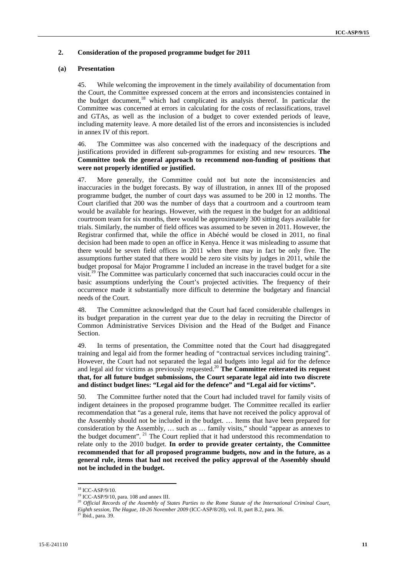# **2. Consideration of the proposed programme budget for 2011**

# **(a) Presentation**

45. While welcoming the improvement in the timely availability of documentation from the Court, the Committee expressed concern at the errors and inconsistencies contained in the budget document,<sup>18</sup> which had complicated its analysis thereof. In particular the Committee was concerned at errors in calculating for the costs of reclassifications, travel and GTAs, as well as the inclusion of a budget to cover extended periods of leave, including maternity leave. A more detailed list of the errors and inconsistencies is included in annex IV of this report.

46. The Committee was also concerned with the inadequacy of the descriptions and justifications provided in different sub-programmes for existing and new resources. **The Committee took the general approach to recommend non-funding of positions that were not properly identified or justified.** 

47. More generally, the Committee could not but note the inconsistencies and inaccuracies in the budget forecasts. By way of illustration, in annex III of the proposed programme budget, the number of court days was assumed to be 200 in 12 months. The Court clarified that 200 was the number of days that a courtroom and a courtroom team would be available for hearings. However, with the request in the budget for an additional courtroom team for six months, there would be approximately 300 sitting days available for trials. Similarly, the number of field offices was assumed to be seven in 2011. However, the Registrar confirmed that, while the office in Abéché would be closed in 2011, no final decision had been made to open an office in Kenya. Hence it was misleading to assume that there would be seven field offices in 2011 when there may in fact be only five. The assumptions further stated that there would be zero site visits by judges in 2011, while the budget proposal for Major Programme I included an increase in the travel budget for a site visit.<sup>19</sup> The Committee was particularly concerned that such inaccuracies could occur in the basic assumptions underlying the Court's projected activities. The frequency of their occurrence made it substantially more difficult to determine the budgetary and financial needs of the Court.

48. The Committee acknowledged that the Court had faced considerable challenges in its budget preparation in the current year due to the delay in recruiting the Director of Common Administrative Services Division and the Head of the Budget and Finance Section.

49. In terms of presentation, the Committee noted that the Court had disaggregated training and legal aid from the former heading of "contractual services including training". However, the Court had not separated the legal aid budgets into legal aid for the defence and legal aid for victims as previously requested.<sup>20</sup> The Committee reiterated its request **that, for all future budget submissions, the Court separate legal aid into two discrete and distinct budget lines: "Legal aid for the defence" and "Legal aid for victims".** 

50. The Committee further noted that the Court had included travel for family visits of indigent detainees in the proposed programme budget. The Committee recalled its earlier recommendation that "as a general rule, items that have not received the policy approval of the Assembly should not be included in the budget. … Items that have been prepared for consideration by the Assembly, … such as … family visits," should "appear as annexes to the budget document". 21 The Court replied that it had understood this recommendation to relate only to the 2010 budget. **In order to provide greater certainty, the Committee recommended that for all proposed programme budgets, now and in the future, as a general rule, items that had not received the policy approval of the Assembly should not be included in the budget.** 

 $\overline{a}$ 18 ICC-ASP/9/10.

<sup>19</sup> ICC-ASP/9/10, para. 108 and annex III.

<sup>20</sup> *Official Records of the Assembly of States Parties to the Rome Statute of the International Criminal Court, Eighth session, The Hague, 18-26 November 2009* (ICC-ASP/8/20), vol. II, part B.2, para. 36. 21 Ibid., para. 39.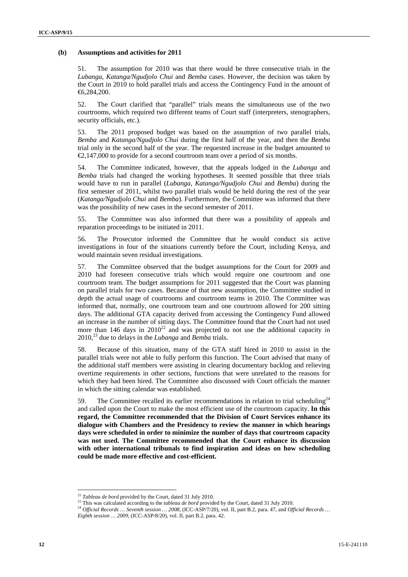## **(b) Assumptions and activities for 2011**

51. The assumption for 2010 was that there would be three consecutive trials in the *Lubanga, Katanga/Ngudjolo Chui* and *Bemba* cases. However, the decision was taken by the Court in 2010 to hold parallel trials and access the Contingency Fund in the amount of €6,284,200.

52. The Court clarified that "parallel" trials means the simultaneous use of the two courtrooms, which required two different teams of Court staff (interpreters, stenographers, security officials, etc.).

53. The 2011 proposed budget was based on the assumption of two parallel trials, *Bemba* and *Katanga/Ngudjolo Chui* during the first half of the year, and then the *Bemba* trial only in the second half of the year. The requested increase in the budget amounted to  $\epsilon$ 2.147,000 to provide for a second courtroom team over a period of six months.

54. The Committee indicated, however, that the appeals lodged in the *Lubanga* and *Bemba* trials had changed the working hypotheses. It seemed possible that three trials would have to run in parallel (*Lubanga, Katanga/Ngudjolo Chui* and *Bemba*) during the first semester of 2011, whilst two parallel trials would be held during the rest of the year (*Katanga/Ngudjolo Chui* and *Bemba*). Furthermore, the Committee was informed that there was the possibility of new cases in the second semester of 2011.

55. The Committee was also informed that there was a possibility of appeals and reparation proceedings to be initiated in 2011.

56. The Prosecutor informed the Committee that he would conduct six active investigations in four of the situations currently before the Court, including Kenya, and would maintain seven residual investigations.

57. The Committee observed that the budget assumptions for the Court for 2009 and 2010 had foreseen consecutive trials which would require one courtroom and one courtroom team. The budget assumptions for 2011 suggested that the Court was planning on parallel trials for two cases. Because of that new assumption, the Committee studied in depth the actual usage of courtrooms and courtroom teams in 2010. The Committee was informed that, normally, one courtroom team and one courtroom allowed for 200 sitting days. The additional GTA capacity derived from accessing the Contingency Fund allowed an increase in the number of sitting days. The Committee found that the Court had not used more than 146 days in  $2010^{22}$  and was projected to not use the additional capacity in 2010,23 due to delays in the *Lubanga* and *Bemba* trials.

58. Because of this situation, many of the GTA staff hired in 2010 to assist in the parallel trials were not able to fully perform this function. The Court advised that many of the additional staff members were assisting in clearing documentary backlog and relieving overtime requirements in other sections, functions that were unrelated to the reasons for which they had been hired. The Committee also discussed with Court officials the manner in which the sitting calendar was established.

59. The Committee recalled its earlier recommendations in relation to trial scheduling<sup>24</sup> and called upon the Court to make the most efficient use of the courtroom capacity. **In this regard, the Committee recommended that the Division of Court Services enhance its dialogue with Chambers and the Presidency to review the manner in which hearings days were scheduled in order to minimize the number of days that courtroom capacity was not used. The Committee recommended that the Court enhance its discussion with other international tribunals to find inspiration and ideas on how scheduling could be made more effective and cost-efficient.** 

<sup>&</sup>lt;sup>22</sup> Tableau de bord provided by the Court, dated 31 July 2010.<br><sup>23</sup> This was calculated according to the *tableau de bord* provided by the Court, dated 31 July 2010.<br><sup>24</sup> Official Records ... Seventh session ... 2008, (I

*Eighth session … 2009,* (ICC-ASP/8/20), vol. II, part B.2, para. 42.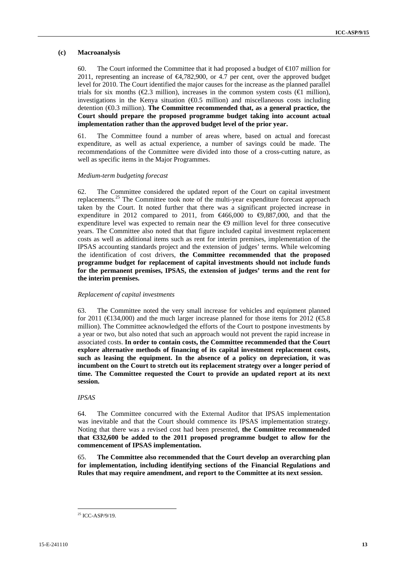# **(c) Macroanalysis**

60. The Court informed the Committee that it had proposed a budget of  $\epsilon$  107 million for 2011, representing an increase of €4,782,900, or 4.7 per cent, over the approved budget level for 2010. The Court identified the major causes for the increase as the planned parallel trials for six months ( $\epsilon$ 2.3 million), increases in the common system costs ( $\epsilon$ I million), investigations in the Kenya situation  $(\text{\ensuremath{\mathfrak{Q}}}.5 \text{ million})$  and miscellaneous costs including detention (€0.3 million). **The Committee recommended that, as a general practice, the Court should prepare the proposed programme budget taking into account actual implementation rather than the approved budget level of the prior year.** 

61. The Committee found a number of areas where, based on actual and forecast expenditure, as well as actual experience, a number of savings could be made. The recommendations of the Committee were divided into those of a cross-cutting nature, as well as specific items in the Major Programmes.

# *Medium-term budgeting forecast*

62. The Committee considered the updated report of the Court on capital investment replacements.25 The Committee took note of the multi-year expenditure forecast approach taken by the Court. It noted further that there was a significant projected increase in expenditure in 2012 compared to 2011, from  $\bigoplus 66,000$  to  $\bigoplus 887,000$ , and that the expenditure level was expected to remain near the  $\Theta$  million level for three consecutive years. The Committee also noted that that figure included capital investment replacement costs as well as additional items such as rent for interim premises, implementation of the IPSAS accounting standards project and the extension of judges' terms. While welcoming the identification of cost drivers, **the Committee recommended that the proposed programme budget for replacement of capital investments should not include funds for the permanent premises, IPSAS, the extension of judges' terms and the rent for the interim premises.** 

# *Replacement of capital investments*

63. The Committee noted the very small increase for vehicles and equipment planned for 2011 ( $\in$ 134,000) and the much larger increase planned for those items for 2012 ( $\in$ 5.8) million). The Committee acknowledged the efforts of the Court to postpone investments by a year or two, but also noted that such an approach would not prevent the rapid increase in associated costs. **In order to contain costs, the Committee recommended that the Court explore alternative methods of financing of its capital investment replacement costs, such as leasing the equipment. In the absence of a policy on depreciation, it was incumbent on the Court to stretch out its replacement strategy over a longer period of time. The Committee requested the Court to provide an updated report at its next session.** 

*IPSAS* 

64. The Committee concurred with the External Auditor that IPSAS implementation was inevitable and that the Court should commence its IPSAS implementation strategy. Noting that there was a revised cost had been presented, **the Committee recommended that €332,600 be added to the 2011 proposed programme budget to allow for the commencement of IPSAS implementation.** 

65. **The Committee also recommended that the Court develop an overarching plan for implementation, including identifying sections of the Financial Regulations and Rules that may require amendment, and report to the Committee at its next session.** 

 $\overline{a}$  $25$  ICC-ASP/9/19.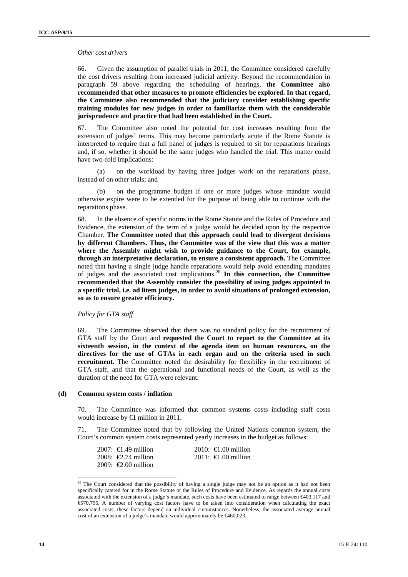#### *Other cost drivers*

66. Given the assumption of parallel trials in 2011, the Committee considered carefully the cost drivers resulting from increased judicial activity. Beyond the recommendation in paragraph 59 above regarding the scheduling of hearings, **the Committee also recommended that other measures to promote efficiencies be explored. In that regard, the Committee also recommended that the judiciary consider establishing specific training modules for new judges in order to familiarize them with the considerable jurisprudence and practice that had been established in the Court.**

67. The Committee also noted the potential for cost increases resulting from the extension of judges' terms. This may become particularly acute if the Rome Statute is interpreted to require that a full panel of judges is required to sit for reparations hearings and, if so, whether it should be the same judges who handled the trial. This matter could have two-fold implications:

(a) on the workload by having three judges work on the reparations phase, instead of on other trials; and

(b) on the programme budget if one or more judges whose mandate would otherwise expire were to be extended for the purpose of being able to continue with the reparations phase.

68. In the absence of specific norms in the Rome Statute and the Rules of Procedure and Evidence, the extension of the term of a judge would be decided upon by the respective Chamber. **The Committee noted that this approach could lead to divergent decisions by different Chambers. Thus, the Committee was of the view that this was a matter where the Assembly might wish to provide guidance to the Court, for example, through an interpretative declaration, to ensure a consistent approach.** The Committee noted that having a single judge handle reparations would help avoid extending mandates of judges and the associated cost implications.26 **In this connection, the Committee recommended that the Assembly consider the possibility of using judges appointed to a specific trial, i.e. ad litem judges, in order to avoid situations of prolonged extension, so as to ensure greater efficiency.**

# *Policy for GTA staff*

69. The Committee observed that there was no standard policy for the recruitment of GTA staff by the Court and **requested the Court to report to the Committee at its sixteenth session, in the context of the agenda item on human resources, on the directives for the use of GTAs in each organ and on the criteria used in such recruitment.** The Committee noted the desirability for flexibility in the recruitment of GTA staff, and that the operational and functional needs of the Court, as well as the duration of the need for GTA were relevant.

#### **(d) Common system costs / inflation**

70. The Committee was informed that common systems costs including staff costs would increase by €1 million in 2011.

71. The Committee noted that by following the United Nations common system, the Court's common system costs represented yearly increases in the budget as follows:

| $2007$ : €1.49 million        | 2010: $\bigoplus$ 00 million |
|-------------------------------|------------------------------|
| 2008: $\epsilon$ 2.74 million | 2011: $\bigoplus$ 00 million |
| 2009: $\epsilon$ 2.00 million |                              |

<sup>&</sup>lt;sup>26</sup> The Court considered that the possibility of having a single judge may not be an option as it had not been specifically catered for in the Rome Statute or the Rules of Procedure and Evidence. As regards the annual costs associated with the extension of a judge's mandate, such costs have been estimated to range between €403,117 and €570,795. A number of varying cost factors have to be taken into consideration when calculating the exact associated costs; these factors depend on individual circumstances. Nonetheless, the associated average annual cost of an extension of a judge's mandate would approximately be  $\epsilon$ 460,023.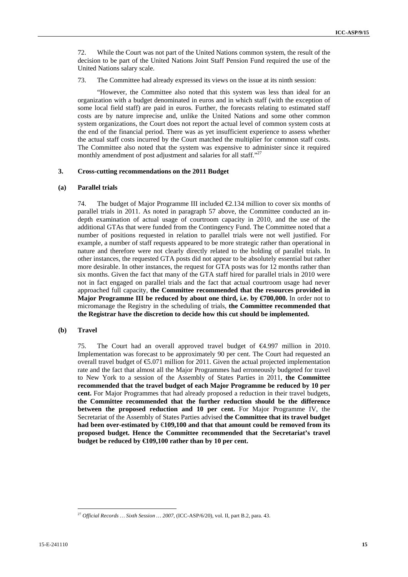72. While the Court was not part of the United Nations common system, the result of the decision to be part of the United Nations Joint Staff Pension Fund required the use of the United Nations salary scale.

73. The Committee had already expressed its views on the issue at its ninth session:

"However, the Committee also noted that this system was less than ideal for an organization with a budget denominated in euros and in which staff (with the exception of some local field staff) are paid in euros. Further, the forecasts relating to estimated staff costs are by nature imprecise and, unlike the United Nations and some other common system organizations, the Court does not report the actual level of common system costs at the end of the financial period. There was as yet insufficient experience to assess whether the actual staff costs incurred by the Court matched the multiplier for common staff costs. The Committee also noted that the system was expensive to administer since it required monthly amendment of post adjustment and salaries for all staff."<sup>27</sup>

# **3. Cross-cutting recommendations on the 2011 Budget**

## **(a) Parallel trials**

74. The budget of Major Programme III included  $\epsilon$  134 million to cover six months of parallel trials in 2011. As noted in paragraph 57 above, the Committee conducted an indepth examination of actual usage of courtroom capacity in 2010, and the use of the additional GTAs that were funded from the Contingency Fund. The Committee noted that a number of positions requested in relation to parallel trials were not well justified. For example, a number of staff requests appeared to be more strategic rather than operational in nature and therefore were not clearly directly related to the holding of parallel trials. In other instances, the requested GTA posts did not appear to be absolutely essential but rather more desirable. In other instances, the request for GTA posts was for 12 months rather than six months. Given the fact that many of the GTA staff hired for parallel trials in 2010 were not in fact engaged on parallel trials and the fact that actual courtroom usage had never approached full capacity, **the Committee recommended that the resources provided in Major Programme III be reduced by about one third, i.e. by €700,000.** In order not to micromanage the Registry in the scheduling of trials, **the Committee recommended that the Registrar have the discretion to decide how this cut should be implemented.** 

# **(b) Travel**

75. The Court had an overall approved travel budget of €4.997 million in 2010. Implementation was forecast to be approximately 90 per cent. The Court had requested an overall travel budget of €5.071 million for 2011. Given the actual projected implementation rate and the fact that almost all the Major Programmes had erroneously budgeted for travel to New York to a session of the Assembly of States Parties in 2011, **the Committee recommended that the travel budget of each Major Programme be reduced by 10 per cent.** For Major Programmes that had already proposed a reduction in their travel budgets, **the Committee recommended that the further reduction should be the difference between the proposed reduction and 10 per cent.** For Major Programme IV, the Secretariat of the Assembly of States Parties advised **the Committee that its travel budget had been over-estimated by** €**109,100 and that that amount could be removed from its proposed budget. Hence the Committee recommended that the Secretariat's travel budget be reduced by €109,100 rather than by 10 per cent.** 

 $\overline{a}$ <sup>27</sup> *Official Records … Sixth Session … 2007*, (ICC-ASP/6/20), vol. II, part B.2, para. 43.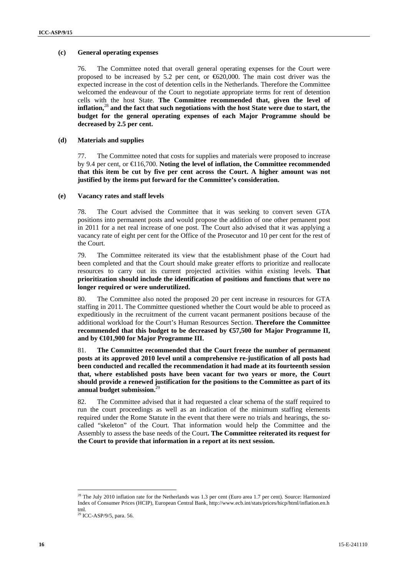# **(c) General operating expenses**

76. The Committee noted that overall general operating expenses for the Court were proposed to be increased by 5.2 per cent, or  $620,000$ . The main cost driver was the expected increase in the cost of detention cells in the Netherlands. Therefore the Committee welcomed the endeavour of the Court to negotiate appropriate terms for rent of detention cells with the host State. **The Committee recommended that, given the level of inflation,**<sup>28</sup> **and the fact that such negotiations with the host State were due to start, the budget for the general operating expenses of each Major Programme should be decreased by 2.5 per cent.** 

## **(d) Materials and supplies**

77. The Committee noted that costs for supplies and materials were proposed to increase by 9.4 per cent, or €116,700. **Noting the level of inflation, the Committee recommended that this item be cut by five per cent across the Court. A higher amount was not justified by the items put forward for the Committee's consideration.**

## **(e) Vacancy rates and staff levels**

78. The Court advised the Committee that it was seeking to convert seven GTA positions into permanent posts and would propose the addition of one other pemanent post in 2011 for a net real increase of one post. The Court also advised that it was applying a vacancy rate of eight per cent for the Office of the Prosecutor and 10 per cent for the rest of the Court.

79. The Committee reiterated its view that the establishment phase of the Court had been completed and that the Court should make greater efforts to prioritize and reallocate resources to carry out its current projected activities within existing levels. **That prioritization should include the identification of positions and functions that were no longer required or were underutilized.** 

80. The Committee also noted the proposed 20 per cent increase in resources for GTA staffing in 2011. The Committee questioned whether the Court would be able to proceed as expeditiously in the recruitment of the current vacant permanent positions because of the additional workload for the Court's Human Resources Section. **Therefore the Committee recommended that this budget to be decreased by €57,500 for Major Programme II, and by €101,900 for Major Programme III.** 

81. **The Committee recommended that the Court freeze the number of permanent posts at its approved 2010 level until a comprehensive re-justification of all posts had been conducted and recalled the recommendation it had made at its fourteenth session that, where established posts have been vacant for two years or more, the Court should provide a renewed justification for the positions to the Committee as part of its**  annual budget submission.<sup>2</sup>

82. The Committee advised that it had requested a clear schema of the staff required to run the court proceedings as well as an indication of the minimum staffing elements required under the Rome Statute in the event that there were no trials and hearings, the socalled "skeleton" of the Court. That information would help the Committee and the Assembly to assess the base needs of the Court**. The Committee reiterated its request for the Court to provide that information in a report at its next session.**

<sup>&</sup>lt;sup>28</sup> The July 2010 inflation rate for the Netherlands was 1.3 per cent (Euro area 1.7 per cent). Source: Harmonized Index of Consumer Prices (HCIP), European Central Bank, http://www.ecb.int/stats/prices/hicp/html/inflation.en.h tml.

 $29$  ICC-ASP/9/5, para. 56.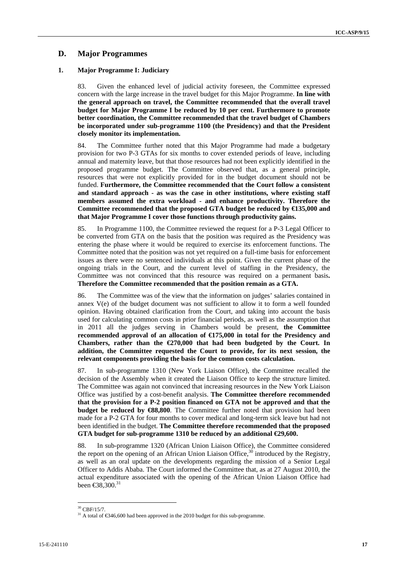# **D. Major Programmes**

# **1. Major Programme I: Judiciary**

83. Given the enhanced level of judicial activity foreseen, the Committee expressed concern with the large increase in the travel budget for this Major Programme. **In line with the general approach on travel, the Committee recommended that the overall travel budget for Major Programme I be reduced by 10 per cent. Furthermore to promote better coordination, the Committee recommended that the travel budget of Chambers be incorporated under sub-programme 1100 (the Presidency) and that the President closely monitor its implementation.** 

84. The Committee further noted that this Major Programme had made a budgetary provision for two P-3 GTAs for six months to cover extended periods of leave, including annual and maternity leave, but that those resources had not been explicitly identified in the proposed programme budget. The Committee observed that, as a general principle, resources that were not explicitly provided for in the budget document should not be funded. **Furthermore, the Committee recommended that the Court follow a consistent and standard approach - as was the case in other institutions, where existing staff members assumed the extra workload - and enhance productivity. Therefore the Committee recommended that the proposed GTA budget be reduced by €135,000 and that Major Programme I cover those functions through productivity gains.** 

85. In Programme 1100, the Committee reviewed the request for a P-3 Legal Officer to be converted from GTA on the basis that the position was required as the Presidency was entering the phase where it would be required to exercise its enforcement functions. The Committee noted that the position was not yet required on a full-time basis for enforcement issues as there were no sentenced individuals at this point. Given the current phase of the ongoing trials in the Court, and the current level of staffing in the Presidency, the Committee was not convinced that this resource was required on a permanent basis**. Therefore the Committee recommended that the position remain as a GTA.** 

86. The Committee was of the view that the information on judges' salaries contained in annex V(e) of the budget document was not sufficient to allow it to form a well founded opinion. Having obtained clarification from the Court, and taking into account the basis used for calculating common costs in prior financial periods, as well as the assumption that in 2011 all the judges serving in Chambers would be present, **the Committee recommended approval of an allocation of €175,000 in total for the Presidency and Chambers, rather than the €270,000 that had been budgeted by the Court. In addition, the Committee requested the Court to provide, for its next session, the relevant components providing the basis for the common costs calculation.** 

87. In sub-programme 1310 (New York Liaison Office), the Committee recalled the decision of the Assembly when it created the Liaison Office to keep the structure limited. The Committee was again not convinced that increasing resources in the New York Liaison Office was justified by a cost-benefit analysis. **The Committee therefore recommended that the provision for a P-2 position financed on GTA not be approved and that the budget be reduced by**  $\mathcal{L}88,800$ . The Committee further noted that provision had been made for a P-2 GTA for four months to cover medical and long-term sick leave but had not been identified in the budget. **The Committee therefore recommended that the proposed GTA budget for sub-programme 1310 be reduced by an additional €29,600.**

88. In sub-programme 1320 (African Union Liaison Office), the Committee considered the report on the opening of an African Union Liaison Office,  $30$  introduced by the Registry, as well as an oral update on the developments regarding the mission of a Senior Legal Officer to Addis Ababa. The Court informed the Committee that, as at 27 August 2010, the actual expenditure associated with the opening of the African Union Liaison Office had been  $\epsilon$ 38.300.<sup>31</sup>

 $30$  CBF/15/7.

<sup>&</sup>lt;sup>31</sup> A total of  $\epsilon$ 346,600 had been approved in the 2010 budget for this sub-programme.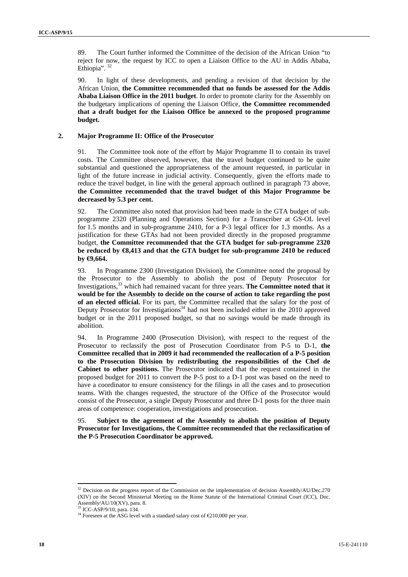89. The Court further informed the Committee of the decision of the African Union "to reject for now, the request by ICC to open a Liaison Office to the AU in Addis Ababa, Ethiopia".<sup>32</sup>

90. In light of these developments, and pending a revision of that decision by the African Union, **the Committee recommended that no funds be assessed for the Addis Ababa Liaison Office in the 2011 budget**. In order to promote clarity for the Assembly on the budgetary implications of opening the Liaison Office, **the Committee recommended that a draft budget for the Liaison Office be annexed to the proposed programme budget.** 

## **2. Major Programme II: Office of the Prosecutor**

91. The Committee took note of the effort by Major Programme II to contain its travel costs. The Committee observed, however, that the travel budget continued to be quite substantial and questioned the appropriateness of the amount requested, in particular in light of the future increase in judicial activity. Consequently, given the efforts made to reduce the travel budget, in line with the general approach outlined in paragraph 73 above, **the Committee recommended that the travel budget of this Major Programme be decreased by 5.3 per cent.** 

92. The Committee also noted that provision had been made in the GTA budget of subprogramme 2320 (Planning and Operations Section) for a Transcriber at GS-OL level for 1.5 months and in sub-programme 2410, for a P-3 legal officer for 1.3 months. As a justification for these GTAs had not been provided directly in the proposed programme budget, **the Committee recommended that the GTA budget for sub-programme 2320 be reduced by €8,413 and that the GTA budget for sub-programme 2410 be reduced by €9,664.** 

93. In Programme 2300 (Investigation Division), the Committee noted the proposal by the Prosecutor to the Assembly to abolish the post of Deputy Prosecutor for Investigations,33 which had remained vacant for three years. **The Committee noted that it would be for the Assembly to decide on the course of action to take regarding the post of an elected official.** For its part, the Committee recalled that the salary for the post of Deputy Prosecutor for Investigations<sup>34</sup> had not been included either in the  $2010$  approved budget or in the 2011 proposed budget, so that no savings would be made through its abolition.

94. In Programme 2400 (Prosecution Division), with respect to the request of the Prosecutor to reclassify the post of Prosecution Coordinator from P-5 to D-1, **the Committee recalled that in 2009 it had recommended the reallocation of a P-5 position to the Prosecution Division by redistributing the responsibilities of the Chef de Cabinet to other positions.** The Prosecutor indicated that the request contained in the proposed budget for 2011 to convert the P-5 post to a D-1 post was based on the need to have a coordinator to ensure consistency for the filings in all the cases and to prosecution teams. With the changes requested, the structure of the Office of the Prosecutor would consist of the Prosecutor, a single Deputy Prosecutor and three D-1 posts for the three main areas of competence: cooperation, investigations and prosecution.

95. **Subject to the agreement of the Assembly to abolish the position of Deputy Prosecutor for Investigations, the Committee recommended that the reclassification of the P-5 Prosecution Coordinator be approved.** 

 $32$  Decision on the progress report of the Commission on the implementation of decision Assembly/AU/Dec.270 (XIV) on the Second Ministerial Meeting on the Rome Statute of the International Criminal Court (ICC), Doc. Assembly/AU/10(XV), para. 8.

<sup>33</sup> ICC-ASP/9/10, para. 134.

<sup>&</sup>lt;sup>34</sup> Foreseen at the ASG level with a standard salary cost of  $\epsilon$ 210,000 per year.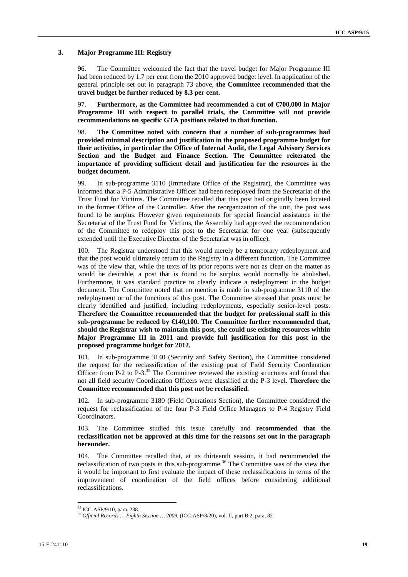# **3. Major Programme III: Registry**

96. The Committee welcomed the fact that the travel budget for Major Programme III had been reduced by 1.7 per cent from the 2010 approved budget level. In application of the general principle set out in paragraph 73 above, **the Committee recommended that the travel budget be further reduced by 8.3 per cent.** 

97. **Furthermore, as the Committee had recommended a cut of €700,000 in Major Programme III with respect to parallel trials, the Committee will not provide recommendations on specific GTA positions related to that function.** 

98. **The Committee noted with concern that a number of sub-programmes had provided minimal description and justification in the proposed programme budget for their activities, in particular the Office of Internal Audit, the Legal Advisory Services Section and the Budget and Finance Section. The Committee reiterated the importance of providing sufficient detail and justification for the resources in the budget document.** 

99. In sub-programme 3110 (Immediate Office of the Registrar), the Committee was informed that a P-5 Administrative Officer had been redeployed from the Secretariat of the Trust Fund for Victims. The Committee recalled that this post had originally been located in the former Office of the Controller. After the reorganization of the unit, the post was found to be surplus. However given requirements for special financial assistance in the Secretariat of the Trust Fund for Victims, the Assembly had approved the recommendation of the Committee to redeploy this post to the Secretariat for one year (subsequently extended until the Executive Director of the Secretariat was in office).

100. The Registrar understood that this would merely be a temporary redeployment and that the post would ultimately return to the Registry in a different function. The Committee was of the view that, while the texts of its prior reports were not as clear on the matter as would be desirable, a post that is found to be surplus would normally be abolished. Furthermore, it was standard practice to clearly indicate a redeployment in the budget document. The Committee noted that no mention is made in sub-programme 3110 of the redeployment or of the functions of this post. The Committee stressed that posts must be clearly identified and justified, including redeployments, especially senior-level posts. **Therefore the Committee recommended that the budget for professional staff in this sub-programme be reduced by €140,100. The Committee further recommended that, should the Registrar wish to maintain this post, she could use existing resources within Major Programme III in 2011 and provide full justification for this post in the proposed programme budget for 2012.**

101. In sub-programme 3140 (Security and Safety Section), the Committee considered the request for the reclassification of the existing post of Field Security Coordination Officer from P-2 to P-3.<sup>35</sup> The Committee reviewed the existing structures and found that not all field security Coordination Officers were classified at the P-3 level. **Therefore the Committee recommended that this post not be reclassified.** 

102. In sub-programme 3180 (Field Operations Section), the Committee considered the request for reclassification of the four P-3 Field Office Managers to P-4 Registry Field Coordinators.

103. The Committee studied this issue carefully and **recommended that the reclassification not be approved at this time for the reasons set out in the paragraph hereunder.**

104. The Committee recalled that, at its thirteenth session, it had recommended the reclassification of two posts in this sub-programme.<sup>36</sup> The Committee was of the view that it would be important to first evaluate the impact of these reclassifications in terms of the improvement of coordination of the field offices before considering additional reclassifications.

<sup>35</sup> ICC-ASP/9/10, para. 238.

<sup>36</sup> *Official Records … Eighth Session … 2009*, (ICC-ASP/8/20), vol. II, part B.2, para. 82.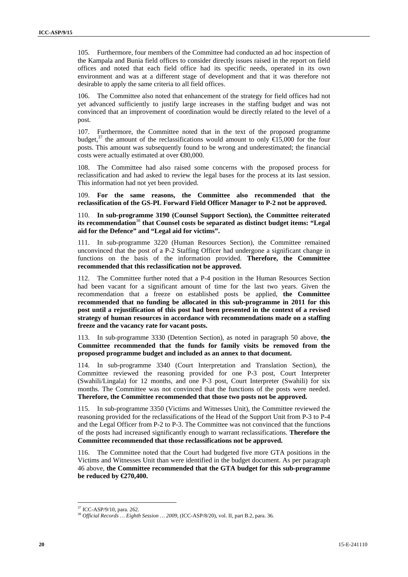105. Furthermore, four members of the Committee had conducted an ad hoc inspection of the Kampala and Bunia field offices to consider directly issues raised in the report on field offices and noted that each field office had its specific needs, operated in its own environment and was at a different stage of development and that it was therefore not desirable to apply the same criteria to all field offices.

106. The Committee also noted that enhancement of the strategy for field offices had not yet advanced sufficiently to justify large increases in the staffing budget and was not convinced that an improvement of coordination would be directly related to the level of a post.

107. Furthermore, the Committee noted that in the text of the proposed programme budget,<sup>37</sup> the amount of the reclassifications would amount to only  $\widehat{\mathfrak{sl}}5,000$  for the four posts. This amount was subsequently found to be wrong and underestimated; the financial costs were actually estimated at over €80,000.

The Committee had also raised some concerns with the proposed process for reclassification and had asked to review the legal bases for the process at its last session. This information had not yet been provided.

109. **For the same reasons, the Committee also recommended that the reclassification of the GS-PL Forward Field Officer Manager to P-2 not be approved.** 

110. **In sub-programme 3190 (Counsel Support Section), the Committee reiterated its recommendation**<sup>38</sup> **that Counsel costs be separated as distinct budget items: "Legal aid for the Defence" and "Legal aid for victims".** 

111. In sub-programme 3220 (Human Resources Section), the Committee remained unconvinced that the post of a P-2 Staffing Officer had undergone a significant change in functions on the basis of the information provided. **Therefore, the Committee recommended that this reclassification not be approved.** 

112. The Committee further noted that a P-4 position in the Human Resources Section had been vacant for a significant amount of time for the last two years. Given the recommendation that a freeze on established posts be applied, **the Committee recommended that no funding be allocated in this sub-programme in 2011 for this post until a rejustification of this post had been presented in the context of a revised strategy of human resources in accordance with recommendations made on a staffing freeze and the vacancy rate for vacant posts.** 

113. In sub-programme 3330 (Detention Section), as noted in paragraph 50 above, **the Committee recommended that the funds for family visits be removed from the proposed programme budget and included as an annex to that document.** 

114. In sub-programme 3340 (Court Interpretation and Translation Section), the Committee reviewed the reasoning provided for one P-3 post, Court Interpreter (Swahili/Lingala) for 12 months, and one P-3 post, Court Interpreter (Swahili) for six months. The Committee was not convinced that the functions of the posts were needed. **Therefore, the Committee recommended that those two posts not be approved.** 

115. In sub-programme 3350 (Victims and Witnesses Unit), the Committee reviewed the reasoning provided for the reclassifications of the Head of the Support Unit from P-3 to P-4 and the Legal Officer from P-2 to P-3. The Committee was not convinced that the functions of the posts had increased significantly enough to warrant reclassifications. **Therefore the Committee recommended that those reclassifications not be approved.** 

116. The Committee noted that the Court had budgeted five more GTA positions in the Victims and Witnesses Unit than were identified in the budget document. As per paragraph 46 above, **the Committee recommended that the GTA budget for this sub-programme be reduced by €270,400.** 

<sup>37</sup> ICC-ASP/9/10, para. 262.

<sup>38</sup> *Official Records … Eighth Session … 2009*, (ICC-ASP/8/20), vol. II, part B.2, para. 36.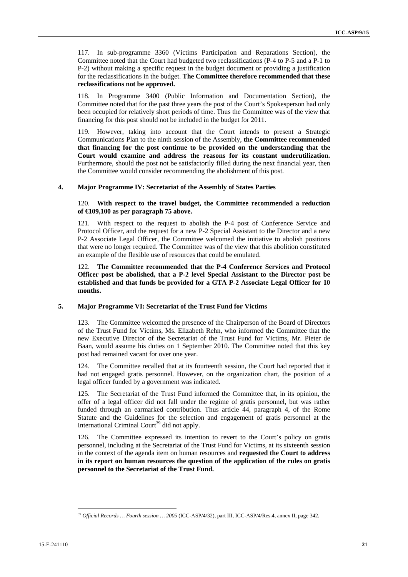117. In sub-programme 3360 (Victims Participation and Reparations Section), the Committee noted that the Court had budgeted two reclassifications (P-4 to P-5 and a P-1 to P-2) without making a specific request in the budget document or providing a justification for the reclassifications in the budget. **The Committee therefore recommended that these reclassifications not be approved.** 

118. In Programme 3400 (Public Information and Documentation Section), the Committee noted that for the past three years the post of the Court's Spokesperson had only been occupied for relatively short periods of time. Thus the Committee was of the view that financing for this post should not be included in the budget for 2011.

119. However, taking into account that the Court intends to present a Strategic Communications Plan to the ninth session of the Assembly, **the Committee recommended that financing for the post continue to be provided on the understanding that the Court would examine and address the reasons for its constant underutilization.** Furthermore, should the post not be satisfactorily filled during the next financial year, then the Committee would consider recommending the abolishment of this post.

# **4. Major Programme IV: Secretariat of the Assembly of States Parties**

# 120. **With respect to the travel budget, the Committee recommended a reduction of €109,100 as per paragraph 75 above.**

121. With respect to the request to abolish the P-4 post of Conference Service and Protocol Officer, and the request for a new P-2 Special Assistant to the Director and a new P-2 Associate Legal Officer, the Committee welcomed the initiative to abolish positions that were no longer required. The Committee was of the view that this abolition constituted an example of the flexible use of resources that could be emulated.

122. **The Committee recommended that the P-4 Conference Services and Protocol Officer post be abolished, that a P-2 level Special Assistant to the Director post be established and that funds be provided for a GTA P-2 Associate Legal Officer for 10 months.** 

# **5. Major Programme VI: Secretariat of the Trust Fund for Victims**

123. The Committee welcomed the presence of the Chairperson of the Board of Directors of the Trust Fund for Victims, Ms. Elizabeth Rehn, who informed the Committee that the new Executive Director of the Secretariat of the Trust Fund for Victims, Mr. Pieter de Baan, would assume his duties on 1 September 2010. The Committee noted that this key post had remained vacant for over one year.

124. The Committee recalled that at its fourteenth session, the Court had reported that it had not engaged gratis personnel. However, on the organization chart, the position of a legal officer funded by a government was indicated.

125. The Secretariat of the Trust Fund informed the Committee that, in its opinion, the offer of a legal officer did not fall under the regime of gratis personnel, but was rather funded through an earmarked contribution. Thus article 44, paragraph 4, of the Rome Statute and the Guidelines for the selection and engagement of gratis personnel at the International Criminal Court<sup>39</sup> did not apply.

126. The Committee expressed its intention to revert to the Court's policy on gratis personnel, including at the Secretariat of the Trust Fund for Victims, at its sixteenth session in the context of the agenda item on human resources and **requested the Court to address in its report on human resources the question of the application of the rules on gratis personnel to the Secretariat of the Trust Fund.** 

 $\overline{a}$ <sup>39</sup> *Official Records … Fourth session … 2005* (ICC-ASP/4/32), part III, ICC-ASP/4/Res.4, annex II, page 342.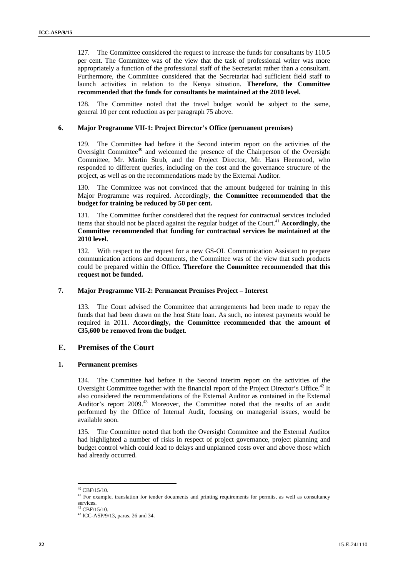127. The Committee considered the request to increase the funds for consultants by 110.5 per cent. The Committee was of the view that the task of professional writer was more appropriately a function of the professional staff of the Secretariat rather than a consultant. Furthermore, the Committee considered that the Secretariat had sufficient field staff to launch activities in relation to the Kenya situation. **Therefore, the Committee recommended that the funds for consultants be maintained at the 2010 level.**

128. The Committee noted that the travel budget would be subject to the same, general 10 per cent reduction as per paragraph 75 above.

## **6. Major Programme VII-1: Project Director's Office (permanent premises)**

129. The Committee had before it the Second interim report on the activities of the Oversight Committee<sup>40</sup> and welcomed the presence of the Chairperson of the Oversight Committee, Mr. Martin Strub, and the Project Director, Mr. Hans Heemrood, who responded to different queries, including on the cost and the governance structure of the project, as well as on the recommendations made by the External Auditor.

130. The Committee was not convinced that the amount budgeted for training in this Major Programme was required. Accordingly, **the Committee recommended that the budget for training be reduced by 50 per cent.** 

131. The Committee further considered that the request for contractual services included items that should not be placed against the regular budget of the Court.<sup>41</sup> Accordingly, the **Committee recommended that funding for contractual services be maintained at the 2010 level.** 

132. With respect to the request for a new GS-OL Communication Assistant to prepare communication actions and documents, the Committee was of the view that such products could be prepared within the Office**. Therefore the Committee recommended that this request not be funded.** 

# **7. Major Programme VII-2: Permanent Premises Project – Interest**

133. The Court advised the Committee that arrangements had been made to repay the funds that had been drawn on the host State loan. As such, no interest payments would be required in 2011. **Accordingly, the Committee recommended that the amount of €35,600 be removed from the budget**.

# **E. Premises of the Court**

# **1. Permanent premises**

134. The Committee had before it the Second interim report on the activities of the Oversight Committee together with the financial report of the Project Director's Office.<sup>42</sup> It also considered the recommendations of the External Auditor as contained in the External Auditor's report 2009.<sup>43</sup> Moreover, the Committee noted that the results of an audit performed by the Office of Internal Audit, focusing on managerial issues, would be available soon.

135. The Committee noted that both the Oversight Committee and the External Auditor had highlighted a number of risks in respect of project governance, project planning and budget control which could lead to delays and unplanned costs over and above those which had already occurred.

<sup>40</sup> CBF/15/10.

<sup>&</sup>lt;sup>41</sup> For example, translation for tender documents and printing requirements for permits, as well as consultancy services.

 $42$  CBF/15/10.

<sup>43</sup> ICC-ASP/9/13, paras. 26 and 34.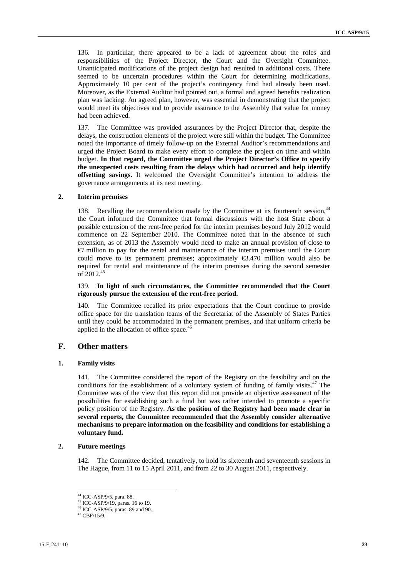136. In particular, there appeared to be a lack of agreement about the roles and responsibilities of the Project Director, the Court and the Oversight Committee. Unanticipated modifications of the project design had resulted in additional costs. There seemed to be uncertain procedures within the Court for determining modifications. Approximately 10 per cent of the project's contingency fund had already been used. Moreover, as the External Auditor had pointed out, a formal and agreed benefits realization plan was lacking. An agreed plan, however, was essential in demonstrating that the project would meet its objectives and to provide assurance to the Assembly that value for money had been achieved.

137. The Committee was provided assurances by the Project Director that, despite the delays, the construction elements of the project were still within the budget. The Committee noted the importance of timely follow-up on the External Auditor's recommendations and urged the Project Board to make every effort to complete the project on time and within budget. **In that regard, the Committee urged the Project Director's Office to specify the unexpected costs resulting from the delays which had occurred and help identify offsetting savings.** It welcomed the Oversight Committee's intention to address the governance arrangements at its next meeting.

## **2. Interim premises**

138. Recalling the recommendation made by the Committee at its fourteenth session,<sup>44</sup> the Court informed the Committee that formal discussions with the host State about a possible extension of the rent-free period for the interim premises beyond July 2012 would commence on 22 September 2010. The Committee noted that in the absence of such extension, as of 2013 the Assembly would need to make an annual provision of close to €7 million to pay for the rental and maintenance of the interim premises until the Court could move to its permanent premises; approximately €3.470 million would also be required for rental and maintenance of the interim premises during the second semester of 2012.45

# 139. **In light of such circumstances, the Committee recommended that the Court rigorously pursue the extension of the rent-free period.**

140. The Committee recalled its prior expectations that the Court continue to provide office space for the translation teams of the Secretariat of the Assembly of States Parties until they could be accommodated in the permanent premises, and that uniform criteria be applied in the allocation of office space.<sup>46</sup>

# **F. Other matters**

# **1. Family visits**

141. The Committee considered the report of the Registry on the feasibility and on the conditions for the establishment of a voluntary system of funding of family visits. $47$  The Committee was of the view that this report did not provide an objective assessment of the possibilities for establishing such a fund but was rather intended to promote a specific policy position of the Registry. **As the position of the Registry had been made clear in several reports, the Committee recommended that the Assembly consider alternative mechanisms to prepare information on the feasibility and conditions for establishing a voluntary fund.** 

# **2. Future meetings**

142. The Committee decided, tentatively, to hold its sixteenth and seventeenth sessions in The Hague, from 11 to 15 April 2011, and from 22 to 30 August 2011, respectively.

<sup>44</sup> ICC-ASP/9/5, para. 88.

<sup>45</sup> ICC-ASP/9/19, paras. 16 to 19.

<sup>46</sup> ICC-ASP/9/5, paras. 89 and 90.

 $47$  CBF/15/9.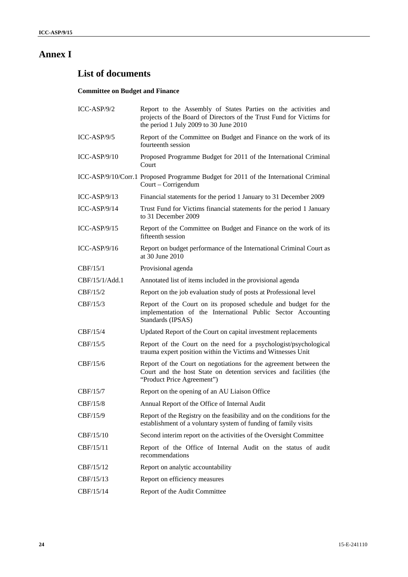# **Annex I**

# **List of documents**

# **Committee on Budget and Finance**

| $ICC-ASP/9/2$  | Report to the Assembly of States Parties on the activities and<br>projects of the Board of Directors of the Trust Fund for Victims for<br>the period 1 July 2009 to 30 June 2010 |
|----------------|----------------------------------------------------------------------------------------------------------------------------------------------------------------------------------|
| ICC-ASP/9/5    | Report of the Committee on Budget and Finance on the work of its<br>fourteenth session                                                                                           |
| $ICC-ASP/9/10$ | Proposed Programme Budget for 2011 of the International Criminal<br>Court                                                                                                        |
|                | ICC-ASP/9/10/Corr.1 Proposed Programme Budget for 2011 of the International Criminal<br>Court – Corrigendum                                                                      |
| ICC-ASP/9/13   | Financial statements for the period 1 January to 31 December 2009                                                                                                                |
| ICC-ASP/9/14   | Trust Fund for Victims financial statements for the period 1 January<br>to 31 December 2009                                                                                      |
| ICC-ASP/9/15   | Report of the Committee on Budget and Finance on the work of its<br>fifteenth session                                                                                            |
| ICC-ASP/9/16   | Report on budget performance of the International Criminal Court as<br>at 30 June 2010                                                                                           |
| CBF/15/1       | Provisional agenda                                                                                                                                                               |
| CBF/15/1/Add.1 | Annotated list of items included in the provisional agenda                                                                                                                       |
| CBF/15/2       | Report on the job evaluation study of posts at Professional level                                                                                                                |
| CBF/15/3       | Report of the Court on its proposed schedule and budget for the<br>implementation of the International Public Sector Accounting<br>Standards (IPSAS)                             |
| CBF/15/4       | Updated Report of the Court on capital investment replacements                                                                                                                   |
| CBF/15/5       | Report of the Court on the need for a psychologist/psychological<br>trauma expert position within the Victims and Witnesses Unit                                                 |
| CBF/15/6       | Report of the Court on negotiations for the agreement between the<br>Court and the host State on detention services and facilities (the<br>"Product Price Agreement")            |
| CBF/15/7       | Report on the opening of an AU Liaison Office                                                                                                                                    |
| CBF/15/8       | Annual Report of the Office of Internal Audit                                                                                                                                    |
| CBF/15/9       | Report of the Registry on the feasibility and on the conditions for the<br>establishment of a voluntary system of funding of family visits                                       |
| CBF/15/10      | Second interim report on the activities of the Oversight Committee                                                                                                               |
| CBF/15/11      | Report of the Office of Internal Audit on the status of audit<br>recommendations                                                                                                 |
| CBF/15/12      | Report on analytic accountability                                                                                                                                                |
| CBF/15/13      | Report on efficiency measures                                                                                                                                                    |
| CBF/15/14      | Report of the Audit Committee                                                                                                                                                    |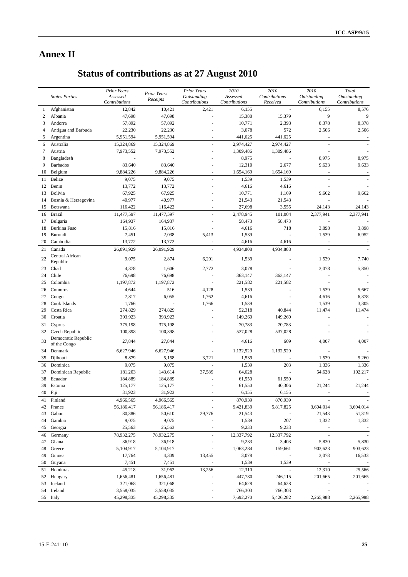# **Annex II**

# **Status of contributions as at 27 August 2010**

|    | <b>States Parties</b>               | <b>Prior Years</b><br>Assessed<br>Contributions | Prior Years<br>Receipts | <b>Prior Years</b><br>Outstanding<br>Contributions | 2010<br>Assessed<br>Contributions | 2010<br>Contributions<br>Received | 2010<br>Outstanding<br>Contributions | Total<br>Outstanding<br>Contributions |
|----|-------------------------------------|-------------------------------------------------|-------------------------|----------------------------------------------------|-----------------------------------|-----------------------------------|--------------------------------------|---------------------------------------|
| 1  | Afghanistan                         | 12,842                                          | 10,421                  | 2,421                                              | 6,155                             |                                   | 6,155                                | 8,576                                 |
| 2  | Albania                             | 47,698                                          | 47,698                  |                                                    | 15,388                            | 15,379                            | 9                                    | 9                                     |
| 3  | Andorra                             | 57,892                                          | 57,892                  |                                                    | 10,771                            | 2,393                             | 8,378                                | 8,378                                 |
| 4  | Antigua and Barbuda                 | 22,230                                          | 22,230                  |                                                    | 3,078                             | 572                               | 2,506                                | 2,506                                 |
| 5  | Argentina                           | 5,951,594                                       | 5,951,594               | ÷.                                                 | 441,625                           | 441,625                           |                                      | $\overline{\phantom{a}}$              |
| 6  | Australia                           | 15,324,869                                      | 15,324,869              | ÷.                                                 | 2,974,427                         | 2,974,427                         |                                      |                                       |
| 7  | Austria                             | 7,973,552                                       | 7,973,552               |                                                    | 1,309,486                         | 1,309,486                         |                                      |                                       |
| 8  | Bangladesh                          |                                                 |                         |                                                    | 8,975                             |                                   | 8,975                                | 8,975                                 |
| 9  | <b>Barbados</b>                     | 83,640                                          | 83,640                  |                                                    | 12,310                            | 2,677                             | 9,633                                | 9,633                                 |
| 10 | Belgium                             | 9,884,226                                       | 9,884,226               | ÷.                                                 | 1,654,169                         | 1,654,169                         |                                      |                                       |
| 11 | Belize                              | 9,075                                           | 9,075                   | ÷.                                                 | 1,539                             | 1,539                             |                                      |                                       |
| 12 | Benin                               | 13,772                                          | 13,772                  |                                                    | 4,616                             | 4,616                             |                                      |                                       |
| 13 | Bolivia                             | 67,925                                          | 67,925                  |                                                    | 10,771                            | 1,109                             | 9,662                                | 9,662                                 |
| 14 | Bosnia & Herzegovina                | 40,977                                          | 40,977                  |                                                    | 21,543                            | 21,543                            |                                      |                                       |
| 15 | Botswana                            | 116,422                                         | 116,422                 | $\overline{a}$                                     | 27,698                            | 3,555                             | 24,143                               | 24,143                                |
| 16 | <b>Brazil</b>                       | 11,477,597                                      | 11,477,597              | ÷,                                                 | 2,478,945                         | 101,004                           | 2,377,941                            | 2,377,941                             |
| 17 | Bulgaria                            | 164,937                                         | 164,937                 |                                                    | 58,473                            | 58,473                            |                                      |                                       |
| 18 | <b>Burkina Faso</b>                 | 15,816                                          | 15,816                  |                                                    | 4,616                             | 718                               | 3,898                                | 3,898                                 |
| 19 | Burundi                             | 7,451                                           | 2,038                   | 5,413                                              | 1,539                             |                                   | 1,539                                | 6,952                                 |
| 20 | Cambodia                            | 13,772                                          | 13,772                  |                                                    | 4,616                             | 4,616                             |                                      |                                       |
| 21 | Canada                              | 26,091,929                                      | 26,091,929              |                                                    | 4,934,808                         | 4,934,808                         |                                      |                                       |
|    | Central African                     |                                                 |                         |                                                    |                                   |                                   |                                      |                                       |
| 22 | Republic                            | 9,075                                           | 2,874                   | 6,201                                              | 1,539                             |                                   | 1,539                                | 7,740                                 |
| 23 | Chad                                | 4,378                                           | 1,606                   | 2,772                                              | 3,078                             |                                   | 3,078                                | 5,850                                 |
| 24 | Chile                               | 76,698                                          | 76,698                  |                                                    | 363,147                           | 363,147                           |                                      |                                       |
| 25 | Colombia                            | 1,197,872                                       | 1,197,872               |                                                    | 221,582                           | 221,582                           |                                      |                                       |
| 26 | Comoros                             | 4,644                                           | 516                     | 4,128                                              | 1,539                             | $\overline{a}$                    | 1,539                                | 5,667                                 |
| 27 | Congo                               | 7,817                                           | 6,055                   | 1,762                                              | 4,616                             |                                   | 4,616                                | 6,378                                 |
| 28 | Cook Islands                        | 1,766                                           |                         | 1,766                                              | 1,539                             |                                   | 1,539                                | 3,305                                 |
| 29 | Costa Rica                          | 274,829                                         | 274,829                 |                                                    | 52,318                            | 40,844                            | 11,474                               | 11,474                                |
| 30 | Croatia                             | 393,923                                         | 393,923                 | ä,                                                 | 149,260                           | 149,260                           |                                      |                                       |
| 31 | Cyprus                              | 375,198                                         | 375,198                 | ÷.                                                 | 70,783                            | 70,783                            | ÷,                                   |                                       |
| 32 | Czech Republic                      | 100,398                                         | 100,398                 |                                                    | 537,028                           | 537,028                           |                                      |                                       |
| 33 | Democratic Republic<br>of the Congo | 27,844                                          | 27,844                  |                                                    | 4,616                             | 609                               | 4,007                                | 4,007                                 |
| 34 | Denmark                             | 6,627,946                                       | 6,627,946               |                                                    | 1,132,529                         | 1,132,529                         |                                      |                                       |
| 35 | Djibouti                            | 8,879                                           | 5,158                   | 3,721                                              | 1,539                             |                                   | 1,539                                | 5,260                                 |
| 36 | Dominica                            | 9,075                                           | 9,075                   |                                                    | 1,539                             | 203                               | 1,336                                | 1,336                                 |
| 37 | Dominican Republic                  | 181,203                                         | 143,614                 | 37,589                                             | 64,628                            |                                   | 64,628                               | 102,217                               |
| 38 | Ecuador                             | 184,889                                         | 184,889                 |                                                    | 61,550                            | 61,550                            |                                      |                                       |
| 39 | Estonia                             | 125,177                                         | 125,177                 |                                                    | 61,550                            | 40,306                            | 21,244                               | 21,244                                |
|    | 40 Fiji                             | 31,923                                          | 31,923                  |                                                    | 6,155                             | 6,155                             |                                      |                                       |
| 41 | Finland                             | 4,966,565                                       | 4,966,565               |                                                    | 870,939                           | 870,939                           |                                      |                                       |
| 42 | France                              | 56,186,417                                      | 56,186,417              |                                                    | 9,421,839                         | 5,817,825                         | 3,604,014                            | 3,604,014                             |
| 43 | Gabon                               | 80,386                                          | 50,610                  | 29,776                                             | 21,543                            |                                   | 21,543                               | 51,319                                |
| 44 | Gambia                              | 9,075                                           | 9,075                   | ÷,                                                 | 1,539                             | 207                               | 1,332                                | 1,332                                 |
| 45 | Georgia                             | 25,563                                          | 25,563                  |                                                    | 9,233                             | 9,233                             |                                      |                                       |
| 46 | Germany                             | 78,932,275                                      | 78,932,275              |                                                    | 12,337,792                        | 12,337,792                        |                                      |                                       |
| 47 | Ghana                               | 36,918                                          | 36,918                  |                                                    | 9,233                             | 3,403                             | 5,830                                | 5,830                                 |
| 48 | Greece                              | 5,104,917                                       | 5,104,917               | $\overline{\phantom{a}}$                           | 1,063,284                         | 159,661                           | 903,623                              | 903,623                               |
| 49 | Guinea                              | 17,764                                          | 4,309                   | 13,455                                             | 3,078                             |                                   | 3,078                                | 16,533                                |
| 50 | Guyana                              | 7,451                                           | 7,451                   | $\bar{\phantom{a}}$                                | 1,539                             | 1,539                             | $\sim$                               |                                       |
|    |                                     | 45,218                                          |                         |                                                    |                                   | $\overline{\phantom{a}}$          |                                      | 25,566                                |
| 51 | Honduras                            |                                                 | 31,962                  | 13,256                                             | 12,310                            |                                   | 12,310                               |                                       |
| 52 | Hungary                             | 1,656,481                                       | 1,656,481               |                                                    | 447,780                           | 246,115                           | 201,665                              | 201,665                               |
| 53 | Iceland                             | 321,068                                         | 321,068                 |                                                    | 64,628                            | 64,628                            |                                      |                                       |
| 54 | Ireland                             | 3,558,035                                       | 3,558,035               |                                                    | 766,303                           | 766,303                           |                                      |                                       |
|    | 55 Italy                            | 45,298,335                                      | 45,298,335              |                                                    | 7,692,270                         | 5,426,282                         | 2,265,988                            | 2,265,988                             |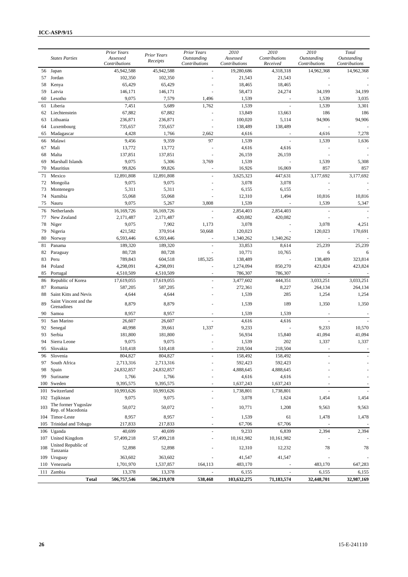|          | <b>States Parties</b>                    | Prior Years<br>Assessed<br>Contributions | <b>Prior Years</b><br>Receipts | Prior Years<br>Outstanding<br>Contributions | 2010<br>Assessed<br>Contributions | 2010<br>Contributions<br>Received | 2010<br>Outstanding<br>Contributions | Total<br>Outstanding<br>Contributions |
|----------|------------------------------------------|------------------------------------------|--------------------------------|---------------------------------------------|-----------------------------------|-----------------------------------|--------------------------------------|---------------------------------------|
| 56       | Japan                                    | 45,942,588                               | 45,942,588                     |                                             | 19,280,686                        | 4,318,318                         | 14,962,368                           | 14,962,368                            |
| 57       | Jordan                                   | 102,350                                  | 102,350                        |                                             | 21,543                            | 21,543                            |                                      |                                       |
| 58       | Kenya                                    | 65,429                                   | 65,429                         |                                             | 18,465                            | 18,465                            |                                      |                                       |
| 59       | Latvia                                   | 146,171                                  | 146,171                        |                                             | 58,473                            | 24,274                            | 34,199                               | 34,199                                |
| 60       | Lesotho                                  | 9,075                                    | 7,579                          | 1,496                                       | 1,539                             |                                   | 1,539                                | 3,035                                 |
| 61       | Liberia                                  | 7,451                                    | 5,689                          | 1,762                                       | 1,539                             |                                   | 1,539                                | 3,301                                 |
| 62       | Liechtenstein                            | 67,882                                   | 67,882                         |                                             | 13,849                            | 13,663                            | 186                                  | 186                                   |
| 63       | Lithuania                                | 236,871                                  | 236,871                        |                                             | 100,020                           | 5,114                             | 94,906                               | 94,906                                |
| 64       | Luxembourg                               | 735,657                                  | 735,657                        |                                             | 138,489                           | 138,489                           |                                      |                                       |
| 65       | Madagascar                               | 4,428                                    | 1,766                          | 2,662                                       | 4,616                             |                                   | 4,616                                | 7,278                                 |
| 66       | Malawi                                   | 9,456                                    | 9,359                          | 97                                          | 1,539                             |                                   | 1,539                                | 1,636                                 |
| 67       | Mali                                     | 13,772                                   | 13,772                         |                                             | 4,616                             | 4,616                             |                                      |                                       |
| 68       | Malta                                    | 137,851                                  | 137,851                        |                                             | 26,159                            | 26,159                            |                                      |                                       |
| 69       | Marshall Islands                         | 9,075                                    | 5,306                          | 3,769                                       | 1,539                             |                                   | 1,539                                | 5,308                                 |
| 70       | Mauritius                                | 99,826                                   | 99,826                         |                                             | 16,926                            | 16,069                            | 857                                  | 857                                   |
| 71       | Mexico                                   | 12,891,808                               | 12,891,808                     |                                             | 3,625,323                         | 447,631                           | 3,177,692                            | 3,177,692                             |
| 72       | Mongolia                                 | 9,075                                    | 9,075                          |                                             | 3,078                             | 3,078                             |                                      |                                       |
| 73       | Montenegro                               | 5,311                                    | 5,311                          |                                             | 6,155                             | 6,155                             |                                      |                                       |
| 74       | Namibia                                  | 55,068                                   | 55,068                         |                                             | 12,310                            | 1,494                             | 10,816                               | 10,816                                |
| 75       | Nauru                                    | 9,075                                    | 5,267                          | 3,808                                       | 1,539                             |                                   | 1,539                                | 5,347                                 |
| 76       | Netherlands                              | 16,169,726                               | 16,169,726                     | L.                                          | 2,854,403                         | 2,854,403                         | ä,                                   |                                       |
| 77       | New Zealand                              | 2,171,487                                | 2,171,487                      |                                             | 420,082                           | 420,082                           |                                      |                                       |
| 78       |                                          | 9,075                                    | 7,902                          | 1,173                                       | 3,078                             |                                   | 3,078                                | 4,251                                 |
| 79       | Niger                                    |                                          |                                |                                             |                                   |                                   |                                      | 170,691                               |
|          | Nigeria                                  | 421,582                                  | 370,914                        | 50,668                                      | 120,023                           |                                   | 120,023                              |                                       |
| 80       | Norway                                   | 6,593,446                                | 6,593,446                      |                                             | 1,340,262                         | 1,340,262                         |                                      |                                       |
| 81       | Panama                                   | 189,320                                  | 189,320                        | ÷,                                          | 33,853                            | 8,614                             | 25,239                               | 25,239                                |
| 82       | Paraguay                                 | 80,728                                   | 80,728                         |                                             | 10,771                            | 10,765                            | 6                                    | 6                                     |
| 83       | Peru                                     | 789,843                                  | 604,518                        | 185,325                                     | 138,489                           |                                   | 138,489                              | 323,814                               |
| 84       | Poland                                   | 4,298,091                                | 4,298,091                      |                                             | 1,274,094                         | 850,270                           | 423,824                              | 423,824                               |
| 85       | Portugal                                 | 4,510,509                                | 4,510,509                      |                                             | 786,307                           | 786,307                           |                                      |                                       |
| 86       | Republic of Korea                        | 17,619,055                               | 17,619,055                     |                                             | 3,477,602                         | 444,351                           | 3,033,251                            | 3,033,251                             |
| 87       | Romania                                  | 587,205                                  | 587,205                        |                                             | 272,361                           | 8,227                             | 264,134                              | 264,134                               |
| 88       | Saint Kitts and Nevis                    | 4,644                                    | 4,644                          |                                             | 1,539                             | 285                               | 1,254                                | 1,254                                 |
| 89       | Saint Vincent and the<br>Grenadines      | 8,879                                    | 8,879                          |                                             | 1,539                             | 189                               | 1,350                                | 1,350                                 |
| 90       | Samoa                                    | 8,957                                    | 8,957                          |                                             | 1,539                             | 1,539                             |                                      |                                       |
| 91       |                                          | 26,607                                   |                                |                                             | 4,616                             | 4,616                             |                                      |                                       |
|          | San Marino<br>Senegal                    |                                          | 26,607                         | 1,337                                       |                                   |                                   | 9,233                                |                                       |
| 92       | Serbia                                   | 40,998                                   | 39,661                         |                                             | 9,233                             |                                   |                                      | 10,570                                |
| 93<br>94 | Sierra Leone                             | 181,800                                  | 181,800                        |                                             | 56,934                            | 15,840<br>202                     | 41,094                               | 41,094<br>1,337                       |
| 95       | Slovakia                                 | 9,075<br>510,418                         | 9,075<br>510,418               | $\sim$                                      | 1,539<br>218,504                  | 218,504                           | 1,337<br>$\sim$                      |                                       |
|          |                                          |                                          |                                |                                             |                                   |                                   |                                      |                                       |
| 96<br>97 | Slovenia                                 | 804,827                                  | 804,827                        |                                             | 158,492                           | 158,492                           |                                      |                                       |
|          | South Africa                             | 2,713,316                                | 2,713,316                      |                                             | 592,423                           | 592,423                           |                                      |                                       |
| 98       | Spain                                    | 24,832,857                               | 24,832,857                     |                                             | 4,888,645                         | 4,888,645                         |                                      |                                       |
| 99       | Suriname                                 | 1,766                                    | 1,766                          |                                             | 4,616                             | 4,616                             |                                      |                                       |
| 100      | Sweden                                   | 9,395,575                                | 9,395,575                      | $\overline{a}$                              | 1,637,243                         | 1,637,243                         |                                      |                                       |
| 101      | Switzerland                              | 10,993,626                               | 10,993,626                     |                                             | 1,738,801                         | 1,738,801                         |                                      |                                       |
|          | 102 Tajikistan                           | 9,075                                    | 9,075                          |                                             | 3,078                             | 1,624                             | 1,454                                | 1,454                                 |
| 103      | The former Yugoslav<br>Rep. of Macedonia | 50,072                                   | 50,072                         |                                             | 10,771                            | 1,208                             | 9,563                                | 9,563                                 |
|          | 104 Timor-Leste                          | 8,957                                    | 8,957                          |                                             | 1,539                             | 61                                | 1,478                                | 1,478                                 |
| 105      | Trinidad and Tobago                      | 217,833                                  | 217,833                        |                                             | 67,706                            | 67,706                            |                                      |                                       |
| 106      | Uganda                                   | 40,699                                   | 40,699                         |                                             | 9,233                             | 6,839                             | 2,394                                | 2,394                                 |
| 107      | United Kingdom                           | 57,499,218                               | 57,499,218                     |                                             | 10,161,982                        | 10,161,982                        |                                      |                                       |
| 108      | United Republic of<br>Tanzania           | 52,898                                   | 52,898                         |                                             | 12,310                            | 12,232                            | 78                                   | 78                                    |
| 109      | Uruguay                                  | 363,602                                  | 363,602                        |                                             | 41,547                            | 41,547                            |                                      |                                       |
| 110      | Venezuela                                | 1,701,970                                | 1,537,857                      | 164,113                                     | 483,170                           |                                   | 483,170                              | 647,283                               |
| 111      | Zambia                                   | 13,378                                   | 13,378                         | $\sim$                                      | 6,155                             | $\overline{\phantom{a}}$          | 6,155                                | 6,155                                 |
|          | <b>Total</b>                             | 506,757,546                              | 506,219,078                    | 538,468                                     | 103,632,275                       | 71,183,574                        | 32,448,701                           | 32,987,169                            |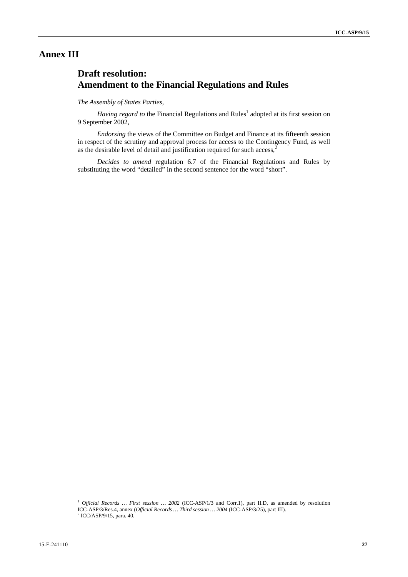# **Annex III**

# **Draft resolution: Amendment to the Financial Regulations and Rules**

# *The Assembly of States Parties,*

Having regard to the Financial Regulations and Rules<sup>1</sup> adopted at its first session on 9 September 2002,

*Endorsing* the views of the Committee on Budget and Finance at its fifteenth session in respect of the scrutiny and approval process for access to the Contingency Fund, as well as the desirable level of detail and justification required for such access,<sup>2</sup>

*Decides to amend* regulation 6.7 of the Financial Regulations and Rules by substituting the word "detailed" in the second sentence for the word "short".

<sup>&</sup>lt;sup>1</sup> *Official Records ... First session ...* 2002 (ICC-ASP/1/3 and Corr.1), part II.D, as amended by resolution

ICC-ASP/3/Res.4, annex (*Official Records … Third session … 2004* (ICC-ASP/3/25), part III). 2

 $2$  ICC/ASP/9/15, para. 40.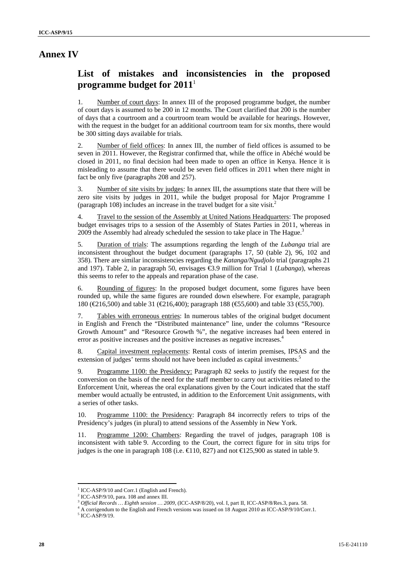# **Annex IV**

# **List of mistakes and inconsistencies in the proposed programme budget for 2011**

1. Number of court days: In annex III of the proposed programme budget, the number of court days is assumed to be 200 in 12 months. The Court clarified that 200 is the number of days that a courtroom and a courtroom team would be available for hearings. However, with the request in the budget for an additional courtroom team for six months, there would be 300 sitting days available for trials.

2. Number of field offices: In annex III, the number of field offices is assumed to be seven in 2011. However, the Registrar confirmed that, while the office in Abéché would be closed in 2011, no final decision had been made to open an office in Kenya. Hence it is misleading to assume that there would be seven field offices in 2011 when there might in fact be only five (paragraphs 208 and 257).

3. Number of site visits by judges: In annex III, the assumptions state that there will be zero site visits by judges in 2011, while the budget proposal for Major Programme I (paragraph 108) includes an increase in the travel budget for a site visit.<sup>2</sup>

4. Travel to the session of the Assembly at United Nations Headquarters: The proposed budget envisages trips to a session of the Assembly of States Parties in 2011, whereas in 2009 the Assembly had already scheduled the session to take place in The Hague.<sup>3</sup>

5. Duration of trials: The assumptions regarding the length of the *Lubanga* trial are inconsistent throughout the budget document (paragraphs 17, 50 (table 2), 96, 102 and 358). There are similar inconsistencies regarding the *Katanga/Ngudjolo* trial (paragraphs 21 and 197). Table 2, in paragraph 50, envisages €3.9 million for Trial 1 (*Lubanga*), whereas this seems to refer to the appeals and reparation phase of the case.

6. Rounding of figures: In the proposed budget document, some figures have been rounded up, while the same figures are rounded down elsewhere. For example, paragraph 180 (€216,500) and table 31 (€216,400); paragraph 188 (€55,600) and table 33 (€55,700).

7. Tables with erroneous entries: In numerous tables of the original budget document in English and French the "Distributed maintenance" line, under the columns "Resource Growth Amount" and "Resource Growth %", the negative increases had been entered in error as positive increases and the positive increases as negative increases.<sup>4</sup>

8. Capital investment replacements: Rental costs of interim premises, IPSAS and the extension of judges' terms should not have been included as capital investments.<sup>5</sup>

9. Programme 1100: the Presidency: Paragraph 82 seeks to justify the request for the conversion on the basis of the need for the staff member to carry out activities related to the Enforcement Unit, whereas the oral explanations given by the Court indicated that the staff member would actually be entrusted, in addition to the Enforcement Unit assignments, with a series of other tasks.

10. Programme 1100: the Presidency: Paragraph 84 incorrectly refers to trips of the Presidency's judges (in plural) to attend sessions of the Assembly in New York.

11. Programme 1200: Chambers: Regarding the travel of judges, paragraph 108 is inconsistent with table 9. According to the Court, the correct figure for in situ trips for judges is the one in paragraph 108 (i.e.  $\in$  10, 827) and not  $\in$  125,900 as stated in table 9.

<sup>&</sup>lt;sup>1</sup> ICC-ASP/9/10 and Corr.1 (English and French).

<sup>&</sup>lt;sup>2</sup> ICC-ASP/9/10, para. 108 and annex III.

<sup>3</sup> *Official Records … Eighth session … 2009,* (ICC-ASP/8/20), vol. I, part II, ICC-ASP/8/Res.3, para. 58. 4

<sup>&</sup>lt;sup>4</sup> A corrigendum to the English and French versions was issued on 18 August 2010 as ICC-ASP/9/10/Corr.1.

 $5$  ICC-ASP/9/19.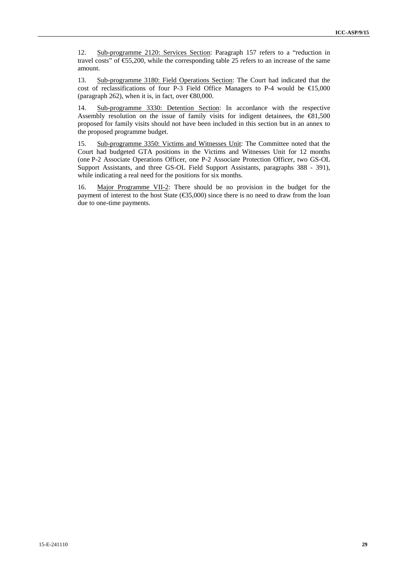12. Sub-programme 2120: Services Section: Paragraph 157 refers to a "reduction in travel costs" of  $\text{\textsterling}5,200$ , while the corresponding table 25 refers to an increase of the same amount.

13. Sub-programme 3180: Field Operations Section: The Court had indicated that the cost of reclassifications of four P-3 Field Office Managers to P-4 would be  $\epsilon$ 15,000 (paragraph 262), when it is, in fact, over  $\infty$ 0.000.

14. Sub-programme 3330: Detention Section: In accordance with the respective Assembly resolution on the issue of family visits for indigent detainees, the  $\bigoplus_{n=1}^{\infty} 1,500$ proposed for family visits should not have been included in this section but in an annex to the proposed programme budget.

15. Sub-programme 3350: Victims and Witnesses Unit: The Committee noted that the Court had budgeted GTA positions in the Victims and Witnesses Unit for 12 months (one P-2 Associate Operations Officer, one P-2 Associate Protection Officer, two GS-OL Support Assistants, and three GS-OL Field Support Assistants, paragraphs 388 - 391), while indicating a real need for the positions for six months.

16. Major Programme VII-2: There should be no provision in the budget for the payment of interest to the host State  $(\text{\textcircled{}}5,000)$  since there is no need to draw from the loan due to one-time payments.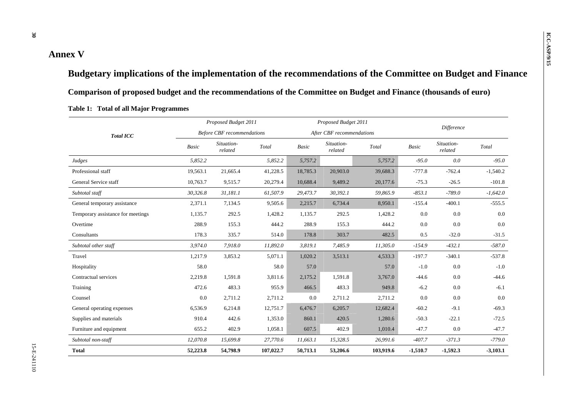# **ICC-Annex V** *ICC-Annex V ICC-Annex V ICC-Ans*

**Budgetary implications of the implementation of the recommendations of the Committee on Budget and Finance Comparison of proposed budget and the recommendations of the Committee on Budget and Finance (thousands of euro)** 

|                                   |              | Proposed Budget 2011              |           |              | Proposed Budget 2011      |           |              |                       |            |
|-----------------------------------|--------------|-----------------------------------|-----------|--------------|---------------------------|-----------|--------------|-----------------------|------------|
| <b>Total ICC</b>                  |              | <b>Before CBF</b> recommendations |           |              | After CBF recommendations |           |              | Difference            |            |
|                                   | <b>Basic</b> | Situation-<br>related             | Total     | <b>Basic</b> | Situation-<br>related     | Total     | <b>Basic</b> | Situation-<br>related | Total      |
| Judges                            | 5,852.2      |                                   | 5,852.2   | 5,757.2      |                           | 5,757.2   | $-95.0$      | 0.0                   | $-95.0$    |
| Professional staff                | 19,563.1     | 21,665.4                          | 41,228.5  | 18,785.3     | 20,903.0                  | 39,688.3  | $-777.8$     | $-762.4$              | $-1,540.2$ |
| General Service staff             | 10,763.7     | 9,515.7                           | 20,279.4  | 10,688.4     | 9,489.2                   | 20,177.6  | $-75.3$      | $-26.5$               | $-101.8$   |
| Subtotal staff                    | 30,326.8     | 31,181.1                          | 61,507.9  | 29,473.7     | 30,392.1                  | 59,865.9  | $-853.1$     | $-789.0$              | $-1,642.0$ |
| General temporary assistance      | 2,371.1      | 7,134.5                           | 9,505.6   | 2,215.7      | 6,734.4                   | 8,950.1   | $-155.4$     | $-400.1$              | $-555.5$   |
| Temporary assistance for meetings | 1,135.7      | 292.5                             | 1,428.2   | 1,135.7      | 292.5                     | 1,428.2   | 0.0          | 0.0                   | 0.0        |
| Overtime                          | 288.9        | 155.3                             | 444.2     | 288.9        | 155.3                     | 444.2     | 0.0          | 0.0                   | 0.0        |
| Consultants                       | 178.3        | 335.7                             | 514.0     | 178.8        | 303.7                     | 482.5     | 0.5          | $-32.0$               | $-31.5$    |
| Subtotal other staff              | 3,974.0      | 7,918.0                           | 11,892.0  | 3,819.1      | 7,485.9                   | 11,305.0  | $-154.9$     | $-432.1$              | $-587.0$   |
| Travel                            | 1,217.9      | 3,853.2                           | 5,071.1   | 1,020.2      | 3,513.1                   | 4,533.3   | $-197.7$     | $-340.1$              | $-537.8$   |
| Hospitality                       | 58.0         |                                   | 58.0      | 57.0         |                           | 57.0      | $-1.0$       | 0.0                   | $-1.0$     |
| Contractual services              | 2,219.8      | 1,591.8                           | 3,811.6   | 2,175.2      | 1,591.8                   | 3,767.0   | $-44.6$      | 0.0                   | $-44.6$    |
| Training                          | 472.6        | 483.3                             | 955.9     | 466.5        | 483.3                     | 949.8     | $-6.2$       | 0.0                   | $-6.1$     |
| Counsel                           | 0.0          | 2,711.2                           | 2,711.2   | 0.0          | 2,711.2                   | 2,711.2   | 0.0          | 0.0                   | 0.0        |
| General operating expenses        | 6,536.9      | 6,214.8                           | 12,751.7  | 6,476.7      | 6,205.7                   | 12,682.4  | $-60.2$      | $-9.1$                | $-69.3$    |
| Supplies and materials            | 910.4        | 442.6                             | 1,353.0   | 860.1        | 420.5                     | 1,280.6   | $-50.3$      | $-22.1$               | $-72.5$    |
| Furniture and equipment           | 655.2        | 402.9                             | 1,058.1   | 607.5        | 402.9                     | 1,010.4   | $-47.7$      | 0.0                   | $-47.7$    |
| Subtotal non-staff                | 12,070.8     | 15,699.8                          | 27,770.6  | 11,663.1     | 15,328.5                  | 26,991.6  | $-407.7$     | $-371.3$              | $-779.0$   |
| <b>Total</b>                      | 52,223.8     | 54,798.9                          | 107,022.7 | 50,713.1     | 53,206.6                  | 103,919.6 | $-1,510.7$   | $-1,592.3$            | $-3,103.1$ |

# **Table 1: Total of all Major Programmes**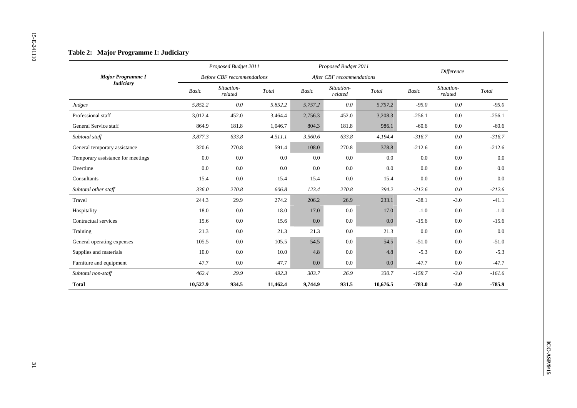|                                   |          | Proposed Budget 2011              |                                             |                          | Proposed Budget 2011      |                                             |          | Difference            |                        |
|-----------------------------------|----------|-----------------------------------|---------------------------------------------|--------------------------|---------------------------|---------------------------------------------|----------|-----------------------|------------------------|
| Major Programme I                 |          | <b>Before CBF</b> recommendations |                                             |                          | After CBF recommendations |                                             |          |                       |                        |
| <b>Judiciary</b>                  | Basic    | Situation-<br>related             | $\operatorname{\mathcal{T}\!\mathit{otal}}$ | $\label{eq:basic} Basic$ | Situation-<br>related     | $\operatorname{\mathcal{T}\!\mathit{otal}}$ | Basic    | Situation-<br>related | $\operatorname{Total}$ |
| Judges                            | 5,852.2  | $0.0\,$                           | 5,852.2                                     | 5,757.2                  | $0.0\,$                   | 5,757.2                                     | $-95.0$  | $0.0\,$               | $-95.0$                |
| Professional staff                | 3,012.4  | 452.0                             | 3,464.4                                     | 2,756.3                  | 452.0                     | 3,208.3                                     | $-256.1$ | $0.0\,$               | $-256.1$               |
| General Service staff             | 864.9    | 181.8                             | 1,046.7                                     | 804.3                    | 181.8                     | 986.1                                       | $-60.6$  | $0.0\,$               | $-60.6$                |
| Subtotal staff                    | 3,877.3  | 633.8                             | 4, 511.1                                    | 3,560.6                  | 633.8                     | 4,194.4                                     | $-316.7$ | $0.0\,$               | $-316.7$               |
| General temporary assistance      | 320.6    | 270.8                             | 591.4                                       | 108.0                    | 270.8                     | 378.8                                       | $-212.6$ | $0.0\,$               | $-212.6$               |
| Temporary assistance for meetings | 0.0      | 0.0                               | 0.0                                         | 0.0                      | $0.0\,$                   | $0.0\,$                                     | 0.0      | 0.0                   | 0.0                    |
| Overtime                          | $0.0\,$  | 0.0                               | $0.0\,$                                     | 0.0                      | $0.0\,$                   | 0.0                                         | $0.0\,$  | $0.0\,$               | $0.0\,$                |
| Consultants                       | 15.4     | $0.0\,$                           | 15.4                                        | 15.4                     | $0.0\,$                   | 15.4                                        | $0.0\,$  | $0.0\,$               | $0.0\,$                |
| Subtotal other staff              | 336.0    | 270.8                             | 606.8                                       | 123.4                    | 270.8                     | 394.2                                       | $-212.6$ | $0.0\,$               | $-212.6$               |
| Travel                            | 244.3    | 29.9                              | 274.2                                       | 206.2                    | 26.9                      | 233.1                                       | $-38.1$  | $-3.0$                | $-41.1$                |
| Hospitality                       | 18.0     | 0.0                               | $18.0\,$                                    | 17.0                     | $0.0\,$                   | 17.0                                        | $-1.0\,$ | $0.0\,$               | $-1.0$                 |
| Contractual services              | 15.6     | $0.0\,$                           | 15.6                                        | 0.0                      | $0.0\,$                   | $0.0\,$                                     | $-15.6$  | $0.0\,$               | $-15.6$                |
| Training                          | 21.3     | $0.0\,$                           | 21.3                                        | 21.3                     | $0.0\,$                   | 21.3                                        | 0.0      | 0.0                   | $0.0\,$                |
| General operating expenses        | 105.5    | $0.0\,$                           | 105.5                                       | 54.5                     | $0.0\,$                   | 54.5                                        | $-51.0$  | $0.0\,$               | $-51.0$                |
| Supplies and materials            | 10.0     | 0.0                               | 10.0                                        | 4.8                      | $0.0\,$                   | 4.8                                         | $-5.3$   | $0.0\,$               | $-5.3$                 |
| Furniture and equipment           | 47.7     | $0.0\,$                           | 47.7                                        | 0.0                      | $0.0\,$                   | $0.0\,$                                     | $-47.7$  | $0.0\,$               | $-47.7$                |
| Subtotal non-staff                | 462.4    | 29.9                              | 492.3                                       | 303.7                    | 26.9                      | 330.7                                       | $-158.7$ | $-3.0$                | $-161.6$               |
| <b>Total</b>                      | 10,527.9 | 934.5                             | 11,462.4                                    | 9,744.9                  | 931.5                     | 10,676.5                                    | $-783.0$ | $-3.0$                | -785.9                 |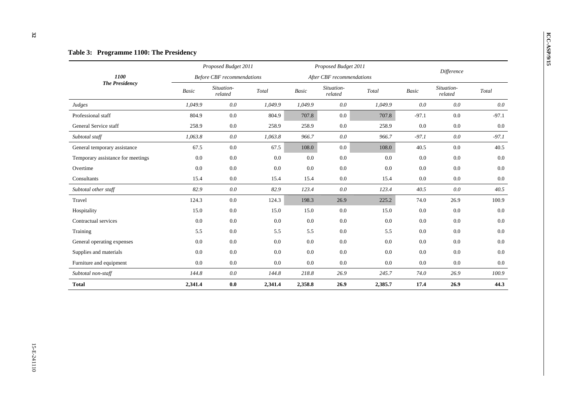|                                   |         | Proposed Budget 2011              |         |              | Proposed Budget 2011      |         |         | <b>Difference</b>     |         |  |  |
|-----------------------------------|---------|-----------------------------------|---------|--------------|---------------------------|---------|---------|-----------------------|---------|--|--|
| 1100                              |         | <b>Before CBF</b> recommendations |         |              | After CBF recommendations |         |         |                       |         |  |  |
| <b>The Presidency</b>             | Basic   | Situation-<br>related             | Total   | <b>Basic</b> | Situation-<br>related     | Total   | Basic   | Situation-<br>related | Total   |  |  |
| Judges                            | 1,049.9 | 0.0                               | 1,049.9 | 1,049.9      | 0.0                       | 1,049.9 | 0.0     | 0.0                   | $0.0\,$ |  |  |
| Professional staff                | 804.9   | 0.0                               | 804.9   | 707.8        | 0.0                       | 707.8   | $-97.1$ | 0.0                   | $-97.1$ |  |  |
| General Service staff             | 258.9   | 0.0                               | 258.9   | 258.9        | 0.0                       | 258.9   | 0.0     | 0.0                   | 0.0     |  |  |
| Subtotal staff                    | 1,063.8 | 0.0                               | 1,063.8 | 966.7        | 0.0                       | 966.7   | $-97.1$ | 0.0                   | $-97.1$ |  |  |
| General temporary assistance      | 67.5    | 0.0                               | 67.5    | 108.0        | $0.0\,$                   | 108.0   | 40.5    | 0.0                   | 40.5    |  |  |
| Temporary assistance for meetings | 0.0     | 0.0                               | 0.0     | 0.0          | 0.0                       | 0.0     | 0.0     | 0.0                   | 0.0     |  |  |
| Overtime                          | 0.0     | 0.0                               | 0.0     | 0.0          | 0.0                       | 0.0     | 0.0     | 0.0                   | 0.0     |  |  |
| Consultants                       | 15.4    | 0.0                               | 15.4    | 15.4         | 0.0                       | 15.4    | 0.0     | 0.0                   | $0.0\,$ |  |  |
| Subtotal other staff              | 82.9    | 0.0                               | 82.9    | 123.4        | 0.0                       | 123.4   | 40.5    | 0.0                   | 40.5    |  |  |
| Travel                            | 124.3   | $0.0\,$                           | 124.3   | 198.3        | 26.9                      | 225.2   | 74.0    | 26.9                  | 100.9   |  |  |
| Hospitality                       | 15.0    | $0.0\,$                           | 15.0    | 15.0         | 0.0                       | 15.0    | 0.0     | 0.0                   | 0.0     |  |  |
| Contractual services              | 0.0     | 0.0                               | 0.0     | 0.0          | 0.0                       | 0.0     | 0.0     | 0.0                   | 0.0     |  |  |
| Training                          | 5.5     | 0.0                               | 5.5     | 5.5          | 0.0                       | 5.5     | 0.0     | 0.0                   | $0.0\,$ |  |  |
| General operating expenses        | 0.0     | 0.0                               | 0.0     | 0.0          | 0.0                       | 0.0     | 0.0     | 0.0                   | 0.0     |  |  |
| Supplies and materials            | 0.0     | 0.0                               | 0.0     | 0.0          | 0.0                       | 0.0     | 0.0     | 0.0                   | 0.0     |  |  |
| Furniture and equipment           | 0.0     | 0.0                               | 0.0     | 0.0          | $0.0\,$                   | 0.0     | 0.0     | 0.0                   | $0.0\,$ |  |  |
| Subtotal non-staff                | 144.8   | 0.0                               | 144.8   | 218.8        | 26.9                      | 245.7   | 74.0    | 26.9                  | 100.9   |  |  |
| <b>Total</b>                      | 2,341.4 | 0.0                               | 2,341.4 | 2,358.8      | 26.9                      | 2,385.7 | 17.4    | 26.9                  | 44.3    |  |  |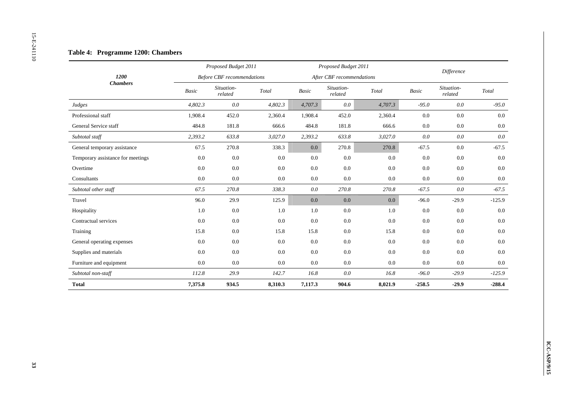|                                   |         | Proposed Budget 2011              |                                             |                          | Proposed Budget 2011      |         |          | Difference            |          |
|-----------------------------------|---------|-----------------------------------|---------------------------------------------|--------------------------|---------------------------|---------|----------|-----------------------|----------|
| 1200                              |         | <b>Before CBF</b> recommendations |                                             |                          | After CBF recommendations |         |          |                       |          |
| Chambers                          | Basic   | Situation-<br>related             | $\operatorname{\mathcal{T}\!\mathit{otal}}$ | $\label{eq:basic} Basic$ | Situation-<br>related     | Total   | Basic    | Situation-<br>related | Total    |
| Judges                            | 4,802.3 | $0.0\,$                           | 4,802.3                                     | 4,707.3                  | $0.0\,$                   | 4,707.3 | $-95.0$  | 0.0                   | $-95.0$  |
| Professional staff                | 1,908.4 | 452.0                             | 2,360.4                                     | 1,908.4                  | 452.0                     | 2,360.4 | 0.0      | $0.0\,$               | $0.0\,$  |
| General Service staff             | 484.8   | 181.8                             | 666.6                                       | 484.8                    | 181.8                     | 666.6   | $0.0\,$  | $0.0\,$               | $0.0\,$  |
| Subtotal staff                    | 2,393.2 | 633.8                             | 3,027.0                                     | 2,393.2                  | 633.8                     | 3,027.0 | $0.0\,$  | $0.0\,$               | $0.0\,$  |
| General temporary assistance      | 67.5    | 270.8                             | 338.3                                       | $0.0\,$                  | 270.8                     | 270.8   | $-67.5$  | $0.0\,$               | $-67.5$  |
| Temporary assistance for meetings | 0.0     | $0.0\,$                           | 0.0                                         | $0.0\,$                  | 0.0                       | 0.0     | $0.0\,$  | 0.0                   | 0.0      |
| Overtime                          | $0.0\,$ | $0.0\,$                           | 0.0                                         | 0.0                      | 0.0                       | 0.0     | $0.0\,$  | $0.0\,$               | $0.0\,$  |
| Consultants                       | $0.0\,$ | $0.0\,$                           | $0.0\,$                                     | $0.0\,$                  | $0.0\,$                   | 0.0     | $0.0\,$  | $0.0\,$               | $0.0\,$  |
| Subtotal other staff              | 67.5    | 270.8                             | 338.3                                       | $0.0\,$                  | 270.8                     | 270.8   | $-67.5$  | $0.0\,$               | $-67.5$  |
| Travel                            | 96.0    | 29.9                              | 125.9                                       | 0.0                      | $0.0\,$                   | $0.0\,$ | $-96.0$  | $-29.9$               | $-125.9$ |
| Hospitality                       | 1.0     | $0.0\,$                           | 1.0                                         | 1.0                      | $0.0\,$                   | 1.0     | $0.0\,$  | $0.0\,$               | $0.0\,$  |
| Contractual services              | $0.0\,$ | $0.0\,$                           | 0.0                                         | 0.0                      | $0.0\,$                   | 0.0     | $0.0\,$  | $0.0\,$               | $0.0\,$  |
| Training                          | 15.8    | $0.0\,$                           | 15.8                                        | 15.8                     | $0.0\,$                   | 15.8    | $0.0\,$  | $0.0\,$               | $0.0\,$  |
| General operating expenses        | 0.0     | $0.0\,$                           | 0.0                                         | 0.0                      | 0.0                       | 0.0     | 0.0      | $0.0\,$               | 0.0      |
| Supplies and materials            | 0.0     | $0.0\,$                           | 0.0                                         | 0.0                      | 0.0                       | 0.0     | $0.0\,$  | 0.0                   | 0.0      |
| Furniture and equipment           | $0.0\,$ | $0.0\,$                           | $0.0\,$                                     | $0.0\,$                  | $0.0\,$                   | $0.0\,$ | $0.0\,$  | $0.0\,$               | $0.0\,$  |
| Subtotal non-staff                | 112.8   | 29.9                              | 142.7                                       | 16.8                     | $0.0\,$                   | 16.8    | $-96.0$  | $-29.9$               | $-125.9$ |
| <b>Total</b>                      | 7,375.8 | 934.5                             | 8,310.3                                     | 7,117.3                  | 904.6                     | 8,021.9 | $-258.5$ | $-29.9$               | $-288.4$ |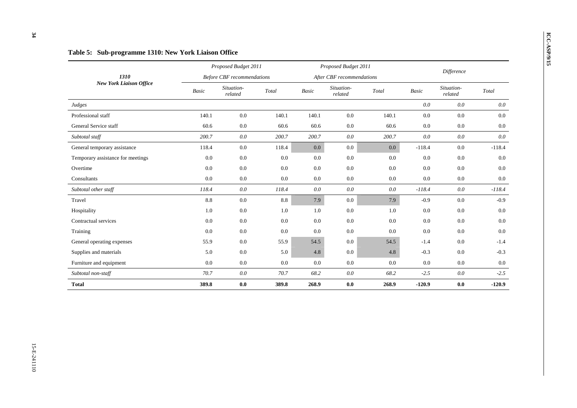$0.0\,$ 

 $0.0\,$ 

 $0.0$ 

 $0.0\,$ 

 $0.0$ 

# **ICC-ASP/9/15 Table 5:** Sub-programme 1310: New York Liaison Office *Proposed Budget 2011 Proposed Budget 2011 Proposed Budget 2011 Proposed Budget 2011 Before CBF recommendations After CBF recommendations Difference 1310 New York Liaison Office Basic Situation- related Total Basic Situation- related Total Basic Situation- related Total Judges 0.0 0.0 0.0*  Professional staff 140.1 0.0 140.1 0.0 140.1 0.0 140.1 0.0 0.0 0.0 0.0 0.0 0.0 0.0 General Service staff 60.6 0.0 60.6 60.6 0.0 60.6 0.0 0.0 0.0 *Subtotal staff 200.7 0.0 200.7 200.7 0.0 200.7 0.0 0.0 0.0*  General temporary assistance **118.4** 0.0 118.4 0.0 0.0 0.0 0.0 -118.4 0.0 -118.4 0.0 -118.4 Temporary assistance for meetings  $0.0$   $0.0$   $0.0$   $0.0$   $0.0$   $0.0$   $0.0$   $0.0$   $0.0$   $0.0$   $0.0$   $0.0$ Overtime 0.0 0.0 0.0 0.0 0.0 0.0 0.0 0.0 0.0 Consultants 0.0 0.0 0.0 0.0 0.0 0.0 0.0 0.0 0.0 *Subtotal other staff 118.4 0.0 118.4 0.0 0.0 0.0 -118.4 0.0 -118.4*  Travel 8.8 0.0 8.8 7.9 0.0 7.9 -0.9 0.0 -0.9 Hospitality 1.0 0.0 1.0 1.0 0.0 1.0 0.0 0.0 0.0 Contractual services 0.0 0.0 0.0 0.0 0.0 0.0 0.0 0.0 0.0 Training 0.0 0.0 0.0 0.0 0.0 0.0 0.0 0.0 0.0 General operating expenses 55.9 0.0 55.9 54.5 0.0 54.5 -1.4 0.0 -1.4 Supplies and materials **5.0** 5.0 0.0 5.0 5.0 4.8 0.0 4.8 -0.3 0.0 -0.3 Furniture and equipment 0.0 0.0 0.0 0.0 0.0 0.0 0.0 0.0 0.0 *Subtotal non-staff 70.7 0.0 70.7 68.2 0.0 68.2 -2.5 0.0 -2.5*  **Total 389.8 0.0 389.8 268.9 0.0 268.9 -120.9 0.0 -120.9**

 $34$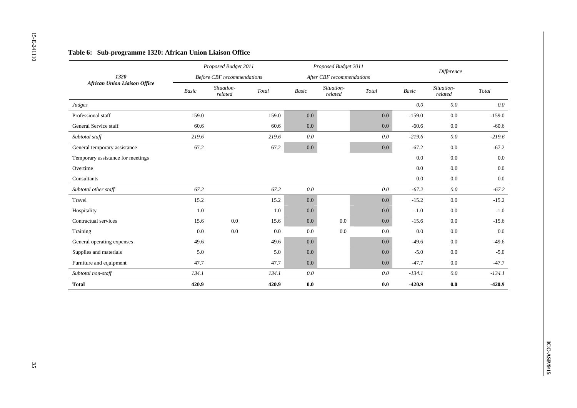|                                     |         | Proposed Budget 2011              |         |                          | Proposed Budget 2011      |                        |                          |                       |                                             |
|-------------------------------------|---------|-----------------------------------|---------|--------------------------|---------------------------|------------------------|--------------------------|-----------------------|---------------------------------------------|
| 1320                                |         | <b>Before CBF</b> recommendations |         |                          | After CBF recommendations |                        |                          | Difference            |                                             |
| <b>African Union Liaison Office</b> | Basic   | Situation-<br>related             | Total   | $\label{eq:basic} Basic$ | Situation-<br>$related$   | $\operatorname{Total}$ | $\label{eq:basic} Basic$ | Situation-<br>related | $\operatorname{\mathcal{T}\!\mathit{otal}}$ |
| Judges                              |         |                                   |         |                          |                           |                        | $0.0\,$                  | $0.0\,$               | $0.0\,$                                     |
| Professional staff                  | 159.0   |                                   | 159.0   | 0.0                      |                           | 0.0                    | $-159.0$                 | $0.0\,$               | $-159.0$                                    |
| General Service staff               | 60.6    |                                   | 60.6    | 0.0                      |                           | $0.0\,$                | $-60.6$                  | $0.0\,$               | $-60.6$                                     |
| Subtotal staff                      | 219.6   |                                   | 219.6   | $0.0\,$                  |                           | 0.0                    | $-219.6$                 | $0.0\,$               | $-219.6$                                    |
| General temporary assistance        | 67.2    |                                   | 67.2    | $0.0\,$                  |                           | $0.0\,$                | $-67.2$                  | $0.0\,$               | $-67.2$                                     |
| Temporary assistance for meetings   |         |                                   |         |                          |                           |                        | 0.0                      | $0.0\,$               | 0.0                                         |
| Overtime                            |         |                                   |         |                          |                           |                        | $0.0\,$                  | $0.0\,$               | $0.0\,$                                     |
| Consultants                         |         |                                   |         |                          |                           |                        | $0.0\,$                  | $0.0\,$               | $0.0\,$                                     |
| Subtotal other staff                | 67.2    |                                   | 67.2    | $0.0\,$                  |                           | 0.0                    | $-67.2$                  | $0.0\,$               | $-67.2$                                     |
| Travel                              | 15.2    |                                   | 15.2    | $0.0\,$                  |                           | $0.0\,$                | $-15.2$                  | $0.0\,$               | $-15.2$                                     |
| Hospitality                         | $1.0\,$ |                                   | $1.0\,$ | 0.0                      |                           | 0.0                    | $\mbox{-}1.0$            | $0.0\,$               | $-1.0$                                      |
| Contractual services                | 15.6    | $0.0\,$                           | 15.6    | $0.0\,$                  | $0.0\,$                   | $0.0\,$                | $-15.6$                  | $0.0\,$               | $-15.6$                                     |
| Training                            | 0.0     | $0.0\,$                           | $0.0\,$ | 0.0                      | $0.0\,$                   | $0.0\,$                | $0.0\,$                  | $0.0\,$               | $0.0\,$                                     |
| General operating expenses          | 49.6    |                                   | 49.6    | $0.0\,$                  |                           | $0.0\,$                | $-49.6$                  | $0.0\,$               | $-49.6$                                     |
| Supplies and materials              | 5.0     |                                   | 5.0     | 0.0                      |                           | 0.0                    | $-5.0$                   | 0.0                   | $-5.0$                                      |
| Furniture and equipment             | 47.7    |                                   | 47.7    | 0.0                      |                           | $0.0\,$                | $-47.7$                  | $0.0\,$               | $-47.7$                                     |
| Subtotal non-staff                  | 134.1   |                                   | 134.1   | $0.0\,$                  |                           | 0.0                    | $-134.1$                 | $0.0\,$               | $-134.1$                                    |
| <b>Total</b>                        | 420.9   |                                   | 420.9   | $\mathbf{0.0}$           |                           | $0.0\,$                | $-420.9$                 | $\mathbf{0.0}$        | $-420.9$                                    |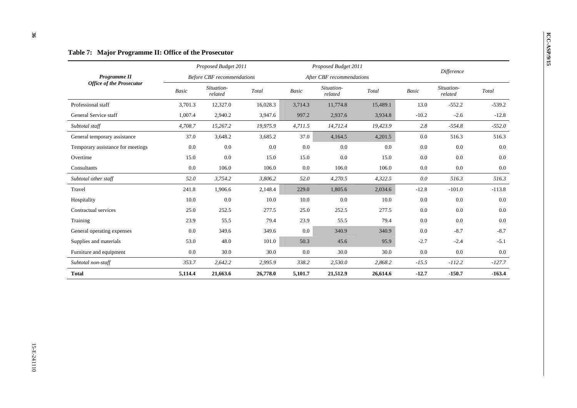| Programme II<br><b>Office of the Prosecutor</b> | Proposed Budget 2011<br><b>Before CBF</b> recommendations |          |          | Proposed Budget 2011<br>After CBF recommendations |          |          | <b>Difference</b> |          |          |
|-------------------------------------------------|-----------------------------------------------------------|----------|----------|---------------------------------------------------|----------|----------|-------------------|----------|----------|
|                                                 |                                                           |          |          |                                                   |          |          |                   |          |          |
|                                                 | Professional staff                                        | 3,701.3  | 12,327.0 | 16,028.3                                          | 3,714.3  | 11,774.8 | 15,489.1          | 13.0     | $-552.2$ |
| General Service staff                           | 1,007.4                                                   | 2,940.2  | 3,947.6  | 997.2                                             | 2,937.6  | 3,934.8  | $-10.2$           | $-2.6$   | $-12.8$  |
| Subtotal staff                                  | 4,708.7                                                   | 15,267.2 | 19,975.9 | 4,711.5                                           | 14,712.4 | 19,423.9 | 2.8               | $-554.8$ | $-552.0$ |
| General temporary assistance                    | 37.0                                                      | 3,648.2  | 3,685.2  | 37.0                                              | 4,164.5  | 4,201.5  | $0.0\,$           | 516.3    | 516.3    |
| Temporary assistance for meetings               | 0.0                                                       | 0.0      | 0.0      | 0.0                                               | 0.0      | 0.0      | 0.0               | 0.0      | 0.0      |
| Overtime                                        | 15.0                                                      | 0.0      | 15.0     | 15.0                                              | 0.0      | 15.0     | $0.0\,$           | 0.0      | 0.0      |
| Consultants                                     | 0.0                                                       | 106.0    | 106.0    | 0.0                                               | 106.0    | 106.0    | 0.0               | 0.0      | 0.0      |
| Subtotal other staff                            | 52.0                                                      | 3,754.2  | 3,806.2  | 52.0                                              | 4,270.5  | 4,322.5  | 0.0               | 516.3    | 516.3    |
| Travel                                          | 241.8                                                     | 1,906.6  | 2,148.4  | 229.0                                             | 1,805.6  | 2,034.6  | $-12.8$           | $-101.0$ | $-113.8$ |
| Hospitality                                     | 10.0                                                      | 0.0      | 10.0     | 10.0                                              | 0.0      | 10.0     | 0.0               | 0.0      | 0.0      |
| Contractual services                            | 25.0                                                      | 252.5    | 277.5    | 25.0                                              | 252.5    | 277.5    | 0.0               | 0.0      | 0.0      |
| Training                                        | 23.9                                                      | 55.5     | 79.4     | 23.9                                              | 55.5     | 79.4     | 0.0               | 0.0      | 0.0      |
| General operating expenses                      | 0.0                                                       | 349.6    | 349.6    | 0.0                                               | 340.9    | 340.9    | 0.0               | $-8.7$   | $-8.7$   |
| Supplies and materials                          | 53.0                                                      | 48.0     | 101.0    | 50.3                                              | 45.6     | 95.9     | $-2.7$            | $-2.4$   | $-5.1$   |
| Furniture and equipment                         | 0.0                                                       | 30.0     | 30.0     | 0.0                                               | 30.0     | 30.0     | 0.0               | 0.0      | 0.0      |
| Subtotal non-staff                              | 353.7                                                     | 2,642.2  | 2,995.9  | 338.2                                             | 2,530.0  | 2,868.2  | $-15.5$           | $-112.2$ | $-127.7$ |
| <b>Total</b>                                    | 5,114.4                                                   | 21,663.6 | 26,778.0 | 5,101.7                                           | 21,512.9 | 26,614.6 | $-12.7$           | $-150.7$ | $-163.4$ |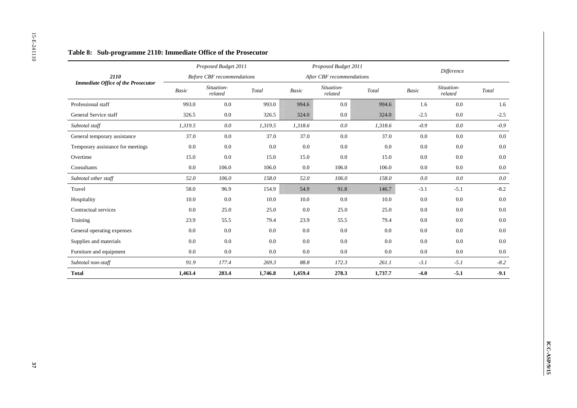|                                           |          | Proposed Budget 2011              |                                             |                          | Proposed Budget 2011      |                                             |         | Difference            |                                             |
|-------------------------------------------|----------|-----------------------------------|---------------------------------------------|--------------------------|---------------------------|---------------------------------------------|---------|-----------------------|---------------------------------------------|
| 2110                                      |          | <b>Before CBF</b> recommendations |                                             |                          | After CBF recommendations |                                             |         |                       |                                             |
| <b>Immediate Office of the Prosecutor</b> | Basic    | Situation-<br>related             | $\operatorname{\mathcal{T}\!\mathit{otal}}$ | $\label{eq:basic} Basic$ | Situation-<br>related     | $\operatorname{\mathcal{T}\!\mathit{otal}}$ | Basic   | Situation-<br>related | $\operatorname{\mathcal{T}\!\mathit{otal}}$ |
| Professional staff                        | 993.0    | $0.0\,$                           | 993.0                                       | 994.6                    | $0.0\,$                   | 994.6                                       | 1.6     | 0.0                   |                                             |
| General Service staff                     | 326.5    | $0.0\,$                           | 326.5                                       | 324.0                    | $0.0\,$                   | 324.0                                       | $-2.5$  | 0.0                   | $-2.5$                                      |
| Subtotal staff                            | 1,319.5  | $0.0\,$                           | 1,319.5                                     | 1,318.6                  | $0.0\,$                   | 1,318.6                                     | $-0.9$  | $0.0\,$               | $-0.9$                                      |
| General temporary assistance              | 37.0     | $0.0\,$                           | 37.0                                        | 37.0                     | $0.0\,$                   | 37.0                                        | $0.0\,$ | $0.0\,$               |                                             |
| Temporary assistance for meetings         | $0.0\,$  | $0.0\,$                           | 0.0                                         | $0.0\,$                  | $0.0\,$                   | $0.0\,$                                     | $0.0\,$ | 0.0                   |                                             |
| Overtime                                  | 15.0     | 0.0                               | 15.0                                        | 15.0                     | $0.0\,$                   | 15.0                                        | 0.0     | 0.0                   |                                             |
| Consultants                               | 0.0      | 106.0                             | 106.0                                       | 0.0                      | 106.0                     | 106.0                                       | 0.0     | 0.0                   |                                             |
| Subtotal other staff                      | $52.0\,$ | 106.0                             | $\it 158.0$                                 | 52.0                     | 106.0                     | $\it 158.0$                                 | $0.0\,$ | $0.0\,$               |                                             |
| Travel                                    | 58.0     | 96.9                              | 154.9                                       | 54.9                     | 91.8                      | 146.7                                       | $-3.1$  | $-5.1$                |                                             |
| Hospitality                               | 10.0     | 0.0                               | $10.0\,$                                    | 10.0                     | $0.0\,$                   | $10.0\,$                                    | $0.0\,$ | 0.0                   |                                             |
| Contractual services                      | $0.0\,$  | 25.0                              | 25.0                                        | 0.0                      | 25.0                      | 25.0                                        | 0.0     | 0.0                   |                                             |
| Training                                  | 23.9     | 55.5                              | 79.4                                        | 23.9                     | 55.5                      | 79.4                                        | $0.0\,$ | $0.0\,$               |                                             |
| General operating expenses                | $0.0\,$  | $0.0\,$                           | $0.0\,$                                     | $0.0\,$                  | $0.0\,$                   | 0.0                                         | $0.0\,$ | 0.0                   |                                             |
| Supplies and materials                    | $0.0\,$  | 0.0                               | 0.0                                         | $0.0\,$                  | $0.0\,$                   | $0.0\,$                                     | $0.0\,$ | $0.0\,$               |                                             |
| Furniture and equipment                   | 0.0      | $0.0\,$                           | 0.0                                         | 0.0                      | $0.0\,$                   | $0.0\,$                                     | $0.0\,$ | $0.0\,$               |                                             |
| Subtotal non-staff                        | 91.9     | 177.4                             | 269.3                                       | $88.8\,$                 | 172.3                     | 261.1                                       | $-3.1$  | $-5.1$                |                                             |
| <b>Total</b>                              | 1,463.4  | 283.4                             | 1,746.8                                     | 1,459.4                  | 278.3                     | 1,737.7                                     | $-4.0$  | $-5.1$                |                                             |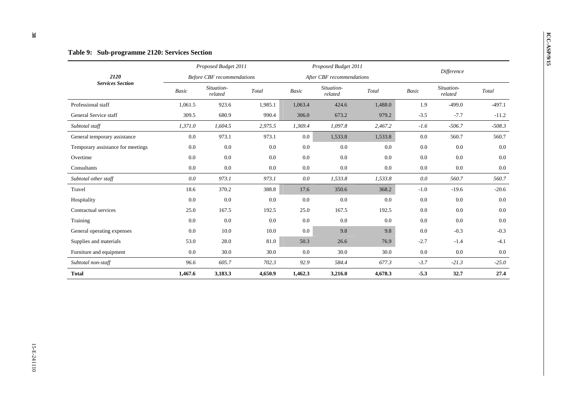|                                   |              | Proposed Budget 2011              |         |         | Proposed Budget 2011      |         |              |                       |          |
|-----------------------------------|--------------|-----------------------------------|---------|---------|---------------------------|---------|--------------|-----------------------|----------|
| 2120                              |              | <b>Before CBF</b> recommendations |         |         | After CBF recommendations |         |              | Difference            |          |
| <b>Services Section</b>           | <b>Basic</b> | Situation-<br>related             | Total   | Basic   | Situation-<br>related     | Total   | <b>Basic</b> | Situation-<br>related | Total    |
| Professional staff                | 1,061.5      | 923.6                             | 1,985.1 | 1,063.4 | 424.6                     | 1,488.0 | 1.9          | $-499.0$              | $-497.1$ |
| General Service staff             | 309.5        | 680.9                             | 990.4   | 306.0   | 673.2                     | 979.2   | $-3.5$       | $-7.7$                | $-11.2$  |
| Subtotal staff                    | 1,371.0      | 1,604.5                           | 2,975.5 | 1,369.4 | 1,097.8                   | 2,467.2 | $-1.6$       | $-506.7$              | $-508.3$ |
| General temporary assistance      | 0.0          | 973.1                             | 973.1   | $0.0\,$ | 1,533.8                   | 1,533.8 | 0.0          | 560.7                 | 560.7    |
| Temporary assistance for meetings | 0.0          | 0.0                               | 0.0     | 0.0     | 0.0                       | 0.0     | 0.0          | 0.0                   | 0.0      |
| Overtime                          | 0.0          | 0.0                               | 0.0     | 0.0     | 0.0                       | 0.0     | $0.0\,$      | 0.0                   | 0.0      |
| Consultants                       | 0.0          | 0.0                               | 0.0     | $0.0\,$ | 0.0                       | 0.0     | 0.0          | 0.0                   | 0.0      |
| Subtotal other staff              | 0.0          | 973.1                             | 973.1   | $0.0\,$ | 1,533.8                   | 1,533.8 | 0.0          | 560.7                 | 560.7    |
| Travel                            | 18.6         | 370.2                             | 388.8   | 17.6    | 350.6                     | 368.2   | $-1.0$       | $-19.6$               | $-20.6$  |
| Hospitality                       | 0.0          | 0.0                               | 0.0     | 0.0     | 0.0                       | 0.0     | $0.0\,$      | 0.0                   | 0.0      |
| Contractual services              | 25.0         | 167.5                             | 192.5   | 25.0    | 167.5                     | 192.5   | 0.0          | 0.0                   | 0.0      |
| Training                          | 0.0          | 0.0                               | 0.0     | 0.0     | 0.0                       | 0.0     | 0.0          | 0.0                   | 0.0      |
| General operating expenses        | 0.0          | 10.0                              | 10.0    | 0.0     | 9.8                       | 9.8     | 0.0          | $-0.3$                | $-0.3$   |
| Supplies and materials            | 53.0         | 28.0                              | 81.0    | 50.3    | 26.6                      | 76.9    | $-2.7$       | $-1.4$                | $-4.1$   |
| Furniture and equipment           | 0.0          | 30.0                              | 30.0    | 0.0     | 30.0                      | 30.0    | 0.0          | 0.0                   | 0.0      |
| Subtotal non-staff                | 96.6         | 605.7                             | 702.3   | 92.9    | 584.4                     | 677.3   | $-3.7$       | $-21.3$               | $-25.0$  |
| <b>Total</b>                      | 1,467.6      | 3,183.3                           | 4,650.9 | 1,462.3 | 3,216.0                   | 4,678.3 | $-5.3$       | 32.7                  | 27.4     |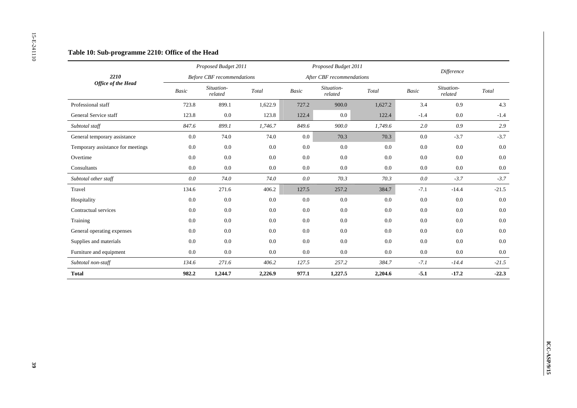|                                   |                          | Proposed Budget 2011              |                        |                          | Proposed Budget 2011      |                                             |                          | Difference            |                                             |
|-----------------------------------|--------------------------|-----------------------------------|------------------------|--------------------------|---------------------------|---------------------------------------------|--------------------------|-----------------------|---------------------------------------------|
| 2210                              |                          | <b>Before CBF</b> recommendations |                        |                          | After CBF recommendations |                                             |                          |                       |                                             |
| <b>Office of the Head</b>         | $\label{eq:basic} Basic$ | Situation-<br>related             | $\operatorname{Total}$ | $\label{eq:basic} Basic$ | Situation-<br>related     | $\operatorname{\mathcal{T}\!\mathit{otal}}$ | $\label{eq:basic} Basic$ | Situation-<br>related | $\operatorname{\mathcal{T}\!\mathit{otal}}$ |
| Professional staff                | 723.8                    | 899.1                             | 1,622.9                | 727.2                    | 900.0                     | 1,627.2                                     | 3.4                      | 0.9                   | 4.3                                         |
| General Service staff             | 123.8                    | 0.0                               | 123.8                  | 122.4                    | 0.0                       | 122.4                                       | $-1.4$                   | 0.0                   | $-1.4$                                      |
| Subtotal staff                    | 847.6                    | 899.1                             | 1,746.7                | 849.6                    | 900.0                     | 1,749.6                                     | 2.0                      | 0.9                   | 2.9                                         |
| General temporary assistance      | $0.0\,$                  | 74.0                              | 74.0                   | $0.0\,$                  | 70.3                      | 70.3                                        | $0.0\,$                  | $-3.7$                | $-3.7$                                      |
| Temporary assistance for meetings | $0.0\,$                  | $0.0\,$                           | 0.0                    | 0.0                      | $0.0\,$                   | 0.0                                         | 0.0                      | 0.0                   | $0.0\,$                                     |
| Overtime                          | 0.0                      | 0.0                               | 0.0                    | $0.0\,$                  | 0.0                       | $0.0\,$                                     | 0.0                      | 0.0                   | 0.0                                         |
| $\mbox{{\sc Consider}}$           | 0.0                      | $0.0\,$                           | 0.0                    | $0.0\,$                  | $0.0\,$                   | $0.0\,$                                     | 0.0                      | 0.0                   | $0.0\,$                                     |
| Subtotal other staff              | $0.0\,$                  | $74.0\,$                          | 74.0                   | $0.0\,$                  | 70.3                      | 70.3                                        | $0.0\,$                  | $-3.7$                | $-3.7$                                      |
| Travel                            | 134.6                    | 271.6                             | 406.2                  | 127.5                    | 257.2                     | 384.7                                       | $-7.1$                   | $-14.4$               | $-21.5$                                     |
| Hospitality                       | $0.0\,$                  | $0.0\,$                           | 0.0                    | 0.0                      | 0.0                       | $0.0\,$                                     | 0.0                      | $0.0\,$               | 0.0                                         |
| Contractual services              | 0.0                      | $0.0\,$                           | $0.0\,$                | 0.0                      | $0.0\,$                   | $0.0\,$                                     | 0.0                      | 0.0                   | $0.0\,$                                     |
| Training                          | $0.0\,$                  | $0.0\,$                           | $0.0\,$                | $0.0\,$                  | $0.0\,$                   | $0.0\,$                                     | $0.0\,$                  | $0.0\,$               | $0.0\,$                                     |
| General operating expenses        | $0.0\,$                  | $0.0\,$                           | $0.0\,$                | $0.0\,$                  | $0.0\,$                   | $0.0\,$                                     | $0.0\,$                  | 0.0                   | $0.0\,$                                     |
| Supplies and materials            | 0.0                      | $0.0\,$                           | $0.0\,$                | $0.0\,$                  | $0.0\,$                   | 0.0                                         | 0.0                      | $0.0\,$               | $0.0\,$                                     |
| Furniture and equipment           | 0.0                      | $0.0\,$                           | $0.0\,$                | $0.0\,$                  | $0.0\,$                   | $0.0\,$                                     | 0.0                      | $0.0\,$               | $0.0\,$                                     |
| Subtotal non-staff                | 134.6                    | $271.6\,$                         | 406.2                  | 127.5                    | 257.2                     | 384.7                                       | $-7.1$                   | $-14.4$               | $-21.5$                                     |
| <b>Total</b>                      | 982.2                    | 1,244.7                           | 2,226.9                | 977.1                    | 1,227.5                   | 2,204.6                                     | $-5.1$                   | $-17.2$               | $-22.3$                                     |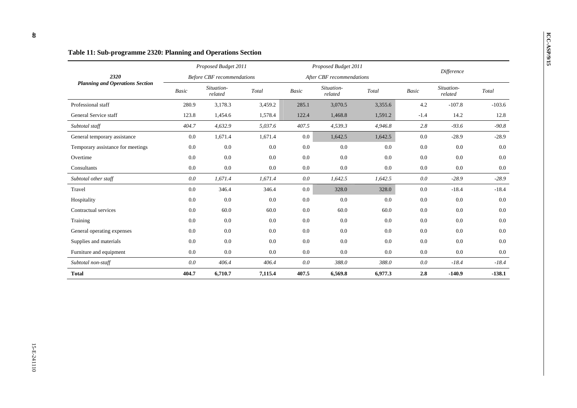|                                        |              | Proposed Budget 2011              |         |              | Proposed Budget 2011      |         |              |                       |          |
|----------------------------------------|--------------|-----------------------------------|---------|--------------|---------------------------|---------|--------------|-----------------------|----------|
| 2320                                   |              | <b>Before CBF</b> recommendations |         |              | After CBF recommendations |         |              | Difference            |          |
| <b>Planning and Operations Section</b> | <b>Basic</b> | Situation-<br>related             | Total   | <b>Basic</b> | Situation-<br>related     | Total   | <b>Basic</b> | Situation-<br>related | Total    |
| Professional staff                     | 280.9        | 3,178.3                           | 3,459.2 | 285.1        | 3,070.5                   | 3,355.6 | 4.2          | $-107.8$              | $-103.6$ |
| General Service staff                  | 123.8        | 1,454.6                           | 1,578.4 | 122.4        | 1,468.8                   | 1,591.2 | $-1.4$       | 14.2                  | 12.8     |
| Subtotal staff                         | 404.7        | 4,632.9                           | 5,037.6 | 407.5        | 4,539.3                   | 4,946.8 | 2.8          | $-93.6$               | $-90.8$  |
| General temporary assistance           | 0.0          | 1,671.4                           | 1,671.4 | $0.0\,$      | 1,642.5                   | 1,642.5 | 0.0          | $-28.9$               | $-28.9$  |
| Temporary assistance for meetings      | 0.0          | 0.0                               | 0.0     | 0.0          | 0.0                       | 0.0     | 0.0          | 0.0                   | 0.0      |
| Overtime                               | 0.0          | 0.0                               | 0.0     | 0.0          | 0.0                       | 0.0     | 0.0          | 0.0                   | $0.0\,$  |
| Consultants                            | 0.0          | 0.0                               | 0.0     | 0.0          | 0.0                       | 0.0     | $0.0\,$      | 0.0                   | $0.0\,$  |
| Subtotal other staff                   | 0.0          | 1,671.4                           | 1,671.4 | 0.0          | 1,642.5                   | 1,642.5 | 0.0          | $-28.9$               | $-28.9$  |
| Travel                                 | 0.0          | 346.4                             | 346.4   | 0.0          | 328.0                     | 328.0   | 0.0          | $-18.4$               | $-18.4$  |
| Hospitality                            | 0.0          | 0.0                               | 0.0     | 0.0          | 0.0                       | 0.0     | 0.0          | 0.0                   | 0.0      |
| Contractual services                   | 0.0          | 60.0                              | 60.0    | 0.0          | 60.0                      | 60.0    | 0.0          | 0.0                   | 0.0      |
| Training                               | 0.0          | 0.0                               | 0.0     | 0.0          | 0.0                       | $0.0\,$ | $0.0\,$      | 0.0                   | $0.0\,$  |
| General operating expenses             | 0.0          | 0.0                               | 0.0     | 0.0          | 0.0                       | 0.0     | 0.0          | 0.0                   | 0.0      |
| Supplies and materials                 | 0.0          | 0.0                               | 0.0     | 0.0          | 0.0                       | 0.0     | 0.0          | 0.0                   | 0.0      |
| Furniture and equipment                | 0.0          | 0.0                               | 0.0     | 0.0          | 0.0                       | 0.0     | 0.0          | 0.0                   | $0.0\,$  |
| Subtotal non-staff                     | 0.0          | 406.4                             | 406.4   | 0.0          | 388.0                     | 388.0   | 0.0          | $-18.4$               | $-18.4$  |
| <b>Total</b>                           | 404.7        | 6,710.7                           | 7,115.4 | 407.5        | 6,569.8                   | 6,977.3 | 2.8          | $-140.9$              | $-138.1$ |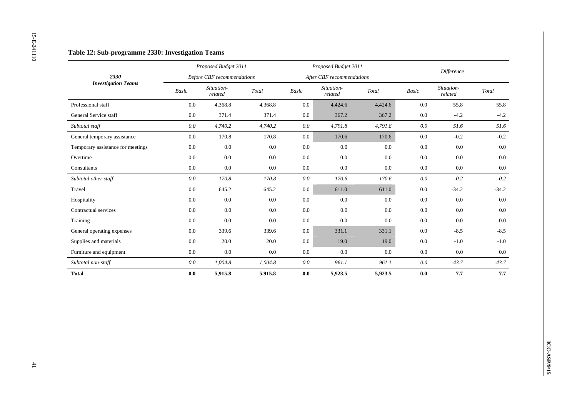|                                   |                | Proposed Budget 2011              |                        |                          | Proposed Budget 2011      |                                             |         | Difference            |                                             |
|-----------------------------------|----------------|-----------------------------------|------------------------|--------------------------|---------------------------|---------------------------------------------|---------|-----------------------|---------------------------------------------|
| 2330                              |                | <b>Before CBF</b> recommendations |                        |                          | After CBF recommendations |                                             |         |                       |                                             |
| <b>Investigation Teams</b>        | Basic          | Situation-<br>related             | $\operatorname{Total}$ | $\label{eq:basic} Basic$ | Situation-<br>related     | $\operatorname{\mathcal{T}\!\mathit{otal}}$ | Basic   | Situation-<br>related | $\operatorname{\mathcal{T}\!\mathit{otal}}$ |
| Professional staff                | $0.0\,$        | 4,368.8                           | 4,368.8                | $0.0\,$                  | 4,424.6                   | 4,424.6                                     | $0.0\,$ | 55.8                  | 55.8                                        |
| General Service staff             | $0.0\,$        | 371.4                             | 371.4                  | $0.0\,$                  | 367.2                     | 367.2                                       | $0.0\,$ | $-4.2$                | $-4.2$                                      |
| Subtotal staff                    | $0.0\,$        | 4,740.2                           | 4,740.2                | $0.0\,$                  | 4,791.8                   | 4,791.8                                     | 0.0     | 51.6                  | 51.6                                        |
| General temporary assistance      | $0.0\,$        | 170.8                             | 170.8                  | $0.0\,$                  | 170.6                     | 170.6                                       | $0.0\,$ | $-0.2$                | $-0.2$                                      |
| Temporary assistance for meetings | 0.0            | $0.0\,$                           | $0.0\,$                | 0.0                      | $0.0\,$                   | 0.0                                         | 0.0     | 0.0                   | $0.0\,$                                     |
| Overtime                          | $0.0\,$        | 0.0                               | 0.0                    | 0.0                      | 0.0                       | 0.0                                         | $0.0\,$ | 0.0                   | $0.0\,$                                     |
| Consultants                       | 0.0            | $0.0\,$                           | $0.0\,$                | $0.0\,$                  | $0.0\,$                   | $0.0\,$                                     | 0.0     | 0.0                   | $0.0\,$                                     |
| Subtotal other staff              | $0.0\,$        | 170.8                             | 170.8                  | $0.0\,$                  | 170.6                     | 170.6                                       | $0.0\,$ | $-0.2$                | $-0.2$                                      |
| Travel                            | $0.0\,$        | 645.2                             | 645.2                  | $0.0\,$                  | 611.0                     | 611.0                                       | $0.0\,$ | $-34.2$               | $-34.2$                                     |
| Hospitality                       | $0.0\,$        | 0.0                               | 0.0                    | 0.0                      | 0.0                       | $0.0\,$                                     | $0.0\,$ | 0.0                   | $0.0\,$                                     |
| Contractual services              | 0.0            | 0.0                               | 0.0                    | 0.0                      | 0.0                       | $0.0\,$                                     | 0.0     | 0.0                   | $0.0\,$                                     |
| Training                          | $0.0\,$        | 0.0                               | 0.0                    | $0.0\,$                  | $0.0\,$                   | $0.0\,$                                     | $0.0\,$ | 0.0                   | $0.0\,$                                     |
| General operating expenses        | $0.0\,$        | 339.6                             | 339.6                  | $0.0\,$                  | 331.1                     | 331.1                                       | $0.0\,$ | $-8.5$                | $-8.5$                                      |
| Supplies and materials            | 0.0            | 20.0                              | 20.0                   | $0.0\,$                  | 19.0                      | 19.0                                        | 0.0     | $-1.0$                | $-1.0\,$                                    |
| Furniture and equipment           | 0.0            | $0.0\,$                           | 0.0                    | 0.0                      | $0.0\,$                   | 0.0                                         | 0.0     | $0.0\,$               | $0.0\,$                                     |
| Subtotal non-staff                | $0.0\,$        | 1,004.8                           | 1,004.8                | $0.0\,$                  | 961.1                     | 961.1                                       | $0.0\,$ | $-43.7$               | $-43.7$                                     |
| <b>Total</b>                      | $\mathbf{0.0}$ | 5,915.8                           | 5,915.8                | $0.0\,$                  | 5,923.5                   | 5,923.5                                     | $0.0\,$ | 7.7                   | 7.7                                         |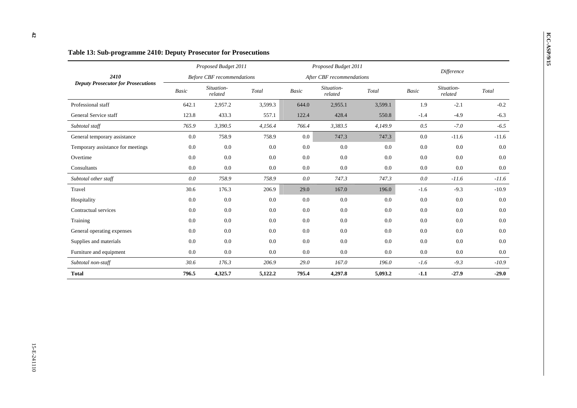|                                           |              | Proposed Budget 2011              |         |              | Proposed Budget 2011      |         |              |                       |         |
|-------------------------------------------|--------------|-----------------------------------|---------|--------------|---------------------------|---------|--------------|-----------------------|---------|
| 2410                                      |              | <b>Before CBF</b> recommendations |         |              | After CBF recommendations |         |              | <b>Difference</b>     |         |
| <b>Deputy Prosecutor for Prosecutions</b> | <b>Basic</b> | Situation-<br>related             | Total   | <b>Basic</b> | Situation-<br>related     | Total   | <b>Basic</b> | Situation-<br>related | Total   |
| Professional staff                        | 642.1        | 2,957.2                           | 3,599.3 | 644.0        | 2,955.1                   | 3,599.1 | 1.9          | $-2.1$                | $-0.2$  |
| General Service staff                     | 123.8        | 433.3                             | 557.1   | 122.4        | 428.4                     | 550.8   | $-1.4$       | $-4.9$                | $-6.3$  |
| Subtotal staff                            | 765.9        | 3,390.5                           | 4,156.4 | 766.4        | 3,383.5                   | 4,149.9 | 0.5          | $-7.0$                | $-6.5$  |
| General temporary assistance              | 0.0          | 758.9                             | 758.9   | $0.0\,$      | 747.3                     | 747.3   | 0.0          | $-11.6$               | $-11.6$ |
| Temporary assistance for meetings         | 0.0          | 0.0                               | 0.0     | 0.0          | 0.0                       | 0.0     | 0.0          | 0.0                   | 0.0     |
| Overtime                                  | 0.0          | 0.0                               | 0.0     | 0.0          | 0.0                       | 0.0     | 0.0          | 0.0                   | 0.0     |
| Consultants                               | 0.0          | 0.0                               | 0.0     | $0.0\,$      | 0.0                       | 0.0     | $0.0\,$      | 0.0                   | 0.0     |
| Subtotal other staff                      | 0.0          | 758.9                             | 758.9   | 0.0          | 747.3                     | 747.3   | 0.0          | $-11.6$               | $-11.6$ |
| Travel                                    | 30.6         | 176.3                             | 206.9   | 29.0         | 167.0                     | 196.0   | $-1.6$       | $-9.3$                | $-10.9$ |
| Hospitality                               | 0.0          | 0.0                               | 0.0     | 0.0          | 0.0                       | 0.0     | 0.0          | 0.0                   | 0.0     |
| Contractual services                      | 0.0          | 0.0                               | 0.0     | 0.0          | 0.0                       | 0.0     | 0.0          | 0.0                   | 0.0     |
| Training                                  | 0.0          | 0.0                               | 0.0     | 0.0          | 0.0                       | 0.0     | 0.0          | 0.0                   | 0.0     |
| General operating expenses                | 0.0          | 0.0                               | 0.0     | 0.0          | 0.0                       | 0.0     | 0.0          | 0.0                   | 0.0     |
| Supplies and materials                    | 0.0          | 0.0                               | 0.0     | 0.0          | 0.0                       | 0.0     | 0.0          | 0.0                   | 0.0     |
| Furniture and equipment                   | 0.0          | 0.0                               | 0.0     | $0.0\,$      | 0.0                       | 0.0     | 0.0          | 0.0                   | $0.0\,$ |
| Subtotal non-staff                        | 30.6         | 176.3                             | 206.9   | 29.0         | 167.0                     | 196.0   | $-1.6$       | $-9.3$                | $-10.9$ |
| <b>Total</b>                              | 796.5        | 4,325.7                           | 5,122.2 | 795.4        | 4,297.8                   | 5,093.2 | $-1.1$       | $-27.9$               | $-29.0$ |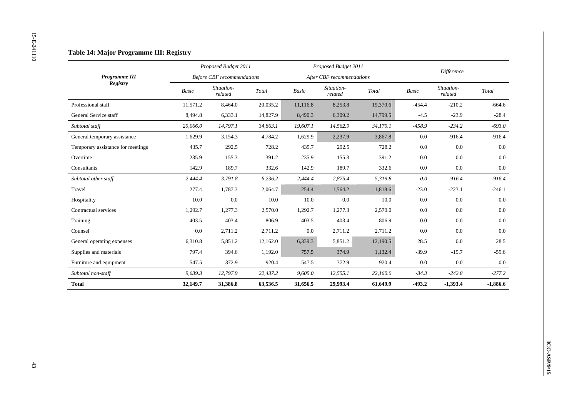|                                   |          | Proposed Budget 2011              |                                             |          | Proposed Budget 2011      |                                             |          | Difference            |                        |
|-----------------------------------|----------|-----------------------------------|---------------------------------------------|----------|---------------------------|---------------------------------------------|----------|-----------------------|------------------------|
| Programme III                     |          | <b>Before CBF</b> recommendations |                                             |          | After CBF recommendations |                                             |          |                       |                        |
| Registry                          | Basic    | Situation-<br>related             | $\operatorname{\mathcal{T}\!\mathit{otal}}$ | Basic    | Situation-<br>related     | $\operatorname{\mathcal{T}\!\mathit{otal}}$ | Basic    | Situation-<br>related | $\operatorname{Total}$ |
| Professional staff                | 11,571.2 | 8,464.0                           | 20,035.2                                    | 11,116.8 | 8,253.8                   | 19,370.6                                    | $-454.4$ | $-210.2$              | $-664.6$               |
| General Service staff             | 8,494.8  | 6,333.1                           | 14,827.9                                    | 8,490.3  | 6,309.2                   | 14,799.5                                    | $-4.5$   | $-23.9$               | $-28.4$                |
| Subtotal staff                    | 20,066.0 | 14,797.1                          | 34,863.1                                    | 19,607.1 | 14,562.9                  | 34,170.1                                    | $-458.9$ | $-234.2$              | $-693.0$               |
| General temporary assistance      | 1,629.9  | 3,154.3                           | 4,784.2                                     | 1,629.9  | 2,237.9                   | 3,867.8                                     | $0.0\,$  | $-916.4$              | $-916.4$               |
| Temporary assistance for meetings | 435.7    | 292.5                             | 728.2                                       | 435.7    | 292.5                     | 728.2                                       | 0.0      | 0.0                   | $0.0\,$                |
| Overtime                          | 235.9    | 155.3                             | 391.2                                       | 235.9    | 155.3                     | 391.2                                       | 0.0      | 0.0                   | 0.0                    |
| Consultants                       | 142.9    | 189.7                             | 332.6                                       | 142.9    | 189.7                     | 332.6                                       | 0.0      | $0.0\,$               | $0.0\,$                |
| Subtotal other staff              | 2,444.4  | 3,791.8                           | 6,236.2                                     | 2,444.4  | 2,875.4                   | 5,319.8                                     | $0.0\,$  | $-916.4$              | $-916.4$               |
| Travel                            | 277.4    | 1,787.3                           | 2,064.7                                     | 254.4    | 1,564.2                   | 1,818.6                                     | $-23.0$  | $-223.1$              | $-246.1$               |
| Hospitality                       | 10.0     | 0.0                               | 10.0                                        | 10.0     | $0.0\,$                   | 10.0                                        | 0.0      | 0.0                   | 0.0                    |
| Contractual services              | 1,292.7  | 1,277.3                           | 2,570.0                                     | 1,292.7  | 1,277.3                   | 2,570.0                                     | 0.0      | 0.0                   | $0.0\,$                |
| Training                          | 403.5    | 403.4                             | 806.9                                       | 403.5    | 403.4                     | 806.9                                       | $0.0\,$  | $0.0\,$               | $0.0\,$                |
| Counsel                           | $0.0\,$  | 2,711.2                           | 2,711.2                                     | $0.0\,$  | 2,711.2                   | 2,711.2                                     | $0.0\,$  | $0.0\,$               | $0.0\,$                |
| General operating expenses        | 6,310.8  | 5,851.2                           | 12,162.0                                    | 6,339.3  | 5,851.2                   | 12,190.5                                    | 28.5     | $0.0\,$               | 28.5                   |
| Supplies and materials            | 797.4    | 394.6                             | 1,192.0                                     | 757.5    | 374.9                     | 1,132.4                                     | $-39.9$  | $-19.7$               | $-59.6$                |
| Furniture and equipment           | 547.5    | 372.9                             | 920.4                                       | 547.5    | 372.9                     | 920.4                                       | $0.0\,$  | $0.0\,$               | $0.0\,$                |
| Subtotal non-staff                | 9,639.3  | 12,797.9                          | 22,437.2                                    | 9,605.0  | 12,555.1                  | 22,160.0                                    | $-34.3$  | $-242.8$              | $-277.2$               |
| <b>Total</b>                      | 32,149.7 | 31,386.8                          | 63,536.5                                    | 31,656.5 | 29,993.4                  | 61,649.9                                    | $-493.2$ | $-1,393.4$            | $-1,886.6$             |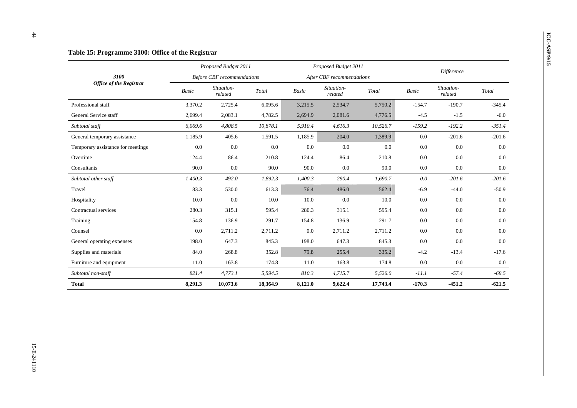|                                   |         | Proposed Budget 2011              |          |              | Proposed Budget 2011      |          |          |                       |          |
|-----------------------------------|---------|-----------------------------------|----------|--------------|---------------------------|----------|----------|-----------------------|----------|
| 3100                              |         | <b>Before CBF</b> recommendations |          |              | After CBF recommendations |          |          | <b>Difference</b>     |          |
| <b>Office of the Registrar</b>    | Basic   | Situation-<br>related             | Total    | <b>Basic</b> | Situation-<br>related     | Total    | Basic    | Situation-<br>related | Total    |
| Professional staff                | 3,370.2 | 2,725.4                           | 6,095.6  | 3,215.5      | 2,534.7                   | 5,750.2  | $-154.7$ | $-190.7$              | $-345.4$ |
| General Service staff             | 2,699.4 | 2,083.1                           | 4,782.5  | 2,694.9      | 2,081.6                   | 4,776.5  | $-4.5$   | $-1.5$                | $-6.0$   |
| Subtotal staff                    | 6,069.6 | 4,808.5                           | 10,878.1 | 5,910.4      | 4,616.3                   | 10,526.7 | $-159.2$ | $-192.2$              | $-351.4$ |
| General temporary assistance      | 1,185.9 | 405.6                             | 1,591.5  | 1,185.9      | 204.0                     | 1,389.9  | 0.0      | $-201.6$              | $-201.6$ |
| Temporary assistance for meetings | 0.0     | 0.0                               | 0.0      | 0.0          | 0.0                       | 0.0      | 0.0      | 0.0                   | 0.0      |
| Overtime                          | 124.4   | 86.4                              | 210.8    | 124.4        | 86.4                      | 210.8    | 0.0      | 0.0                   | 0.0      |
| Consultants                       | 90.0    | 0.0                               | 90.0     | 90.0         | 0.0                       | 90.0     | 0.0      | 0.0                   | $0.0\,$  |
| Subtotal other staff              | 1,400.3 | 492.0                             | 1,892.3  | 1,400.3      | 290.4                     | 1,690.7  | 0.0      | $-201.6$              | $-201.6$ |
| Travel                            | 83.3    | 530.0                             | 613.3    | 76.4         | 486.0                     | 562.4    | $-6.9$   | $-44.0$               | $-50.9$  |
| Hospitality                       | 10.0    | 0.0                               | 10.0     | 10.0         | 0.0                       | 10.0     | 0.0      | 0.0                   | 0.0      |
| Contractual services              | 280.3   | 315.1                             | 595.4    | 280.3        | 315.1                     | 595.4    | 0.0      | 0.0                   | 0.0      |
| Training                          | 154.8   | 136.9                             | 291.7    | 154.8        | 136.9                     | 291.7    | 0.0      | 0.0                   | 0.0      |
| Counsel                           | 0.0     | 2,711.2                           | 2,711.2  | 0.0          | 2,711.2                   | 2,711.2  | 0.0      | 0.0                   | 0.0      |
| General operating expenses        | 198.0   | 647.3                             | 845.3    | 198.0        | 647.3                     | 845.3    | 0.0      | 0.0                   | 0.0      |
| Supplies and materials            | 84.0    | 268.8                             | 352.8    | 79.8         | 255.4                     | 335.2    | $-4.2$   | $-13.4$               | $-17.6$  |
| Furniture and equipment           | 11.0    | 163.8                             | 174.8    | 11.0         | 163.8                     | 174.8    | 0.0      | 0.0                   | 0.0      |
| Subtotal non-staff                | 821.4   | 4,773.1                           | 5,594.5  | 810.3        | 4,715.7                   | 5,526.0  | $-11.1$  | $-57.4$               | $-68.5$  |
| <b>Total</b>                      | 8,291.3 | 10,073.6                          | 18,364.9 | 8,121.0      | 9,622.4                   | 17,743.4 | $-170.3$ | $-451.2$              | $-621.5$ |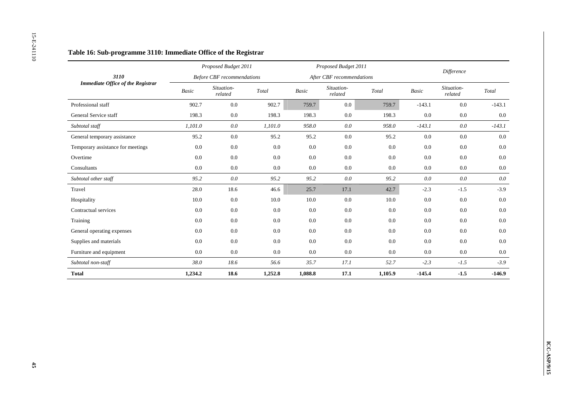|                                          |                          | Proposed Budget 2011              |                                             |         | Proposed Budget 2011      |                                             |          | Difference            |                                             |
|------------------------------------------|--------------------------|-----------------------------------|---------------------------------------------|---------|---------------------------|---------------------------------------------|----------|-----------------------|---------------------------------------------|
| 3110                                     |                          | <b>Before CBF</b> recommendations |                                             |         | After CBF recommendations |                                             |          |                       |                                             |
| <b>Immediate Office of the Registrar</b> | $\label{eq:basic} Basic$ | Situation-<br>related             | $\operatorname{\mathcal{T}\!\mathit{otal}}$ | Basic   | Situation-<br>related     | $\operatorname{\mathcal{T}\!\mathit{otal}}$ | Basic    | Situation-<br>related | $\operatorname{\mathcal{T}\!\mathit{otal}}$ |
| Professional staff                       | 902.7                    | $0.0\,$                           | 902.7                                       | 759.7   | $0.0\,$                   | 759.7                                       | $-143.1$ | $0.0\,$               | $-143.1$                                    |
| General Service staff                    | 198.3                    | $0.0\,$                           | 198.3                                       | 198.3   | 0.0                       | 198.3                                       | 0.0      | 0.0                   | $0.0\,$                                     |
| Subtotal staff                           | 1,101.0                  | $0.0\,$                           | 1,101.0                                     | 958.0   | $0.0\,$                   | 958.0                                       | $-143.1$ | $0.0\,$               | $-143.1$                                    |
| General temporary assistance             | 95.2                     | $0.0\,$                           | 95.2                                        | 95.2    | $0.0\,$                   | 95.2                                        | $0.0\,$  | $0.0\,$               | $0.0\,$                                     |
| Temporary assistance for meetings        | 0.0                      | $0.0\,$                           | 0.0                                         | $0.0\,$ | $0.0\,$                   | 0.0                                         | $0.0\,$  | $0.0\,$               | $0.0\,$                                     |
| Overtime                                 | 0.0                      | $0.0\,$                           | 0.0                                         | 0.0     | $0.0\,$                   | 0.0                                         | $0.0\,$  | 0.0                   | $0.0\,$                                     |
| $\mbox{{\sc Consider}}$                  | 0.0                      | $0.0\,$                           | $0.0\,$                                     | $0.0\,$ | $0.0\,$                   | 0.0                                         | $0.0\,$  | 0.0                   | $0.0\,$                                     |
| Subtotal other staff                     | 95.2                     | $0.0\,$                           | 95.2                                        | 95.2    | $0.0\,$                   | 95.2                                        | $0.0\,$  | $0.0\,$               | $0.0\,$                                     |
| Travel                                   | 28.0                     | 18.6                              | 46.6                                        | 25.7    | 17.1                      | 42.7                                        | $-2.3$   | $-1.5$                | $-3.9$                                      |
| Hospitality                              | 10.0                     | $0.0\,$                           | 10.0                                        | 10.0    | $0.0\,$                   | 10.0                                        | 0.0      | 0.0                   | $0.0\,$                                     |
| Contractual services                     | 0.0                      | $0.0\,$                           | 0.0                                         | $0.0\,$ | 0.0                       | 0.0                                         | $0.0\,$  | 0.0                   | $0.0\,$                                     |
| Training                                 | 0.0                      | $0.0\,$                           | 0.0                                         | $0.0\,$ | $0.0\,$                   | 0.0                                         | $0.0\,$  | $0.0\,$               | $0.0\,$                                     |
| General operating expenses               | 0.0                      | $0.0\,$                           | $0.0\,$                                     | $0.0\,$ | $0.0\,$                   | 0.0                                         | $0.0\,$  | $0.0\,$               | $0.0\,$                                     |
| Supplies and materials                   | $0.0\,$                  | $0.0\,$                           | 0.0                                         | 0.0     | $0.0\,$                   | 0.0                                         | $0.0\,$  | $0.0\,$               | $0.0\,$                                     |
| Furniture and equipment                  | 0.0                      | $0.0\,$                           | 0.0                                         | $0.0\,$ | $0.0\,$                   | $0.0\,$                                     | 0.0      | $0.0\,$               | $0.0\,$                                     |
| Subtotal non-staff                       | $38.0\,$                 | $18.6\,$                          | 56.6                                        | 35.7    | 17.1                      | 52.7                                        | $-2.3$   | $-1.5$                | $-3.9$                                      |
| <b>Total</b>                             | 1,234.2                  | 18.6                              | 1,252.8                                     | 1,088.8 | 17.1                      | 1,105.9                                     | $-145.4$ | $-1.5$                | $-146.9$                                    |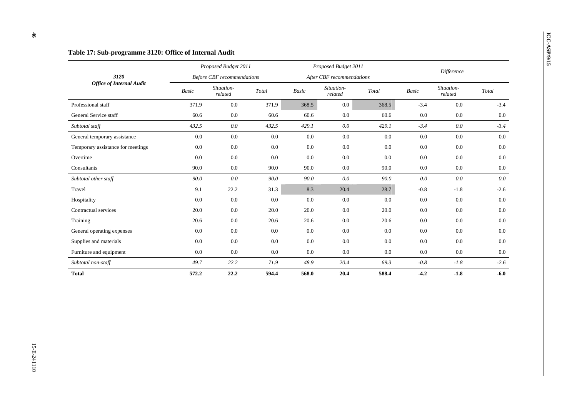|                                   |       | Proposed Budget 2011              |       |              | Proposed Budget 2011      |         |              |                       |         |
|-----------------------------------|-------|-----------------------------------|-------|--------------|---------------------------|---------|--------------|-----------------------|---------|
| 3120                              |       | <b>Before CBF</b> recommendations |       |              | After CBF recommendations |         |              | Difference            |         |
| <b>Office of Internal Audit</b>   | Basic | Situation-<br>related             | Total | <b>Basic</b> | Situation-<br>related     | Total   | <b>Basic</b> | Situation-<br>related | Total   |
| Professional staff                | 371.9 | 0.0                               | 371.9 | 368.5        | 0.0                       | 368.5   | $-3.4$       | 0.0                   | $-3.4$  |
| General Service staff             | 60.6  | 0.0                               | 60.6  | 60.6         | 0.0                       | 60.6    | 0.0          | 0.0                   | 0.0     |
| Subtotal staff                    | 432.5 | $0.0\,$                           | 432.5 | 429.1        | $0.0\,$                   | 429.1   | $-3.4$       | $0.0\,$               | $-3.4$  |
| General temporary assistance      | 0.0   | 0.0                               | 0.0   | 0.0          | 0.0                       | 0.0     | 0.0          | 0.0                   | 0.0     |
| Temporary assistance for meetings | 0.0   | 0.0                               | 0.0   | 0.0          | $0.0\,$                   | $0.0\,$ | 0.0          | 0.0                   | 0.0     |
| Overtime                          | 0.0   | 0.0                               | 0.0   | 0.0          | 0.0                       | 0.0     | 0.0          | 0.0                   | 0.0     |
| Consultants                       | 90.0  | 0.0                               | 90.0  | 90.0         | 0.0                       | 90.0    | 0.0          | 0.0                   | 0.0     |
| Subtotal other staff              | 90.0  | 0.0                               | 90.0  | 90.0         | 0.0                       | 90.0    | 0.0          | 0.0                   | 0.0     |
| Travel                            | 9.1   | 22.2                              | 31.3  | 8.3          | 20.4                      | 28.7    | $-0.8$       | $-1.8$                | $-2.6$  |
| Hospitality                       | 0.0   | 0.0                               | 0.0   | 0.0          | 0.0                       | 0.0     | 0.0          | 0.0                   | 0.0     |
| Contractual services              | 20.0  | 0.0                               | 20.0  | 20.0         | 0.0                       | 20.0    | 0.0          | 0.0                   | 0.0     |
| Training                          | 20.6  | 0.0                               | 20.6  | 20.6         | 0.0                       | 20.6    | 0.0          | 0.0                   | $0.0\,$ |
| General operating expenses        | 0.0   | 0.0                               | 0.0   | 0.0          | 0.0                       | 0.0     | 0.0          | 0.0                   | 0.0     |
| Supplies and materials            | 0.0   | 0.0                               | 0.0   | 0.0          | 0.0                       | 0.0     | 0.0          | 0.0                   | 0.0     |
| Furniture and equipment           | 0.0   | 0.0                               | 0.0   | 0.0          | 0.0                       | 0.0     | 0.0          | 0.0                   | 0.0     |
| Subtotal non-staff                | 49.7  | 22.2                              | 71.9  | 48.9         | 20.4                      | 69.3    | $-0.8$       | $-1.8$                | $-2.6$  |
| <b>Total</b>                      | 572.2 | 22.2                              | 594.4 | 568.0        | 20.4                      | 588.4   | $-4.2$       | $-1.8$                | $-6.0$  |

 $46\,$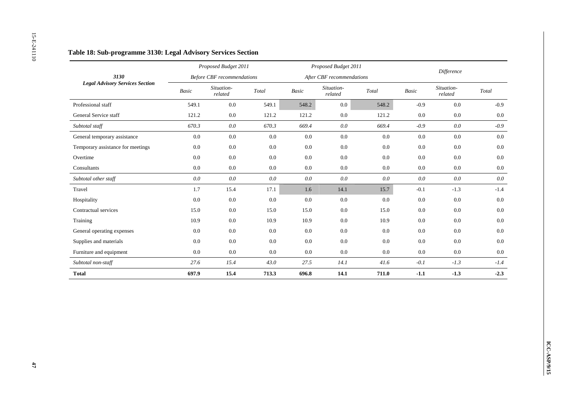|                                        |         | Proposed Budget 2011              |                        |                          | Proposed Budget 2011      |                                             |                          | Difference            |                        |
|----------------------------------------|---------|-----------------------------------|------------------------|--------------------------|---------------------------|---------------------------------------------|--------------------------|-----------------------|------------------------|
| 3130                                   |         | <b>Before CBF</b> recommendations |                        |                          | After CBF recommendations |                                             |                          |                       |                        |
| <b>Legal Advisory Services Section</b> | Basic   | Situation-<br>related             | $\operatorname{Total}$ | $\label{eq:basic} Basic$ | Situation-<br>related     | $\operatorname{\mathcal{T}\!\mathit{otal}}$ | $\label{eq:basic} Basic$ | Situation-<br>related | $\operatorname{Total}$ |
| Professional staff                     | 549.1   | $0.0\,$                           | 549.1                  | 548.2                    | $0.0\,$                   | 548.2                                       | $-0.9$                   | 0.0                   | $-0.9$                 |
| General Service staff                  | 121.2   | $0.0\,$                           | 121.2                  | 121.2                    | $0.0\,$                   | 121.2                                       | $0.0\,$                  | $0.0\,$               | $0.0\,$                |
| Subtotal staff                         | 670.3   | $0.0\,$                           | 670.3                  | 669.4                    | $0.0\,$                   | 669.4                                       | $-0.9$                   | $0.0\,$               | $-0.9$                 |
| General temporary assistance           | $0.0\,$ | $0.0\,$                           | $0.0\,$                | $0.0\,$                  | $0.0\,$                   | $0.0\,$                                     | $0.0\,$                  | $0.0\,$               | $0.0\,$                |
| Temporary assistance for meetings      | $0.0\,$ | $0.0\,$                           | 0.0                    | $0.0\,$                  | $0.0\,$                   | $0.0\,$                                     | $0.0\,$                  | $0.0\,$               | $0.0\,$                |
| Overtime                               | $0.0\,$ | 0.0                               | 0.0                    | 0.0                      | $0.0\,$                   | $0.0\,$                                     | 0.0                      | $0.0\,$               | $0.0\,$                |
| Consultants                            | $0.0\,$ | $0.0\,$                           | $0.0\,$                | $0.0\,$                  | $0.0\,$                   | $0.0\,$                                     | 0.0                      | $0.0\,$               | $0.0\,$                |
| Subtotal other staff                   | $0.0\,$ | $0.0\,$                           | $0.0\,$                | $0.0\,$                  | $0.0\,$                   | $0.0\,$                                     | $0.0\,$                  | $0.0\,$               | $0.0\,$                |
| Travel                                 | 1.7     | 15.4                              | 17.1                   | 1.6                      | 14.1                      | 15.7                                        | $-0.1$                   | $-1.3$                | $-1.4$                 |
| Hospitality                            | $0.0\,$ | 0.0                               | $0.0\,$                | $0.0\,$                  | $0.0\,$                   | 0.0                                         | $0.0\,$                  | $0.0\,$               | 0.0                    |
| Contractual services                   | 15.0    | $0.0\,$                           | 15.0                   | 15.0                     | $0.0\,$                   | 15.0                                        | 0.0                      | $0.0\,$               | $0.0\,$                |
| Training                               | 10.9    | $0.0\,$                           | $10.9\,$               | 10.9                     | $0.0\,$                   | 10.9                                        | $0.0\,$                  | $0.0\,$               | $0.0\,$                |
| General operating expenses             | $0.0\,$ | $0.0\,$                           | 0.0                    | $0.0\,$                  | $0.0\,$                   | $0.0\,$                                     | $0.0\,$                  | $0.0\,$               | $0.0\,$                |
| Supplies and materials                 | $0.0\,$ | $0.0\,$                           | $0.0\,$                | $0.0\,$                  | $0.0\,$                   | $0.0\,$                                     | $0.0\,$                  | $0.0\,$               | $0.0\,$                |
| Furniture and equipment                | 0.0     | $0.0\,$                           | $0.0\,$                | $0.0\,$                  | $0.0\,$                   | $0.0\,$                                     | $0.0\,$                  | $0.0\,$               | $0.0\,$                |
| Subtotal non-staff                     | 27.6    | 15.4                              | 43.0                   | 27.5                     | 14.1                      | $41.6\,$                                    | $\hbox{-} 0.1$           | $-1.3$                | $-1.4$                 |
| <b>Total</b>                           | 697.9   | 15.4                              | 713.3                  | 696.8                    | 14.1                      | 711.0                                       | $-1.1$                   | $-1.3$                | $-2.3$                 |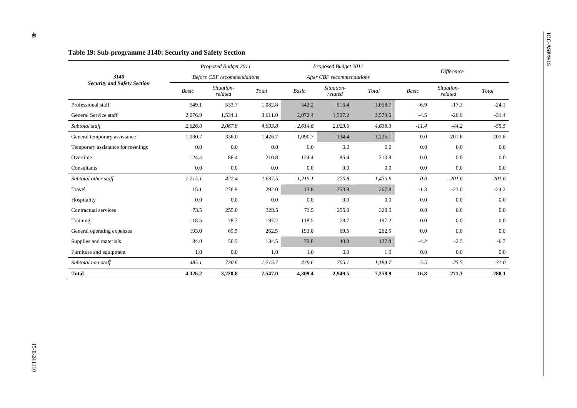|                                    |         | Proposed Budget 2011              |         |              | Proposed Budget 2011      |         |              |                       |          |
|------------------------------------|---------|-----------------------------------|---------|--------------|---------------------------|---------|--------------|-----------------------|----------|
| 3140                               |         | <b>Before CBF</b> recommendations |         |              | After CBF recommendations |         |              | Difference            |          |
| <b>Security and Safety Section</b> | Basic   | Situation-<br>related             | Total   | <b>Basic</b> | Situation-<br>related     | Total   | <b>Basic</b> | Situation-<br>related | Total    |
| Professional staff                 | 549.1   | 533.7                             | 1,082.8 | 542.2        | 516.4                     | 1,058.7 | $-6.9$       | $-17.3$               | $-24.1$  |
| General Service staff              | 2,076.9 | 1,534.1                           | 3,611.0 | 2,072.4      | 1,507.2                   | 3,579.6 | $-4.5$       | $-26.9$               | $-31.4$  |
| Subtotal staff                     | 2,626.0 | 2,067.8                           | 4,693.8 | 2,614.6      | 2,023.6                   | 4,638.3 | $-11.4$      | $-44.2$               | $-55.5$  |
| General temporary assistance       | 1,090.7 | 336.0                             | 1,426.7 | 1,090.7      | 134.4                     | 1,225.1 | 0.0          | $-201.6$              | $-201.6$ |
| Temporary assistance for meetings  | 0.0     | $0.0\,$                           | 0.0     | 0.0          | 0.0                       | 0.0     | 0.0          | 0.0                   | 0.0      |
| Overtime                           | 124.4   | 86.4                              | 210.8   | 124.4        | 86.4                      | 210.8   | 0.0          | 0.0                   | 0.0      |
| Consultants                        | 0.0     | 0.0                               | 0.0     | 0.0          | 0.0                       | 0.0     | 0.0          | 0.0                   | 0.0      |
| Subtotal other staff               | 1,215.1 | 422.4                             | 1,637.5 | 1,215.1      | 220.8                     | 1,435.9 | 0.0          | $-201.6$              | $-201.6$ |
| Travel                             | 15.1    | 276.9                             | 292.0   | 13.8         | 253.9                     | 267.8   | $-1.3$       | $-23.0$               | $-24.2$  |
| Hospitality                        | 0.0     | 0.0                               | 0.0     | 0.0          | 0.0                       | 0.0     | 0.0          | 0.0                   | 0.0      |
| Contractual services               | 73.5    | 255.0                             | 328.5   | 73.5         | 255.0                     | 328.5   | 0.0          | 0.0                   | 0.0      |
| Training                           | 118.5   | 78.7                              | 197.2   | 118.5        | 78.7                      | 197.2   | 0.0          | 0.0                   | $0.0\,$  |
| General operating expenses         | 193.0   | 69.5                              | 262.5   | 193.0        | 69.5                      | 262.5   | 0.0          | 0.0                   | 0.0      |
| Supplies and materials             | 84.0    | 50.5                              | 134.5   | 79.8         | 48.0                      | 127.8   | $-4.2$       | $-2.5$                | $-6.7$   |
| Furniture and equipment            | 1.0     | 0.0                               | 1.0     | 1.0          | 0.0                       | 1.0     | 0.0          | 0.0                   | 0.0      |
| Subtotal non-staff                 | 485.1   | 730.6                             | 1,215.7 | 479.6        | 705.1                     | 1,184.7 | $-5.5$       | $-25.5$               | $-31.0$  |
| <b>Total</b>                       | 4,326.2 | 3,220.8                           | 7,547.0 | 4,309.4      | 2,949.5                   | 7,258.9 | $-16.8$      | $-271.3$              | $-288.1$ |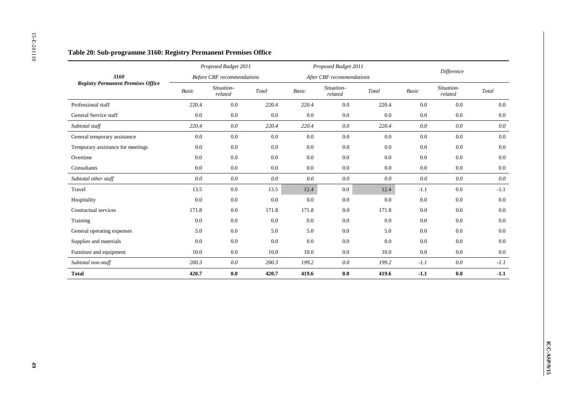|                                           |         | Proposed Budget 2011              |                        |                          | Proposed Budget 2011      |                                             |                | Difference            |                                             |
|-------------------------------------------|---------|-----------------------------------|------------------------|--------------------------|---------------------------|---------------------------------------------|----------------|-----------------------|---------------------------------------------|
| 3160                                      |         | <b>Before CBF</b> recommendations |                        |                          | After CBF recommendations |                                             |                |                       |                                             |
| <b>Registry Permanent Premises Office</b> | Basic   | Situation-<br>$related$           | $\operatorname{Total}$ | $\label{eq:basic} Basic$ | Situation-<br>related     | $\operatorname{\mathcal{T}\!\mathit{otal}}$ | Basic          | Situation-<br>related | $\operatorname{\mathcal{T}\!\mathit{otal}}$ |
| Professional staff                        | 220.4   | 0.0                               | 220.4                  | 220.4                    | $0.0\,$                   | 220.4                                       | 0.0            | $0.0\,$               | $0.0\,$                                     |
| General Service staff                     | 0.0     | $0.0\,$                           | 0.0                    | 0.0                      | $0.0\,$                   | 0.0                                         | 0.0            | $0.0\,$               | $0.0\,$                                     |
| Subtotal staff                            | 220.4   | $0.0\,$                           | 220.4                  | 220.4                    | $0.0\,$                   | 220.4                                       | $0.0\,$        | $0.0\,$               | $0.0\,$                                     |
| General temporary assistance              | $0.0\,$ | $0.0\,$                           | $0.0\,$                | $0.0\,$                  | $0.0\,$                   | $0.0\,$                                     | $0.0\,$        | $0.0\,$               | $0.0\,$                                     |
| Temporary assistance for meetings         | $0.0\,$ | $0.0\,$                           | $0.0\,$                | 0.0                      | $0.0\,$                   | $0.0\,$                                     | 0.0            | $0.0\,$               | $0.0\,$                                     |
| Overtime                                  | $0.0\,$ | $0.0\,$                           | 0.0                    | 0.0                      | 0.0                       | $0.0\,$                                     | 0.0            | $0.0\,$               | $0.0\,$                                     |
| Consultants                               | 0.0     | $0.0\,$                           | 0.0                    | $0.0\,$                  | 0.0                       | $0.0\,$                                     | 0.0            | $0.0\,$               | $0.0\,$                                     |
| Subtotal other staff                      | $0.0\,$ | $0.0\,$                           | $0.0\,$                | $0.0\,$                  | $0.0\,$                   | $0.0\,$                                     | $0.0\,$        | $0.0\,$               | $0.0\,$                                     |
| Travel                                    | 13.5    | $0.0\,$                           | 13.5                   | 12.4                     | $0.0\,$                   | 12.4                                        | $-1.1$         | $0.0\,$               | $-1.1$                                      |
| Hospitality                               | 0.0     | $0.0\,$                           | 0.0                    | $0.0\,$                  | 0.0                       | 0.0                                         | 0.0            | $0.0\,$               | $0.0\,$                                     |
| Contractual services                      | 171.8   | $0.0\,$                           | 171.8                  | 171.8                    | $0.0\,$                   | 171.8                                       | 0.0            | $0.0\,$               | $0.0\,$                                     |
| Training                                  | $0.0\,$ | $0.0\,$                           | $0.0\,$                | $0.0\,$                  | $0.0\,$                   | $0.0\,$                                     | 0.0            | $0.0\,$               | $0.0\,$                                     |
| General operating expenses                | 5.0     | $0.0\,$                           | 5.0                    | 5.0                      | $0.0\,$                   | 5.0                                         | 0.0            | $0.0\,$               | $0.0\,$                                     |
| Supplies and materials                    | 0.0     | $0.0\,$                           | $0.0\,$                | $0.0\,$                  | $0.0\,$                   | $0.0\,$                                     | 0.0            | $0.0\,$               | $0.0\,$                                     |
| Furniture and equipment                   | 10.0    | $0.0\,$                           | $10.0\,$               | 10.0                     | 0.0                       | 10.0                                        | 0.0            | $0.0\,$               | $0.0\,$                                     |
| Subtotal non-staff                        | 200.3   | $0.0\,$                           | 200.3                  | 199.2                    | $0.0\,$                   | 199.2                                       | $\hbox{-} 1.1$ | $0.0\,$               | $-1.1$                                      |
| <b>Total</b>                              | 420.7   | $\mathbf{0.0}$                    | 420.7                  | 419.6                    | $0.0\,$                   | 419.6                                       | $-1.1$         | $\mathbf{0.0}$        | $-1.1$                                      |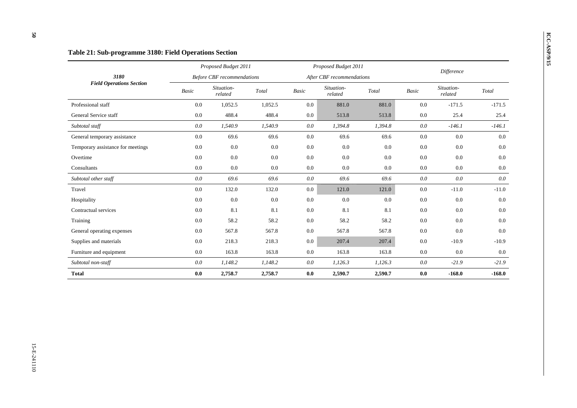25.4

 $0.0\,$ 

 $-11.0$ 

 $0.0\,$ 

## *Before CBF recommendations After CBF recommendations Difference 3180 Field Operations Section Basic Situation- related Total Basic Situation- related Total Basic Situation- related Total*  Professional staff 0.0 1,052.5 1,052.5 0.0 881.0 881.0 0.0 -171.5 -171.5 General Service staff **0.0** 488.4 488.4 **488.4** 0.0 513.8 513.8 0.0 25.4 *Subtotal staff 0.0 1,540.9 1,540.9 0.0 1,394.8 1,394.8 0.0 -146.1 -146.1*  General temporary assistance  $0.0$   $69.6$   $69.6$   $0.0$   $69.6$   $69.6$   $69.6$   $0.0$   $0.0$   $0.0$   $0.0$ Temporary assistance for meetings  $0.0$   $0.0$   $0.0$   $0.0$   $0.0$   $0.0$   $0.0$   $0.0$   $0.0$   $0.0$   $0.0$   $0.0$   $0.0$ Overtime 0.0 0.0 0.0 0.0 0.0 0.0 0.0 0.0 0.0 Consultants 0.0 0.0 0.0 0.0 0.0 0.0 0.0 0.0 0.0 *Subtotal other staff 0.0 69.6 69.6 0.0 69.6 69.6 0.0 0.0 0.0*  Travel 0.0 132.0 132.0 0.0 121.0 121.0 0.0 -11.0 -11.0 Hospitality 0.0 0.0 0.0 0.0 0.0 0.0 0.0 Contractual services **0.0** 8.1 8.1 0.0 8.1 8.1 0.0 0.0 0.0 Training 0.0 58.2 58.2 0.0 58.2 58.2 0.0 0.0 0.0 General operating expenses  $0.0$  567.8 567.8  $0.0$  567.8 567.8 567.8 0.0 0.0 0.0 Supplies and materials **0.0** 218.3 218.3 0.0 207.4 207.4 0.0 -10.9 -10.9 -10.9 Furniture and equipment **0.0** 163.8 163.8 0.0 163.8 163.8 0.0 0.0 0.0 0.0 *Subtotal non-staff 0.0 1,148.2 1,148.2 0.0 1,126.3 1,126.3 0.0 -21.9 -21.9*  **Total 0.0 2,758.7 2,758.7 0.0 2,590.7 2,590.7 0.0 -168.0 -168.0**

# **ICC-ASP / Table 21: Sub-programme 3180: Field Operations Section** *Proposed Budget 2011 Proposed Budget 2011 Proposed Budget 2011 Proposed Budget 2011 Proposed Budget 2011 Proposed Budget 2011*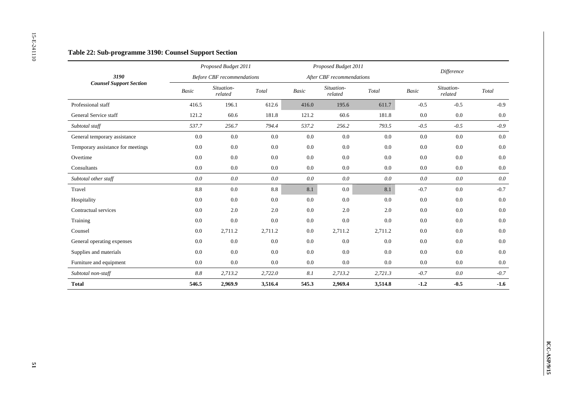|                                   |                          | Proposed Budget 2011              |                        |                          | Proposed Budget 2011      |                        |                          | Difference            |                        |
|-----------------------------------|--------------------------|-----------------------------------|------------------------|--------------------------|---------------------------|------------------------|--------------------------|-----------------------|------------------------|
| 3190                              |                          | <b>Before CBF</b> recommendations |                        |                          | After CBF recommendations |                        |                          |                       |                        |
| <b>Counsel Support Section</b>    | $\label{eq:basic} Basic$ | Situation-<br>related             | $\operatorname{Total}$ | $\label{eq:basic} Basic$ | Situation-<br>$related$   | $\operatorname{Total}$ | $\label{eq:basic} Basic$ | Situation-<br>related | $\operatorname{Total}$ |
| Professional staff                | 416.5                    | 196.1                             | 612.6                  | 416.0                    | 195.6                     | 611.7                  | $-0.5$                   | $-0.5$                | $-0.9$                 |
| General Service staff             | 121.2                    | 60.6                              | 181.8                  | 121.2                    | 60.6                      | 181.8                  | $0.0\,$                  | $0.0\,$               | $0.0\,$                |
| Subtotal staff                    | 537.7                    | 256.7                             | 794.4                  | 537.2                    | 256.2                     | 793.5                  | $-0.5$                   | $-0.5$                | $-0.9$                 |
| General temporary assistance      | $0.0\,$                  | $0.0\,$                           | $0.0\,$                | $0.0\,$                  | $0.0\,$                   | $0.0\,$                | $0.0\,$                  | $0.0\,$               | $0.0\,$                |
| Temporary assistance for meetings | $0.0\,$                  | 0.0                               | 0.0                    | $0.0\,$                  | $0.0\,$                   | $0.0\,$                | $0.0\,$                  | $0.0\,$               | $0.0\,$                |
| Overtime                          | 0.0                      | 0.0                               | 0.0                    | 0.0                      | 0.0                       | 0.0                    | $0.0\,$                  | 0.0                   | 0.0                    |
| Consultants                       | 0.0                      | $0.0\,$                           | $0.0\,$                | $0.0\,$                  | 0.0                       | $0.0\,$                | $0.0\,$                  | $0.0\,$               | $0.0\,$                |
| Subtotal other staff              | $0.0\,$                  | $0.0\,$                           | $0.0\,$                | $0.0\,$                  | $0.0\,$                   | $0.0\,$                | $0.0\,$                  | $0.0\,$               | $0.0\,$                |
| Travel                            | $\!\!\!\!\!8.8$          | $0.0\,$                           | $8.8\,$                | 8.1                      | $0.0\,$                   | 8.1                    | $-0.7$                   | $0.0\,$               | $-0.7$                 |
| Hospitality                       | 0.0                      | $0.0\,$                           | 0.0                    | 0.0                      | $0.0\,$                   | 0.0                    | $0.0\,$                  | $0.0\,$               | 0.0                    |
| Contractual services              | 0.0                      | 2.0                               | 2.0                    | 0.0                      | 2.0                       | 2.0                    | $0.0\,$                  | $0.0\,$               | $0.0\,$                |
| Training                          | $0.0\,$                  | $0.0\,$                           | $0.0\,$                | $0.0\,$                  | $0.0\,$                   | $0.0\,$                | 0.0                      | $0.0\,$               | $0.0\,$                |
| Counsel                           | $0.0\,$                  | 2,711.2                           | 2,711.2                | $0.0\,$                  | 2,711.2                   | 2,711.2                | 0.0                      | $0.0\,$               | $0.0\,$                |
| General operating expenses        | 0.0                      | $0.0\,$                           | 0.0                    | $0.0\,$                  | $0.0\,$                   | $0.0\,$                | $0.0\,$                  | $0.0\,$               | $0.0\,$                |
| Supplies and materials            | 0.0                      | 0.0                               | 0.0                    | 0.0                      | 0.0                       | 0.0                    | $0.0\,$                  | $0.0\,$               | $0.0\,$                |
| Furniture and equipment           | $0.0\,$                  | $0.0\,$                           | $0.0\,$                | $0.0\,$                  | $0.0\,$                   | $0.0\,$                | $0.0\,$                  | $0.0\,$               | $0.0\,$                |
| Subtotal non-staff                | $8.8\,$                  | 2,713.2                           | 2,722.0                | $\it 8.1$                | 2,713.2                   | 2,721.3                | $-0.7$                   | $0.0\,$               | $-0.7$                 |
| <b>Total</b>                      | 546.5                    | 2,969.9                           | 3,516.4                | 545.3                    | 2,969.4                   | 3,514.8                | $-1.2$                   | $-0.5$                | $-1.6$                 |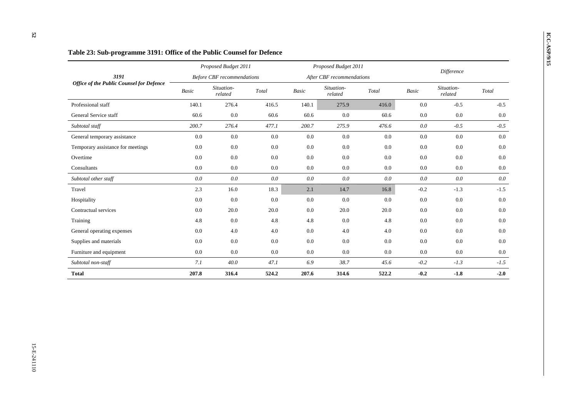|                                                 |              | Proposed Budget 2011              |         |              | Proposed Budget 2011      |         |         |                       |         |
|-------------------------------------------------|--------------|-----------------------------------|---------|--------------|---------------------------|---------|---------|-----------------------|---------|
| 3191                                            |              | <b>Before CBF</b> recommendations |         |              | After CBF recommendations |         |         | Difference            |         |
| <b>Office of the Public Counsel for Defence</b> | <b>Basic</b> | Situation-<br>related             | Total   | <b>Basic</b> | Situation-<br>related     | Total   | Basic   | Situation-<br>related | Total   |
| Professional staff                              | 140.1        | 276.4                             | 416.5   | 140.1        | 275.9                     | 416.0   | 0.0     | $-0.5$                | $-0.5$  |
| General Service staff                           | 60.6         | 0.0                               | 60.6    | 60.6         | 0.0                       | 60.6    | 0.0     | 0.0                   | 0.0     |
| Subtotal staff                                  | 200.7        | 276.4                             | 477.1   | 200.7        | 275.9                     | 476.6   | $0.0\,$ | $-0.5$                | $-0.5$  |
| General temporary assistance                    | 0.0          | 0.0                               | 0.0     | 0.0          | 0.0                       | 0.0     | 0.0     | 0.0                   | $0.0\,$ |
| Temporary assistance for meetings               | 0.0          | 0.0                               | 0.0     | 0.0          | 0.0                       | 0.0     | 0.0     | 0.0                   | 0.0     |
| Overtime                                        | 0.0          | 0.0                               | 0.0     | 0.0          | 0.0                       | 0.0     | 0.0     | 0.0                   | 0.0     |
| Consultants                                     | 0.0          | 0.0                               | 0.0     | 0.0          | 0.0                       | $0.0\,$ | $0.0\,$ | 0.0                   | $0.0\,$ |
| Subtotal other staff                            | 0.0          | 0.0                               | 0.0     | 0.0          | 0.0                       | 0.0     | 0.0     | 0.0                   | 0.0     |
| Travel                                          | 2.3          | 16.0                              | 18.3    | 2.1          | 14.7                      | 16.8    | $-0.2$  | $-1.3$                | $-1.5$  |
| Hospitality                                     | 0.0          | 0.0                               | 0.0     | 0.0          | 0.0                       | 0.0     | 0.0     | 0.0                   | 0.0     |
| Contractual services                            | 0.0          | 20.0                              | 20.0    | 0.0          | 20.0                      | 20.0    | 0.0     | 0.0                   | 0.0     |
| Training                                        | 4.8          | 0.0                               | 4.8     | 4.8          | 0.0                       | 4.8     | 0.0     | 0.0                   | 0.0     |
| General operating expenses                      | 0.0          | 4.0                               | 4.0     | 0.0          | 4.0                       | 4.0     | 0.0     | 0.0                   | 0.0     |
| Supplies and materials                          | 0.0          | $0.0\,$                           | $0.0\,$ | 0.0          | 0.0                       | 0.0     | 0.0     | 0.0                   | 0.0     |
| Furniture and equipment                         | 0.0          | 0.0                               | 0.0     | 0.0          | $0.0\,$                   | 0.0     | 0.0     | 0.0                   | 0.0     |
| Subtotal non-staff                              | 7.1          | 40.0                              | 47.1    | 6.9          | 38.7                      | 45.6    | $-0.2$  | $-1.3$                | $-1.5$  |
| <b>Total</b>                                    | 207.8        | 316.4                             | 524.2   | 207.6        | 314.6                     | 522.2   | $-0.2$  | $-1.8$                | $-2.0$  |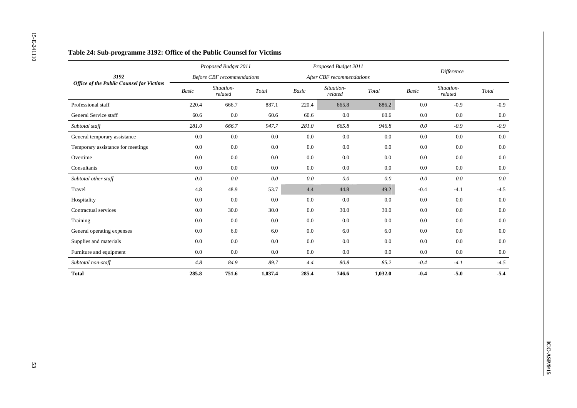|                                                 |                          | Proposed Budget 2011              |                                             |                          | Proposed Budget 2011      |                                             |                          | Difference            |                                             |
|-------------------------------------------------|--------------------------|-----------------------------------|---------------------------------------------|--------------------------|---------------------------|---------------------------------------------|--------------------------|-----------------------|---------------------------------------------|
| 3192                                            |                          | <b>Before CBF</b> recommendations |                                             |                          | After CBF recommendations |                                             |                          |                       |                                             |
| <b>Office of the Public Counsel for Victims</b> | $\label{eq:basic} Basic$ | Situation-<br>related             | $\operatorname{\mathcal{T}\!\mathit{otal}}$ | $\label{eq:basic} Basic$ | Situation-<br>related     | $\operatorname{\mathcal{T}\!\mathit{otal}}$ | $\label{eq:basic} Basic$ | Situation-<br>related | $\operatorname{\mathcal{T}\!\mathit{otal}}$ |
| Professional staff                              | 220.4                    | 666.7                             | 887.1                                       | 220.4                    | 665.8                     | 886.2                                       | $0.0\,$                  | $-0.9$                | $-0.9$                                      |
| General Service staff                           | 60.6                     | $0.0\,$                           | 60.6                                        | 60.6                     | 0.0                       | 60.6                                        | $0.0\,$                  | 0.0                   | $0.0\,$                                     |
| Subtotal staff                                  | 281.0                    | 666.7                             | 947.7                                       | 281.0                    | 665.8                     | 946.8                                       | $0.0\,$                  | $-0.9$                | $-0.9$                                      |
| General temporary assistance                    | $0.0\,$                  | $0.0\,$                           | $0.0\,$                                     | $0.0\,$                  | $0.0\,$                   | $0.0\,$                                     | $0.0\,$                  | $0.0\,$               | $0.0\,$                                     |
| Temporary assistance for meetings               | 0.0                      | $0.0\,$                           | $0.0\,$                                     | $0.0\,$                  | $0.0\,$                   | 0.0                                         | 0.0                      | 0.0                   | $0.0\,$                                     |
| Overtime                                        | 0.0                      | $0.0\,$                           | $0.0\,$                                     | 0.0                      | 0.0                       | $0.0\,$                                     | 0.0                      | 0.0                   | 0.0                                         |
| Consultants                                     | 0.0                      | $0.0\,$                           | $0.0\,$                                     | $0.0\,$                  | $0.0\,$                   | $0.0\,$                                     | 0.0                      | 0.0                   | $0.0\,$                                     |
| Subtotal other staff                            | $0.0\,$                  | $0.0\,$                           | $0.0\,$                                     | $0.0\,$                  | $0.0\,$                   | $0.0\,$                                     | $0.0\,$                  | $0.0\,$               | $0.0\,$                                     |
| Travel                                          | 4.8                      | 48.9                              | 53.7                                        | 4.4                      | 44.8                      | 49.2                                        | $-0.4$                   | $-4.1$                | $-4.5$                                      |
| Hospitality                                     | $0.0\,$                  | $0.0\,$                           | 0.0                                         | $0.0\,$                  | $0.0\,$                   | 0.0                                         | 0.0                      | $0.0\,$               | $0.0\,$                                     |
| Contractual services                            | 0.0                      | 30.0                              | 30.0                                        | $0.0\,$                  | 30.0                      | 30.0                                        | 0.0                      | 0.0                   | $0.0\,$                                     |
| Training                                        | $0.0\,$                  | $0.0\,$                           | $0.0\,$                                     | $0.0\,$                  | $0.0\,$                   | $0.0\,$                                     | $0.0\,$                  | $0.0\,$               | $0.0\,$                                     |
| General operating expenses                      | $0.0\,$                  | $6.0\,$                           | $6.0\,$                                     | $0.0\,$                  | $6.0\,$                   | $6.0\,$                                     | $0.0\,$                  | $0.0\,$               | $0.0\,$                                     |
| Supplies and materials                          | 0.0                      | $0.0\,$                           | $0.0\,$                                     | $0.0\,$                  | $0.0\,$                   | $0.0\,$                                     | 0.0                      | $0.0\,$               | $0.0\,$                                     |
| Furniture and equipment                         | $0.0\,$                  | $0.0\,$                           | 0.0                                         | $0.0\,$                  | $0.0\,$                   | $0.0\,$                                     | 0.0                      | $0.0\,$               | $0.0\,$                                     |
| Subtotal non-staff                              | $4.8\,$                  | $84.9\,$                          | $89.7\,$                                    | 4.4                      | $80.8\,$                  | 85.2                                        | $\hbox{-} 0.4$           | $-4.1$                | $-4.5$                                      |
| <b>Total</b>                                    | 285.8                    | 751.6                             | 1,037.4                                     | 285.4                    | 746.6                     | 1,032.0                                     | $-0.4$                   | $-5.0$                | $-5.4$                                      |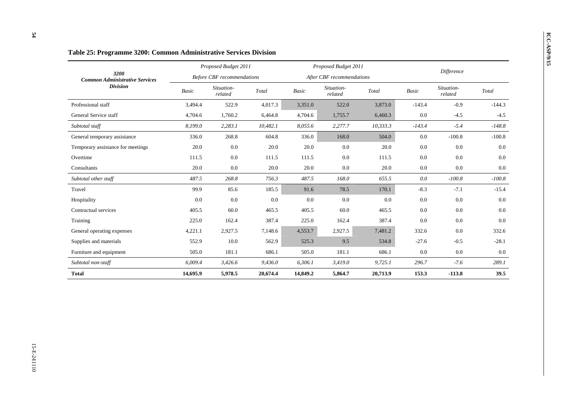|                                               |              | Proposed Budget 2011              |          |              | Proposed Budget 2011      |          |              |                       |          |
|-----------------------------------------------|--------------|-----------------------------------|----------|--------------|---------------------------|----------|--------------|-----------------------|----------|
| 3200<br><b>Common Administrative Services</b> |              | <b>Before CBF</b> recommendations |          |              | After CBF recommendations |          |              | <b>Difference</b>     |          |
| <b>Division</b>                               | <b>Basic</b> | Situation-<br>related             | Total    | <b>Basic</b> | Situation-<br>related     | Total    | <b>Basic</b> | Situation-<br>related | Total    |
| Professional staff                            | 3,494.4      | 522.9                             | 4,017.3  | 3,351.0      | 522.0                     | 3,873.0  | $-143.4$     | $-0.9$                | $-144.3$ |
| General Service staff                         | 4,704.6      | 1,760.2                           | 6,464.8  | 4,704.6      | 1,755.7                   | 6,460.3  | 0.0          | $-4.5$                | $-4.5$   |
| Subtotal staff                                | 8,199.0      | 2,283.1                           | 10,482.1 | 8,055.6      | 2,277.7                   | 10,333.3 | $-143.4$     | $-5.4$                | $-148.8$ |
| General temporary assistance                  | 336.0        | 268.8                             | 604.8    | 336.0        | 168.0                     | 504.0    | 0.0          | $-100.8$              | $-100.8$ |
| Temporary assistance for meetings             | 20.0         | 0.0                               | 20.0     | 20.0         | 0.0                       | 20.0     | 0.0          | 0.0                   | 0.0      |
| Overtime                                      | 111.5        | 0.0                               | 111.5    | 111.5        | 0.0                       | 111.5    | 0.0          | 0.0                   | 0.0      |
| Consultants                                   | 20.0         | 0.0                               | 20.0     | 20.0         | 0.0                       | 20.0     | $0.0\,$      | 0.0                   | $0.0\,$  |
| Subtotal other staff                          | 487.5        | 268.8                             | 756.3    | 487.5        | 168.0                     | 655.5    | 0.0          | $-100.8$              | $-100.8$ |
| Travel                                        | 99.9         | 85.6                              | 185.5    | 91.6         | 78.5                      | 170.1    | $-8.3$       | $-7.1$                | $-15.4$  |
| Hospitality                                   | 0.0          | 0.0                               | 0.0      | 0.0          | 0.0                       | 0.0      | 0.0          | 0.0                   | 0.0      |
| Contractual services                          | 405.5        | 60.0                              | 465.5    | 405.5        | 60.0                      | 465.5    | 0.0          | 0.0                   | 0.0      |
| Training                                      | 225.0        | 162.4                             | 387.4    | 225.0        | 162.4                     | 387.4    | 0.0          | 0.0                   | 0.0      |
| General operating expenses                    | 4,221.1      | 2,927.5                           | 7,148.6  | 4,553.7      | 2,927.5                   | 7,481.2  | 332.6        | 0.0                   | 332.6    |
| Supplies and materials                        | 552.9        | 10.0                              | 562.9    | 525.3        | 9.5                       | 534.8    | $-27.6$      | $-0.5$                | $-28.1$  |
| Furniture and equipment                       | 505.0        | 181.1                             | 686.1    | 505.0        | 181.1                     | 686.1    | 0.0          | 0.0                   | 0.0      |
| Subtotal non-staff                            | 6,009.4      | 3,426.6                           | 9,436.0  | 6,306.1      | 3,419.0                   | 9,725.1  | 296.7        | $-7.6$                | 289.1    |
| <b>Total</b>                                  | 14,695.9     | 5,978.5                           | 20,674.4 | 14,849.2     | 5,864.7                   | 20,713.9 | 153.3        | $-113.8$              | 39.5     |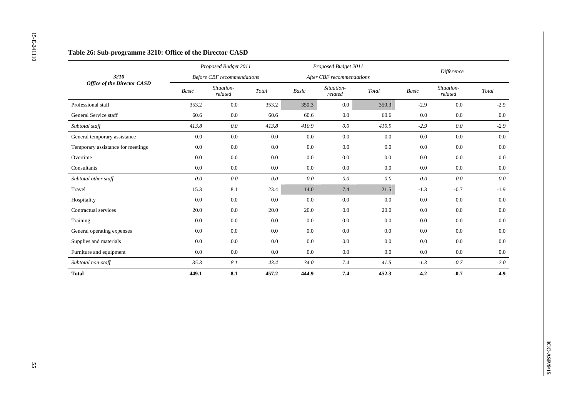|                                    |         | Proposed Budget 2011              |                                             |                          | Proposed Budget 2011      |                                             |         | Difference            |                                             |
|------------------------------------|---------|-----------------------------------|---------------------------------------------|--------------------------|---------------------------|---------------------------------------------|---------|-----------------------|---------------------------------------------|
| 3210                               |         | <b>Before CBF</b> recommendations |                                             |                          | After CBF recommendations |                                             |         |                       |                                             |
| <b>Office of the Director CASD</b> | Basic   | Situation-<br>$related$           | $\operatorname{\mathcal{T}\!\mathit{otal}}$ | $\label{eq:basic} Basic$ | Situation-<br>related     | $\operatorname{\mathcal{T}\!\mathit{otal}}$ | Basic   | Situation-<br>related | $\operatorname{\mathcal{T}\!\mathit{otal}}$ |
| Professional staff                 | 353.2   | $0.0\,$                           | 353.2                                       | 350.3                    | 0.0                       | 350.3                                       | $-2.9$  | $0.0\,$               | $-2.9$                                      |
| General Service staff              | 60.6    | $0.0\,$                           | 60.6                                        | 60.6                     | $0.0\,$                   | 60.6                                        | 0.0     | $0.0\,$               | $0.0\,$                                     |
| Subtotal staff                     | 413.8   | $0.0\,$                           | 413.8                                       | 410.9                    | $0.0\,$                   | 410.9                                       | $-2.9$  | $0.0\,$               | $-2.9$                                      |
| General temporary assistance       | $0.0\,$ | $0.0\,$                           | $0.0\,$                                     | $0.0\,$                  | $0.0\,$                   | $0.0\,$                                     | $0.0\,$ | $0.0\,$               | $0.0\,$                                     |
| Temporary assistance for meetings  | 0.0     | $0.0\,$                           | $0.0\,$                                     | 0.0                      | $0.0\,$                   | $0.0\,$                                     | 0.0     | $0.0\,$               | $0.0\,$                                     |
| Overtime                           | $0.0\,$ | $0.0\,$                           | 0.0                                         | 0.0                      | 0.0                       | $0.0\,$                                     | 0.0     | $0.0\,$               | $0.0\,$                                     |
| Consultants                        | 0.0     | $0.0\,$                           | 0.0                                         | $0.0\,$                  | $0.0\,$                   | $0.0\,$                                     | 0.0     | $0.0\,$               | $0.0\,$                                     |
| Subtotal other staff               | $0.0\,$ | $0.0\,$                           | $0.0\,$                                     | $0.0\,$                  | $0.0\,$                   | $0.0\,$                                     | $0.0\,$ | $0.0\,$               | $0.0\,$                                     |
| Travel                             | 15.3    | 8.1                               | 23.4                                        | 14.0                     | 7.4                       | 21.5                                        | $-1.3$  | $-0.7$                | $-1.9$                                      |
| Hospitality                        | 0.0     | $0.0\,$                           | 0.0                                         | $0.0\,$                  | 0.0                       | 0.0                                         | 0.0     | $0.0\,$               | $0.0\,$                                     |
| Contractual services               | 20.0    | $0.0\,$                           | 20.0                                        | 20.0                     | $0.0\,$                   | 20.0                                        | 0.0     | $0.0\,$               | $0.0\,$                                     |
| Training                           | $0.0\,$ | $0.0\,$                           | $0.0\,$                                     | $0.0\,$                  | $0.0\,$                   | $0.0\,$                                     | 0.0     | $0.0\,$               | $0.0\,$                                     |
| General operating expenses         | 0.0     | $0.0\,$                           | $0.0\,$                                     | $0.0\,$                  | $0.0\,$                   | $0.0\,$                                     | 0.0     | $0.0\,$               | $0.0\,$                                     |
| Supplies and materials             | 0.0     | $0.0\,$                           | 0.0                                         | $0.0\,$                  | $0.0\,$                   | $0.0\,$                                     | 0.0     | $0.0\,$               | $0.0\,$                                     |
| Furniture and equipment            | $0.0\,$ | $0.0\,$                           | 0.0                                         | $0.0\,$                  | $0.0\,$                   | $0.0\,$                                     | $0.0\,$ | $0.0\,$               | $0.0\,$                                     |
| Subtotal non-staff                 | 35.3    | $\it 8.1$                         | 43.4                                        | 34.0                     | $7.4\,$                   | 41.5                                        | $-1.3$  | $\hbox{-} 0.7$        | $-2.0$                                      |
| <b>Total</b>                       | 449.1   | 8.1                               | 457.2                                       | 444.9                    | $\bf 7.4$                 | 452.3                                       | $-4.2$  | $-0.7$                | $-4.9$                                      |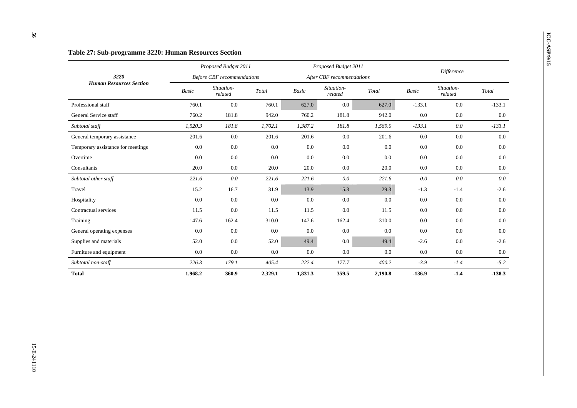### **ICC-ASP-07:** Sub-programme 3220: Human Resources Section *Proposed Budget 2011 Proposed Budget 2011 Proposed Budget 2011 Proposed Budget 2011 Proposed Budget 2011 Before CBF recommendations After CBF recommendations Difference 3220 Human Resources Section Basic Situation- related Total Basic Situation- related Total Basic Situation- related Total*  Professional staff 760.1 0.0 760.1 627.0 0.0 627.0 -133.1 0.0 -133.1  $-133.1$ General Service staff **760.2** 181.8 942.0 760.2 181.8 942.0 0.0 0.0  $0.0\,$ *Subtotal staff 1,520.3 181.8 1,702.1 1,387.2 181.8 1,569.0 -133.1 0.0 -133.1*  General temporary assistance  $201.6$  0.0  $201.6$  201.6 0.0  $201.6$  0.0 0.0 0.0 0.0 Temporary assistance for meetings  $0.0$   $0.0$   $0.0$   $0.0$   $0.0$   $0.0$   $0.0$   $0.0$   $0.0$   $0.0$   $0.0$   $0.0$   $0.0$ Overtime 0.0 0.0 0.0 0.0 0.0 0.0 0.0 0.0 0.0  $\text{Consubtants}$  . The consultants and  $\text{C} \alpha \alpha \alpha \beta = 20.0$  and  $\text{C} \alpha \alpha \beta = 20.0$  and  $\text{C} \alpha \beta \beta = 0.0$  and  $\text{C} \alpha \beta \beta = 0.0$  and  $\text{C} \alpha \beta \beta = 0.0$  and  $\text{C} \alpha \beta \beta \beta = 0.0$  and  $\text{C} \alpha \beta \beta \beta \beta \beta = 0.0$  and  $\text{C} \alpha \beta \beta \beta \$  $0.0\,$ *Subtotal other staff 221.6 0.0 221.6 221.6 0.0 221.6 0.0 0.0 0.0*  Travel 15.2 16.7 31.9 13.9 15.3 29.3 -1.3 -1.4 -2.6  $-2.6$ Hospitality 0.0 0.0 0.0 0.0 0.0 0.0 0.0 Contractual services **11.5** 0.0 11.5 11.5 0.0 11.5 0.0 0.0  $0.0\,$ Training 147.6 162.4 310.0 147.6 162.4 310.0 0.0 0.0 0.0 0.0 General operating expenses  $0.0$   $0.0$   $0.0$   $0.0$   $0.0$   $0.0$   $0.0$   $0.0$   $0.0$   $0.0$   $0.0$   $0.0$   $0.0$ Supplies and materials **52.0** 0.0 52.0 49.4 0.0 49.4 -2.6 0.0 -2.6 Furniture and equipment  $0.0$   $0.0$   $0.0$   $0.0$   $0.0$   $0.0$   $0.0$   $0.0$   $0.0$   $0.0$   $0.0$   $0.0$   $0.0$   $0.0$ *Subtotal non-staff 226.3 179.1 405.4 222.4 177.7 400.2 -3.9 -1.4 -5.2*  **Total 1,968.2 360.9 2,329.1 1,831.3 359.5 2,190.8 -136.9 -1.4 -138.3**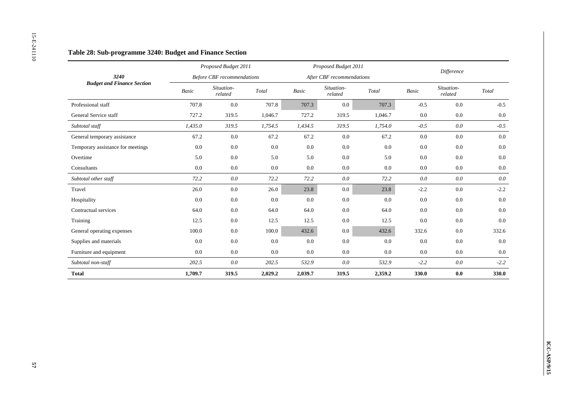|                                   |                          | Proposed Budget 2011              |                                             |             | Proposed Budget 2011      |                                             |                          | Difference            |                                             |
|-----------------------------------|--------------------------|-----------------------------------|---------------------------------------------|-------------|---------------------------|---------------------------------------------|--------------------------|-----------------------|---------------------------------------------|
| 3240                              |                          | <b>Before CBF</b> recommendations |                                             |             | After CBF recommendations |                                             |                          |                       |                                             |
| <b>Budget and Finance Section</b> | $\label{eq:basic} Basic$ | Situation-<br>related             | $\operatorname{\mathcal{T}\!\mathit{otal}}$ | $\it Basic$ | Situation-<br>related     | $\operatorname{\mathcal{T}\!\mathit{otal}}$ | $\label{eq:basic} Basic$ | Situation-<br>related | $\operatorname{\mathcal{T}\!\mathit{otal}}$ |
| Professional staff                | 707.8                    | $0.0\,$                           | 707.8                                       | 707.3       | 0.0                       | 707.3                                       | $-0.5$                   | $0.0\,$               | $-0.5$                                      |
| General Service staff             | 727.2                    | 319.5                             | 1,046.7                                     | 727.2       | 319.5                     | 1,046.7                                     | $0.0\,$                  | 0.0                   | $0.0\,$                                     |
| Subtotal staff                    | 1,435.0                  | 319.5                             | 1,754.5                                     | 1,434.5     | 319.5                     | 1,754.0                                     | $-0.5$                   | $0.0\,$               | $-0.5$                                      |
| General temporary assistance      | 67.2                     | $0.0\,$                           | 67.2                                        | 67.2        | $0.0\,$                   | 67.2                                        | $0.0\,$                  | $0.0\,$               | $0.0\,$                                     |
| Temporary assistance for meetings | $0.0\,$                  | $0.0\,$                           | $0.0\,$                                     | $0.0\,$     | $0.0\,$                   | $0.0\,$                                     | 0.0                      | 0.0                   | $0.0\,$                                     |
| Overtime                          | 5.0                      | $0.0\,$                           | 5.0                                         | 5.0         | 0.0                       | 5.0                                         | 0.0                      | 0.0                   | $0.0\,$                                     |
| Consultants                       | 0.0                      | $0.0\,$                           | $0.0\,$                                     | $0.0\,$     | $0.0\,$                   | $0.0\,$                                     | 0.0                      | 0.0                   | $0.0\,$                                     |
| Subtotal other staff              | 72.2                     | $0.0\,$                           | 72.2                                        | 72.2        | $0.0\,$                   | 72.2                                        | $0.0\,$                  | $0.0\,$               | $0.0\,$                                     |
| Travel                            | 26.0                     | $0.0\,$                           | 26.0                                        | 23.8        | $0.0\,$                   | 23.8                                        | $-2.2$                   | $0.0\,$               | $-2.2$                                      |
| Hospitality                       | 0.0                      | $0.0\,$                           | 0.0                                         | 0.0         | $0.0\,$                   | 0.0                                         | 0.0                      | $0.0\,$               | $0.0\,$                                     |
| Contractual services              | 64.0                     | 0.0                               | 64.0                                        | 64.0        | 0.0                       | 64.0                                        | 0.0                      | 0.0                   | $0.0\,$                                     |
| Training                          | 12.5                     | $0.0\,$                           | 12.5                                        | 12.5        | $0.0\,$                   | 12.5                                        | $0.0\,$                  | $0.0\,$               | $0.0\,$                                     |
| General operating expenses        | 100.0                    | $0.0\,$                           | $100.0\,$                                   | 432.6       | $0.0\,$                   | 432.6                                       | 332.6                    | $0.0\,$               | 332.6                                       |
| Supplies and materials            | $0.0\,$                  | $0.0\,$                           | $0.0\,$                                     | $0.0\,$     | $0.0\,$                   | 0.0                                         | $0.0\,$                  | $0.0\,$               | $0.0\,$                                     |
| Furniture and equipment           | $0.0\,$                  | $0.0\,$                           | $0.0\,$                                     | $0.0\,$     | $0.0\,$                   | $0.0\,$                                     | 0.0                      | $0.0\,$               | $0.0\,$                                     |
| Subtotal non-staff                | 202.5                    | $0.0\,$                           | 202.5                                       | 532.9       | $0.0\,$                   | 532.9                                       | $-2.2$                   | $0.0\,$               | $-2.2$                                      |
| <b>Total</b>                      | 1,709.7                  | 319.5                             | 2,029.2                                     | 2,039.7     | 319.5                     | 2,359.2                                     | 330.0                    | $\mathbf{0.0}$        | 330.0                                       |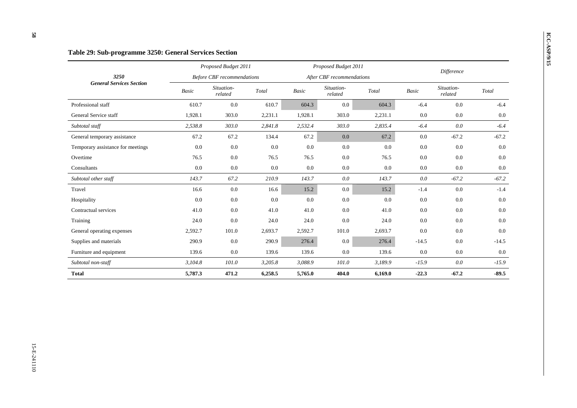# **ICC-ASP/9:** Sub-programme 3250: General Services Section *Proposed Budget 2011 Proposed Budget 2011 Proposed Budget 2011 Proposed Budget 2011 Proposed Budget 2011*

|                                   |              | Proposed Budget 2011              |         |         | Proposed Budget 2011      |         |              | <b>Difference</b>     |         |
|-----------------------------------|--------------|-----------------------------------|---------|---------|---------------------------|---------|--------------|-----------------------|---------|
| 3250                              |              | <b>Before CBF</b> recommendations |         |         | After CBF recommendations |         |              |                       |         |
| <b>General Services Section</b>   | <b>Basic</b> | Situation-<br>related             | Total   | Basic   | Situation-<br>related     | Total   | <b>Basic</b> | Situation-<br>related | Total   |
| Professional staff                | 610.7        | 0.0                               | 610.7   | 604.3   | $0.0\,$                   | 604.3   | $-6.4$       | 0.0                   | $-6.4$  |
| General Service staff             | 1,928.1      | 303.0                             | 2,231.1 | 1,928.1 | 303.0                     | 2,231.1 | 0.0          | 0.0                   | 0.0     |
| Subtotal staff                    | 2,538.8      | 303.0                             | 2,841.8 | 2,532.4 | 303.0                     | 2,835.4 | $-6.4$       | 0.0                   | $-6.4$  |
| General temporary assistance      | 67.2         | 67.2                              | 134.4   | 67.2    | 0.0                       | 67.2    | 0.0          | $-67.2$               | $-67.2$ |
| Temporary assistance for meetings | 0.0          | 0.0                               | 0.0     | 0.0     | 0.0                       | 0.0     | 0.0          | 0.0                   | 0.0     |
| Overtime                          | 76.5         | 0.0                               | 76.5    | 76.5    | 0.0                       | 76.5    | 0.0          | 0.0                   | 0.0     |
| Consultants                       | 0.0          | 0.0                               | 0.0     | 0.0     | 0.0                       | 0.0     | 0.0          | 0.0                   | 0.0     |
| Subtotal other staff              | 143.7        | 67.2                              | 210.9   | 143.7   | 0.0                       | 143.7   | 0.0          | $-67.2$               | $-67.2$ |
| Travel                            | 16.6         | 0.0                               | 16.6    | 15.2    | $0.0\,$                   | 15.2    | $-1.4$       | 0.0                   | $-1.4$  |
| Hospitality                       | 0.0          | 0.0                               | 0.0     | 0.0     | 0.0                       | 0.0     | 0.0          | 0.0                   | 0.0     |
| Contractual services              | 41.0         | 0.0                               | 41.0    | 41.0    | 0.0                       | 41.0    | 0.0          | 0.0                   | 0.0     |
| Training                          | 24.0         | 0.0                               | 24.0    | 24.0    | 0.0                       | 24.0    | 0.0          | 0.0                   | 0.0     |
| General operating expenses        | 2,592.7      | 101.0                             | 2,693.7 | 2,592.7 | 101.0                     | 2,693.7 | 0.0          | 0.0                   | 0.0     |
| Supplies and materials            | 290.9        | 0.0                               | 290.9   | 276.4   | $0.0\,$                   | 276.4   | $-14.5$      | 0.0                   | $-14.5$ |
| Furniture and equipment           | 139.6        | 0.0                               | 139.6   | 139.6   | 0.0                       | 139.6   | 0.0          | 0.0                   | 0.0     |
| Subtotal non-staff                | 3,104.8      | 101.0                             | 3,205.8 | 3,088.9 | 101.0                     | 3,189.9 | $-15.9$      | 0.0                   | $-15.9$ |
| <b>Total</b>                      | 5,787.3      | 471.2                             | 6,258.5 | 5,765.0 | 404.0                     | 6,169.0 | $-22.3$      | $-67.2$               | $-89.5$ |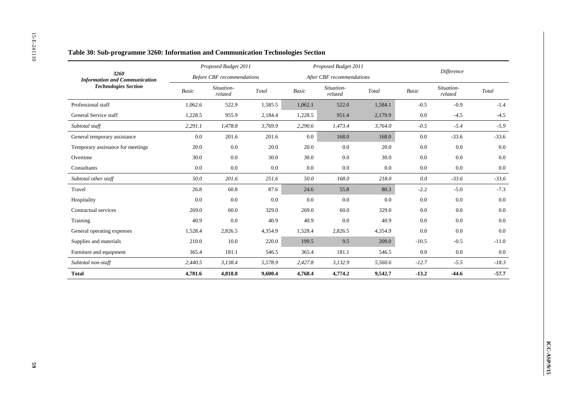|                                              |                          | Proposed Budget 2011              |                                             |                          | Proposed Budget 2011      |                                             |                          | Difference            |                                             |
|----------------------------------------------|--------------------------|-----------------------------------|---------------------------------------------|--------------------------|---------------------------|---------------------------------------------|--------------------------|-----------------------|---------------------------------------------|
| 3260<br><b>Information and Communication</b> |                          | <b>Before CBF</b> recommendations |                                             |                          | After CBF recommendations |                                             |                          |                       |                                             |
| <b>Technologies Section</b>                  | $\label{eq:basic} Basic$ | Situation-<br>related             | $\operatorname{\mathcal{T}\!\mathit{otal}}$ | $\label{eq:basic} Basic$ | Situation-<br>related     | $\operatorname{\mathcal{T}\!\mathit{otal}}$ | $\label{eq:basic} Basic$ | Situation-<br>related | $\operatorname{\mathcal{T}\!\mathit{otal}}$ |
| Professional staff                           | 1,062.6                  | 522.9                             | 1,585.5                                     | 1,062.1                  | 522.0                     | 1,584.1                                     | $-0.5$                   | $-0.9$                | $-1.4$                                      |
| General Service staff                        | 1,228.5                  | 955.9                             | 2,184.4                                     | 1,228.5                  | 951.4                     | 2,179.9                                     | 0.0                      | $-4.5$                | $-4.5$                                      |
| Subtotal staff                               | 2,291.1                  | 1,478.8                           | 3,769.9                                     | 2,290.6                  | 1,473.4                   | 3,764.0                                     | $-0.5$                   | $-5.4$                | $-5.9$                                      |
| General temporary assistance                 | $0.0\,$                  | 201.6                             | 201.6                                       | $0.0\,$                  | 168.0                     | 168.0                                       | $0.0\,$                  | $-33.6$               | $-33.6$                                     |
| Temporary assistance for meetings            | 20.0                     | $0.0\,$                           | 20.0                                        | 20.0                     | $0.0\,$                   | 20.0                                        | 0.0                      | 0.0                   | $0.0\,$                                     |
| Overtime                                     | 30.0                     | $0.0\,$                           | 30.0                                        | 30.0                     | $0.0\,$                   | 30.0                                        | 0.0                      | 0.0                   | $0.0\,$                                     |
| Consultants                                  | 0.0                      | $0.0\,$                           | $0.0\,$                                     | $0.0\,$                  | $0.0\,$                   | $0.0\,$                                     | 0.0                      | 0.0                   | $0.0\,$                                     |
| Subtotal other staff                         | 50.0                     | 201.6                             | 251.6                                       | $50.0\,$                 | 168.0                     | $218.0\,$                                   | $0.0\,$                  | $-33.6$               | $-33.6$                                     |
| Travel                                       | 26.8                     | 60.8                              | 87.6                                        | 24.6                     | 55.8                      | 80.3                                        | $-2.2$                   | $-5.0$                | $-7.3$                                      |
| Hospitality                                  | 0.0                      | $0.0\,$                           | 0.0                                         | 0.0                      | 0.0                       | 0.0                                         | 0.0                      | $0.0\,$               | $0.0\,$                                     |
| Contractual services                         | 269.0                    | 60.0                              | 329.0                                       | 269.0                    | 60.0                      | 329.0                                       | 0.0                      | 0.0                   | $0.0\,$                                     |
| Training                                     | 40.9                     | $0.0\,$                           | 40.9                                        | 40.9                     | 0.0                       | 40.9                                        | $0.0\,$                  | $0.0\,$               | $0.0\,$                                     |
| General operating expenses                   | 1,528.4                  | 2,826.5                           | 4,354.9                                     | 1,528.4                  | 2,826.5                   | 4,354.9                                     | $0.0\,$                  | $0.0\,$               | $0.0\,$                                     |
| Supplies and materials                       | 210.0                    | $10.0\,$                          | 220.0                                       | 199.5                    | 9.5                       | 209.0                                       | $-10.5$                  | $-0.5$                | $-11.0$                                     |
| Furniture and equipment                      | 365.4                    | 181.1                             | 546.5                                       | 365.4                    | 181.1                     | 546.5                                       | 0.0                      | $0.0\,$               | $0.0\,$                                     |
| Subtotal non-staff                           | 2,440.5                  | 3,138.4                           | 5,578.9                                     | 2,427.8                  | 3,132.9                   | 5,560.6                                     | $-12.7$                  | $-5.5$                | $-18.3$                                     |
| <b>Total</b>                                 | 4,781.6                  | 4,818.8                           | 9,600.4                                     | 4,768.4                  | 4,774.2                   | 9,542.7                                     | $-13.2$                  | $-44.6$               | $-57.7$                                     |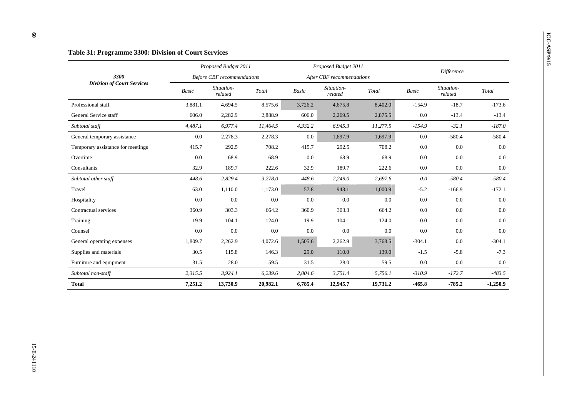|                                   |         | Proposed Budget 2011              |          |         | Proposed Budget 2011      |          |          | <b>Difference</b>     |            |
|-----------------------------------|---------|-----------------------------------|----------|---------|---------------------------|----------|----------|-----------------------|------------|
| 3300                              |         | <b>Before CBF</b> recommendations |          |         | After CBF recommendations |          |          |                       |            |
| <b>Division of Court Services</b> | Basic   | Situation-<br>related             | Total    | Basic   | Situation-<br>related     | Total    | Basic    | Situation-<br>related | Total      |
| Professional staff                | 3,881.1 | 4,694.5                           | 8,575.6  | 3,726.2 | 4,675.8                   | 8,402.0  | $-154.9$ | $-18.7$               | $-173.6$   |
| General Service staff             | 606.0   | 2,282.9                           | 2,888.9  | 606.0   | 2,269.5                   | 2,875.5  | 0.0      | $-13.4$               | $-13.4$    |
| Subtotal staff                    | 4,487.1 | 6,977.4                           | 11,464.5 | 4,332.2 | 6,945.3                   | 11,277.5 | $-154.9$ | $-32.1$               | $-187.0$   |
| General temporary assistance      | 0.0     | 2,278.3                           | 2,278.3  | 0.0     | 1,697.9                   | 1,697.9  | 0.0      | $-580.4$              | $-580.4$   |
| Temporary assistance for meetings | 415.7   | 292.5                             | 708.2    | 415.7   | 292.5                     | 708.2    | 0.0      | 0.0                   | 0.0        |
| Overtime                          | 0.0     | 68.9                              | 68.9     | 0.0     | 68.9                      | 68.9     | 0.0      | 0.0                   | 0.0        |
| Consultants                       | 32.9    | 189.7                             | 222.6    | 32.9    | 189.7                     | 222.6    | 0.0      | 0.0                   | $0.0\,$    |
| Subtotal other staff              | 448.6   | 2,829.4                           | 3,278.0  | 448.6   | 2,249.0                   | 2,697.6  | 0.0      | $-580.4$              | $-580.4$   |
| Travel                            | 63.0    | 1,110.0                           | 1,173.0  | 57.8    | 943.1                     | 1,000.9  | $-5.2$   | $-166.9$              | $-172.1$   |
| Hospitality                       | 0.0     | 0.0                               | 0.0      | 0.0     | 0.0                       | 0.0      | 0.0      | 0.0                   | 0.0        |
| Contractual services              | 360.9   | 303.3                             | 664.2    | 360.9   | 303.3                     | 664.2    | 0.0      | 0.0                   | 0.0        |
| Training                          | 19.9    | 104.1                             | 124.0    | 19.9    | 104.1                     | 124.0    | 0.0      | 0.0                   | 0.0        |
| Counsel                           | 0.0     | 0.0                               | 0.0      | 0.0     | 0.0                       | 0.0      | 0.0      | 0.0                   | 0.0        |
| General operating expenses        | 1,809.7 | 2,262.9                           | 4,072.6  | 1,505.6 | 2,262.9                   | 3,768.5  | $-304.1$ | 0.0                   | $-304.1$   |
| Supplies and materials            | 30.5    | 115.8                             | 146.3    | 29.0    | 110.0                     | 139.0    | $-1.5$   | $-5.8$                | $-7.3$     |
| Furniture and equipment           | 31.5    | 28.0                              | 59.5     | 31.5    | 28.0                      | 59.5     | 0.0      | 0.0                   | 0.0        |
| Subtotal non-staff                | 2,315.5 | 3,924.1                           | 6,239.6  | 2,004.6 | 3,751.4                   | 5,756.1  | $-310.9$ | $-172.7$              | $-483.5$   |
| <b>Total</b>                      | 7,251.2 | 13,730.9                          | 20,982.1 | 6,785.4 | 12,945.7                  | 19,731.2 | $-465.8$ | $-785.2$              | $-1,250.9$ |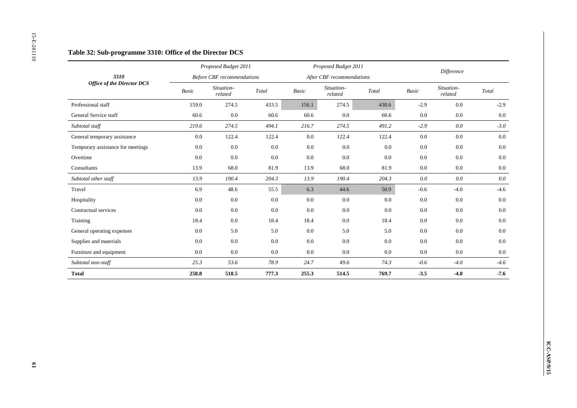|                                   |                          | Proposed Budget 2011              |                                             |             | Proposed Budget 2011      |                                             |                          | Difference            |                                             |
|-----------------------------------|--------------------------|-----------------------------------|---------------------------------------------|-------------|---------------------------|---------------------------------------------|--------------------------|-----------------------|---------------------------------------------|
| 3310                              |                          | <b>Before CBF</b> recommendations |                                             |             | After CBF recommendations |                                             |                          |                       |                                             |
| <b>Office of the Director DCS</b> | $\label{eq:basic} Basic$ | Situation-<br>related             | $\operatorname{\mathcal{T}\!\mathit{otal}}$ | $\it Basic$ | Situation-<br>related     | $\operatorname{\mathcal{T}\!\mathit{otal}}$ | $\label{eq:basic} Basic$ | Situation-<br>related | $\operatorname{\mathcal{T}\!\mathit{otal}}$ |
| Professional staff                | 159.0                    | 274.5                             | 433.5                                       | 156.1       | 274.5                     | 430.6                                       | $-2.9$                   | $0.0\,$               | $-2.9$                                      |
| General Service staff             | 60.6                     | $0.0\,$                           | 60.6                                        | 60.6        | 0.0                       | 60.6                                        | 0.0                      | $0.0\,$               | $0.0\,$                                     |
| Subtotal staff                    | 219.6                    | 274.5                             | 494.1                                       | 216.7       | 274.5                     | 491.2                                       | $-2.9$                   | $0.0\,$               | $-3.0$                                      |
| General temporary assistance      | $0.0\,$                  | 122.4                             | 122.4                                       | $0.0\,$     | 122.4                     | 122.4                                       | $0.0\,$                  | $0.0\,$               | $0.0\,$                                     |
| Temporary assistance for meetings | 0.0                      | $0.0\,$                           | 0.0                                         | $0.0\,$     | $0.0\,$                   | $0.0\,$                                     | 0.0                      | 0.0                   | $0.0\,$                                     |
| Overtime                          | 0.0                      | $0.0\,$                           | $0.0\,$                                     | $0.0\,$     | $0.0\,$                   | 0.0                                         | 0.0                      | 0.0                   | 0.0                                         |
| Consultants                       | 13.9                     | 68.0                              | 81.9                                        | 13.9        | 68.0                      | 81.9                                        | 0.0                      | 0.0                   | $0.0\,$                                     |
| Subtotal other staff              | 13.9                     | 190.4                             | 204.3                                       | 13.9        | 190.4                     | 204.3                                       | $0.0\,$                  | $0.0\,$               | $0.0\,$                                     |
| Travel                            | 6.9                      | 48.6                              | 55.5                                        | 6.3         | 44.6                      | 50.9                                        | $-0.6$                   | $-4.0$                | $-4.6$                                      |
| Hospitality                       | 0.0                      | $0.0\,$                           | $0.0\,$                                     | $0.0\,$     | $0.0\,$                   | $0.0\,$                                     | 0.0                      | $0.0\,$               | $0.0\,$                                     |
| Contractual services              | 0.0                      | 0.0                               | 0.0                                         | $0.0\,$     | $0.0\,$                   | $0.0\,$                                     | 0.0                      | 0.0                   | $0.0\,$                                     |
| Training                          | 18.4                     | $0.0\,$                           | 18.4                                        | 18.4        | $0.0\,$                   | 18.4                                        | $0.0\,$                  | $0.0\,$               | $0.0\,$                                     |
| General operating expenses        | 0.0                      | 5.0                               | $5.0\,$                                     | $0.0\,$     | 5.0                       | $5.0\,$                                     | $0.0\,$                  | $0.0\,$               | $0.0\,$                                     |
| Supplies and materials            | 0.0                      | $0.0\,$                           | $0.0\,$                                     | $0.0\,$     | $0.0\,$                   | $0.0\,$                                     | 0.0                      | $0.0\,$               | $0.0\,$                                     |
| Furniture and equipment           | $0.0\,$                  | $0.0\,$                           | 0.0                                         | $0.0\,$     | 0.0                       | $0.0\,$                                     | $0.0\,$                  | $0.0\,$               | $0.0\,$                                     |
| Subtotal non-staff                | 25.3                     | 53.6                              | 78.9                                        | 24.7        | 49.6                      | 74.3                                        | $-0.6\,$                 | $-4.0$                | $-4.6$                                      |
| <b>Total</b>                      | 258.8                    | 518.5                             | 777.3                                       | 255.3       | 514.5                     | 769.7                                       | $-3.5$                   | $-4.0$                | $-7.6$                                      |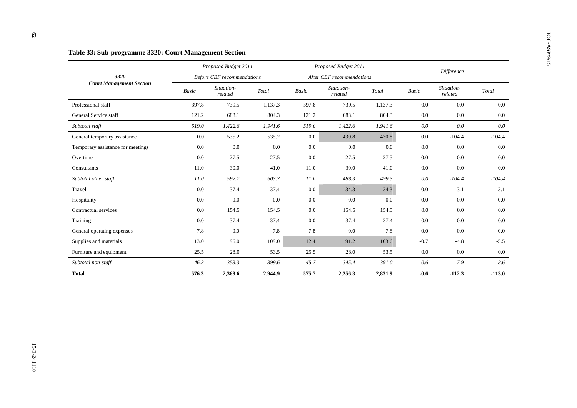### **ICC-ASP-01-15 Table 33: Sub-programme 3320: Court Management Section** *Proposed Budget 2011 Proposed Budget 2011 Proposed Budget 2011 Proposed Budget 2011 Before CBF recommendations After CBF recommendations Difference 3320 Court Management Section Basic Situation- related Total Basic Situation- related Total Basic Situation- related Total*  Professional staff 397.8 739.5 1,137.3 397.8 739.5 1,137.3 0.0 0.0 0.0 General Service staff **121.2** 683.1 804.3 121.2 683.1 804.3 0.0 0.0  $0.0\,$ *Subtotal staff 519.0 1,422.6 1,941.6 519.0 1,422.6 1,941.6 0.0 0.0 0.0*  General temporary assistance  $0.0$  535.2 535.2  $0.0$  430.8 430.8 0.0 -104.4 -104.4 Temporary assistance for meetings  $0.0$   $0.0$   $0.0$   $0.0$   $0.0$   $0.0$   $0.0$   $0.0$   $0.0$   $0.0$   $0.0$   $0.0$   $0.0$   $0.0$ Overtime 200 0.0 27.5 27.5 0.0 27.5 27.5 0.0 0.0 0.0 Consultants 11.0 30.0 41.0 11.0 30.0 41.0 0.0 0.0 0.0  $0.0\,$ *Subtotal other staff 11.0 592.7 603.7 11.0 488.3 499.3 0.0 -104.4 -104.4*  Travel 0.0 37.4 37.4 0.0 34.3 34.3 0.0 -3.1 -3.1  $-3.1$ Hospitality 0.0 0.0 0.0 0.0 0.0 0.0 0.0 0.0 0.0 Contractual services **0.0** 154.5 154.5 154.5 154.5 154.5 154.5 154.5 0.0 0.0  $0.0$ Training 200 0.0 37.4 37.4 0.0 37.4 37.4 0.0 0.0 0.0 General operating expenses 7.8 0.0 7.8 7.8 0.0 7.8 0.0 0.0 0.0 Supplies and materials 13.0 96.0 109.0 12.4 91.2 103.6 -0.7 -4.8 -5.5 Furniture and equipment 25.5 28.0 53.5 28.0 53.5 28.0 53.5 0.0 0.0 0.0 *Subtotal non-staff 46.3 353.3 399.6 45.7 345.4 391.0 -0.6 -7.9 -8.6*  **Total 576.3 2,368.6 2,944.9 575.7 2,256.3 2,831.9 -0.6 -112.3 -113.0**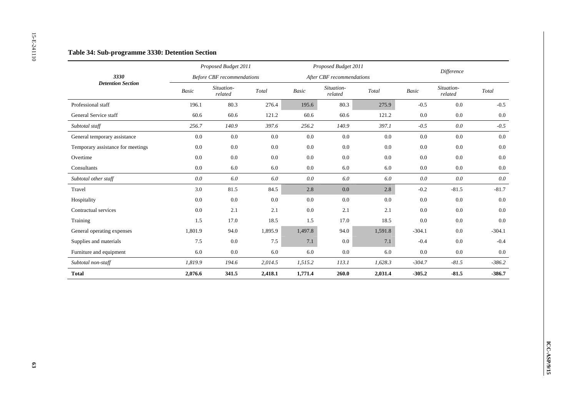|                                   |                          | Proposed Budget 2011              |                                             |             | Proposed Budget 2011      |                                             |                          | Difference            |                                             |
|-----------------------------------|--------------------------|-----------------------------------|---------------------------------------------|-------------|---------------------------|---------------------------------------------|--------------------------|-----------------------|---------------------------------------------|
| 3330                              |                          | <b>Before CBF</b> recommendations |                                             |             | After CBF recommendations |                                             |                          |                       |                                             |
| <b>Detention Section</b>          | $\label{eq:basic} Basic$ | Situation-<br>related             | $\operatorname{\mathcal{T}\!\mathit{otal}}$ | $\it Basic$ | Situation-<br>related     | $\operatorname{\mathcal{T}\!\mathit{otal}}$ | $\label{eq:basic} Basic$ | Situation-<br>related | $\operatorname{\mathcal{T}\!\mathit{otal}}$ |
| Professional staff                | 196.1                    | 80.3                              | 276.4                                       | 195.6       | 80.3                      | 275.9                                       | $-0.5$                   | $0.0\,$               | $-0.5$                                      |
| General Service staff             | 60.6                     | 60.6                              | 121.2                                       | 60.6        | 60.6                      | 121.2                                       | $0.0\,$                  | 0.0                   | $0.0\,$                                     |
| Subtotal staff                    | 256.7                    | 140.9                             | 397.6                                       | 256.2       | 140.9                     | 397.1                                       | $-0.5$                   | $0.0\,$               | $-0.5$                                      |
| General temporary assistance      | $0.0\,$                  | $0.0\,$                           | $0.0\,$                                     | $0.0\,$     | $0.0\,$                   | $0.0\,$                                     | $0.0\,$                  | $0.0\,$               | $0.0\,$                                     |
| Temporary assistance for meetings | $0.0\,$                  | $0.0\,$                           | $0.0\,$                                     | $0.0\,$     | $0.0\,$                   | 0.0                                         | 0.0                      | $0.0\,$               | $0.0\,$                                     |
| Overtime                          | 0.0                      | $0.0\,$                           | $0.0\,$                                     | 0.0         | 0.0                       | $0.0\,$                                     | 0.0                      | 0.0                   | 0.0                                         |
| Consultants                       | 0.0                      | $6.0\,$                           | $6.0\,$                                     | $0.0\,$     | $6.0\,$                   | $6.0\,$                                     | 0.0                      | 0.0                   | $0.0\,$                                     |
| Subtotal other staff              | $0.0\,$                  | $6.0\,$                           | $6.0\,$                                     | $0.0\,$     | $6.0\,$                   | $6.0\,$                                     | $0.0\,$                  | $0.0\,$               | $0.0\,$                                     |
| Travel                            | 3.0                      | 81.5                              | 84.5                                        | 2.8         | $0.0\,$                   | $2.8\,$                                     | $-0.2$                   | $-81.5$               | $-81.7$                                     |
| Hospitality                       | 0.0                      | $0.0\,$                           | 0.0                                         | $0.0\,$     | $0.0\,$                   | $0.0\,$                                     | 0.0                      | 0.0                   | 0.0                                         |
| Contractual services              | $0.0\,$                  | 2.1                               | 2.1                                         | $0.0\,$     | 2.1                       | 2.1                                         | 0.0                      | 0.0                   | $0.0\,$                                     |
| Training                          | 1.5                      | 17.0                              | 18.5                                        | $1.5\,$     | 17.0                      | 18.5                                        | $0.0\,$                  | $0.0\,$               | $0.0\,$                                     |
| General operating expenses        | 1,801.9                  | 94.0                              | 1,895.9                                     | 1,497.8     | 94.0                      | 1,591.8                                     | $-304.1$                 | $0.0\,$               | $-304.1$                                    |
| Supplies and materials            | 7.5                      | $0.0\,$                           | 7.5                                         | 7.1         | $0.0\,$                   | 7.1                                         | $-0.4$                   | 0.0                   | $-0.4$                                      |
| Furniture and equipment           | 6.0                      | $0.0\,$                           | $6.0\,$                                     | 6.0         | 0.0                       | 6.0                                         | $0.0\,$                  | $0.0\,$               | $0.0\,$                                     |
| Subtotal non-staff                | 1,819.9                  | 194.6                             | 2,014.5                                     | 1,515.2     | 113.1                     | 1,628.3                                     | $-304.7$                 | $-81.5$               | $-386.2$                                    |
| <b>Total</b>                      | 2,076.6                  | 341.5                             | 2,418.1                                     | 1,771.4     | 260.0                     | 2,031.4                                     | $-305.2$                 | $-81.5$               | $-386.7$                                    |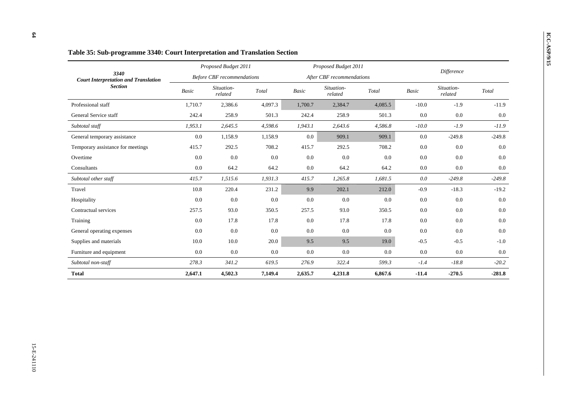|                                                     |              | Proposed Budget 2011              |         |         | Proposed Budget 2011      |         |         | Difference            |          |  |
|-----------------------------------------------------|--------------|-----------------------------------|---------|---------|---------------------------|---------|---------|-----------------------|----------|--|
| 3340<br><b>Court Interpretation and Translation</b> |              | <b>Before CBF</b> recommendations |         |         | After CBF recommendations |         |         |                       |          |  |
| <b>Section</b>                                      | <b>Basic</b> | Situation-<br>related             | Total   | Basic   | Situation-<br>related     | Total   | Basic   | Situation-<br>related | Total    |  |
| Professional staff                                  | 1,710.7      | 2,386.6                           | 4,097.3 | 1,700.7 | 2,384.7                   | 4,085.5 | $-10.0$ | $-1.9$                | $-11.9$  |  |
| General Service staff                               | 242.4        | 258.9                             | 501.3   | 242.4   | 258.9                     | 501.3   | 0.0     | 0.0                   | $0.0\,$  |  |
| Subtotal staff                                      | 1,953.1      | 2,645.5                           | 4,598.6 | 1,943.1 | 2,643.6                   | 4,586.8 | $-10.0$ | $-1.9$                | $-11.9$  |  |
| General temporary assistance                        | 0.0          | 1,158.9                           | 1,158.9 | 0.0     | 909.1                     | 909.1   | $0.0\,$ | $-249.8$              | $-249.8$ |  |
| Temporary assistance for meetings                   | 415.7        | 292.5                             | 708.2   | 415.7   | 292.5                     | 708.2   | 0.0     | 0.0                   | 0.0      |  |
| Overtime                                            | 0.0          | 0.0                               | 0.0     | 0.0     | 0.0                       | 0.0     | 0.0     | 0.0                   | 0.0      |  |
| Consultants                                         | 0.0          | 64.2                              | 64.2    | 0.0     | 64.2                      | 64.2    | $0.0\,$ | 0.0                   | $0.0\,$  |  |
| Subtotal other staff                                | 415.7        | 1,515.6                           | 1,931.3 | 415.7   | 1,265.8                   | 1,681.5 | 0.0     | $-249.8$              | $-249.8$ |  |
| Travel                                              | 10.8         | 220.4                             | 231.2   | 9.9     | 202.1                     | 212.0   | $-0.9$  | $-18.3$               | $-19.2$  |  |
| Hospitality                                         | 0.0          | 0.0                               | 0.0     | 0.0     | 0.0                       | 0.0     | 0.0     | 0.0                   | 0.0      |  |
| Contractual services                                | 257.5        | 93.0                              | 350.5   | 257.5   | 93.0                      | 350.5   | 0.0     | 0.0                   | 0.0      |  |
| Training                                            | 0.0          | 17.8                              | 17.8    | 0.0     | 17.8                      | 17.8    | $0.0\,$ | 0.0                   | 0.0      |  |
| General operating expenses                          | 0.0          | 0.0                               | 0.0     | 0.0     | 0.0                       | 0.0     | 0.0     | 0.0                   | 0.0      |  |
| Supplies and materials                              | 10.0         | 10.0                              | 20.0    | 9.5     | 9.5                       | 19.0    | $-0.5$  | $-0.5$                | $-1.0$   |  |
| Furniture and equipment                             | 0.0          | 0.0                               | 0.0     | 0.0     | 0.0                       | 0.0     | 0.0     | 0.0                   | 0.0      |  |
| Subtotal non-staff                                  | 278.3        | 341.2                             | 619.5   | 276.9   | 322.4                     | 599.3   | $-1.4$  | $-18.8$               | $-20.2$  |  |
| <b>Total</b>                                        | 2,647.1      | 4,502.3                           | 7,149.4 | 2,635.7 | 4,231.8                   | 6,867.6 | $-11.4$ | $-270.5$              | $-281.8$ |  |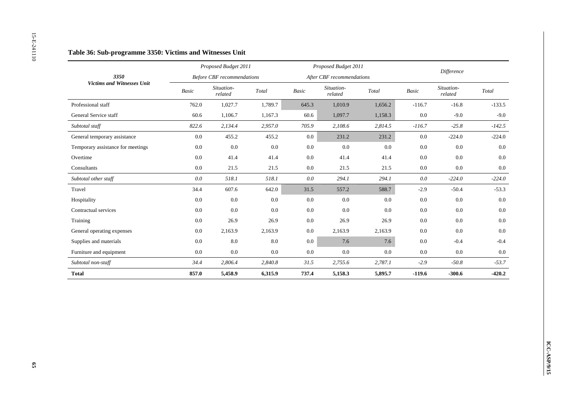|                                   |                          | Proposed Budget 2011              |                                             |             | Proposed Budget 2011      |                                             |                          | Difference            |                                             |
|-----------------------------------|--------------------------|-----------------------------------|---------------------------------------------|-------------|---------------------------|---------------------------------------------|--------------------------|-----------------------|---------------------------------------------|
| 3350                              |                          | <b>Before CBF</b> recommendations |                                             |             | After CBF recommendations |                                             |                          |                       |                                             |
| <b>Victims and Witnesses Unit</b> | $\label{eq:basic} Basic$ | Situation-<br>related             | $\operatorname{\mathcal{T}\!\mathit{otal}}$ | $\it Basic$ | Situation-<br>related     | $\operatorname{\mathcal{T}\!\mathit{otal}}$ | $\label{eq:basic} Basic$ | Situation-<br>related | $\operatorname{\mathcal{T}\!\mathit{otal}}$ |
| Professional staff                | 762.0                    | 1,027.7                           | 1,789.7                                     | 645.3       | 1,010.9                   | 1,656.2                                     | $-116.7$                 | $-16.8$               | $-133.5$                                    |
| General Service staff             | 60.6                     | 1,106.7                           | 1,167.3                                     | 60.6        | 1,097.7                   | 1,158.3                                     | 0.0                      | $-9.0$                | $-9.0$                                      |
| Subtotal staff                    | 822.6                    | 2,134.4                           | 2,957.0                                     | 705.9       | 2,108.6                   | 2,814.5                                     | $-116.7$                 | $-25.8$               | $-142.5$                                    |
| General temporary assistance      | $0.0\,$                  | 455.2                             | 455.2                                       | $0.0\,$     | 231.2                     | 231.2                                       | $0.0\,$                  | $-224.0$              | $-224.0$                                    |
| Temporary assistance for meetings | 0.0                      | $0.0\,$                           | $0.0\,$                                     | $0.0\,$     | $0.0\,$                   | 0.0                                         | 0.0                      | 0.0                   | $0.0\,$                                     |
| Overtime                          | 0.0                      | 41.4                              | 41.4                                        | $0.0\,$     | 41.4                      | 41.4                                        | 0.0                      | 0.0                   | 0.0                                         |
| Consultants                       | 0.0                      | 21.5                              | 21.5                                        | $0.0\,$     | 21.5                      | $21.5\,$                                    | 0.0                      | $0.0\,$               | $0.0\,$                                     |
| Subtotal other staff              | $0.0\,$                  | 518.1                             | 518.1                                       | $0.0\,$     | 294.1                     | 294.1                                       | $0.0\,$                  | $-224.0$              | $-224.0$                                    |
| Travel                            | 34.4                     | 607.6                             | 642.0                                       | 31.5        | 557.2                     | 588.7                                       | $-2.9$                   | $-50.4$               | $-53.3$                                     |
| Hospitality                       | 0.0                      | $0.0\,$                           | 0.0                                         | 0.0         | $0.0\,$                   | 0.0                                         | 0.0                      | 0.0                   | 0.0                                         |
| Contractual services              | 0.0                      | 0.0                               | 0.0                                         | $0.0\,$     | $0.0\,$                   | $0.0\,$                                     | 0.0                      | 0.0                   | $0.0\,$                                     |
| Training                          | $0.0\,$                  | 26.9                              | 26.9                                        | $0.0\,$     | 26.9                      | 26.9                                        | $0.0\,$                  | $0.0\,$               | $0.0\,$                                     |
| General operating expenses        | $0.0\,$                  | 2,163.9                           | 2,163.9                                     | $0.0\,$     | 2,163.9                   | 2,163.9                                     | $0.0\,$                  | $0.0\,$               | $0.0\,$                                     |
| Supplies and materials            | 0.0                      | $8.0\,$                           | 8.0                                         | $0.0\,$     | 7.6                       | 7.6                                         | 0.0                      | $-0.4$                | $-0.4$                                      |
| Furniture and equipment           | 0.0                      | $0.0\,$                           | $0.0\,$                                     | $0.0\,$     | 0.0                       | $0.0\,$                                     | 0.0                      | $0.0\,$               | $0.0\,$                                     |
| Subtotal non-staff                | 34.4                     | 2,806.4                           | 2,840.8                                     | 31.5        | 2,755.6                   | 2,787.1                                     | $-2.9$                   | $-50.8$               | $-53.7$                                     |
| <b>Total</b>                      | 857.0                    | 5,458.9                           | 6,315.9                                     | 737.4       | 5,158.3                   | 5,895.7                                     | $-119.6$                 | $-300.6$              | $-420.2$                                    |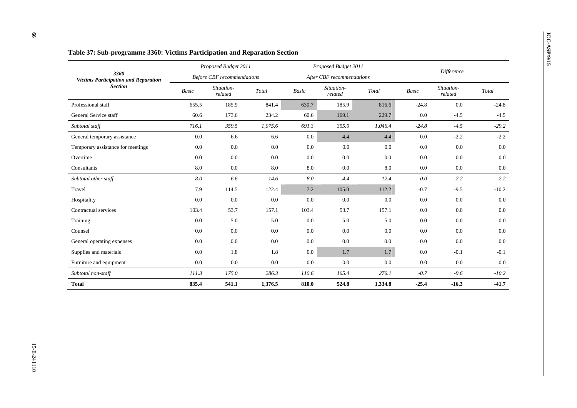|                                                     |              | Proposed Budget 2011              |         |              | Proposed Budget 2011      |         | <b>Difference</b> |                       |         |  |
|-----------------------------------------------------|--------------|-----------------------------------|---------|--------------|---------------------------|---------|-------------------|-----------------------|---------|--|
| 3360<br><b>Victims Participation and Reparation</b> |              | <b>Before CBF</b> recommendations |         |              | After CBF recommendations |         |                   |                       |         |  |
| <b>Section</b>                                      | <b>Basic</b> | Situation-<br>related             | Total   | <b>Basic</b> | Situation-<br>related     | Total   | Basic             | Situation-<br>related | Total   |  |
| Professional staff                                  | 655.5        | 185.9                             | 841.4   | 630.7        | 185.9                     | 816.6   | $-24.8$           | 0.0                   | $-24.8$ |  |
| General Service staff                               | 60.6         | 173.6                             | 234.2   | 60.6         | 169.1                     | 229.7   | 0.0               | $-4.5$                | $-4.5$  |  |
| Subtotal staff                                      | 716.1        | 359.5                             | 1,075.6 | 691.3        | 355.0                     | 1,046.4 | $-24.8$           | $-4.5$                | $-29.2$ |  |
| General temporary assistance                        | 0.0          | 6.6                               | 6.6     | 0.0          | 4.4                       | 4.4     | 0.0               | $-2.2$                | $-2.2$  |  |
| Temporary assistance for meetings                   | 0.0          | 0.0                               | 0.0     | 0.0          | 0.0                       | 0.0     | 0.0               | 0.0                   | $0.0\,$ |  |
| Overtime                                            | 0.0          | 0.0                               | 0.0     | 0.0          | 0.0                       | 0.0     | 0.0               | 0.0                   | 0.0     |  |
| Consultants                                         | 8.0          | 0.0                               | 8.0     | 8.0          | 0.0                       | 8.0     | 0.0               | 0.0                   | 0.0     |  |
| Subtotal other staff                                | 8.0          | 6.6                               | 14.6    | 8.0          | 4.4                       | 12.4    | 0.0               | $-2.2$                | $-2.2$  |  |
| Travel                                              | 7.9          | 114.5                             | 122.4   | 7.2          | 105.0                     | 112.2   | $-0.7$            | $-9.5$                | $-10.2$ |  |
| Hospitality                                         | 0.0          | 0.0                               | 0.0     | 0.0          | 0.0                       | 0.0     | 0.0               | 0.0                   | 0.0     |  |
| Contractual services                                | 103.4        | 53.7                              | 157.1   | 103.4        | 53.7                      | 157.1   | 0.0               | 0.0                   | 0.0     |  |
| Training                                            | 0.0          | 5.0                               | 5.0     | 0.0          | 5.0                       | 5.0     | 0.0               | 0.0                   | 0.0     |  |
| Counsel                                             | 0.0          | 0.0                               | 0.0     | 0.0          | 0.0                       | 0.0     | 0.0               | 0.0                   | $0.0\,$ |  |
| General operating expenses                          | 0.0          | 0.0                               | 0.0     | $0.0\,$      | 0.0                       | 0.0     | 0.0               | 0.0                   | 0.0     |  |
| Supplies and materials                              | 0.0          | 1.8                               | 1.8     | $0.0\,$      | 1.7                       | 1.7     | 0.0               | $-0.1$                | $-0.1$  |  |
| Furniture and equipment                             | 0.0          | 0.0                               | $0.0\,$ | 0.0          | 0.0                       | 0.0     | 0.0               | 0.0                   | 0.0     |  |
| Subtotal non-staff                                  | 111.3        | 175.0                             | 286.3   | 110.6        | 165.4                     | 276.1   | $-0.7$            | $-9.6$                | $-10.2$ |  |
| <b>Total</b>                                        | 835.4        | 541.1                             | 1,376.5 | 810.0        | 524.8                     | 1,334.8 | $-25.4$           | $-16.3$               | $-41.7$ |  |

# **ICC-ASP/9/15 Table 37:** Sub-programme 3360: Victims Participation and Reparation Section *Proposed Budget 2011 Proposed Budget 2011 Proposed Budget 2011 Proposed Budget 2011 Proposed Budget 2011*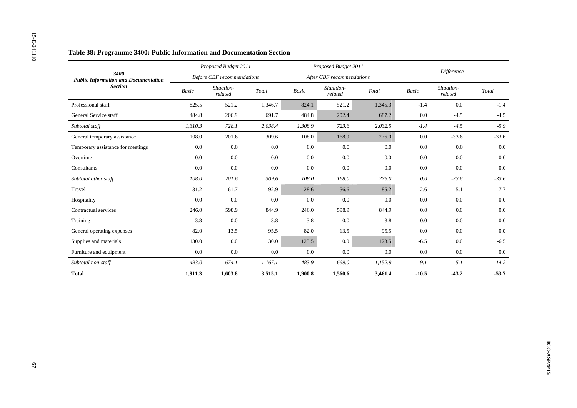|                                                     |           | Proposed Budget 2011              |                        |                          | Proposed Budget 2011      |                                             |         | Difference            |                        |
|-----------------------------------------------------|-----------|-----------------------------------|------------------------|--------------------------|---------------------------|---------------------------------------------|---------|-----------------------|------------------------|
| 3400<br><b>Public Information and Documentation</b> |           | <b>Before CBF</b> recommendations |                        |                          | After CBF recommendations |                                             |         |                       |                        |
| <b>Section</b>                                      | Basic     | Situation-<br>related             | $\operatorname{Total}$ | $\label{eq:basic} Basic$ | Situation-<br>related     | $\operatorname{\mathcal{T}\!\mathit{otal}}$ | Basic   | Situation-<br>related | $\operatorname{Total}$ |
| Professional staff                                  | 825.5     | 521.2                             | 1,346.7                | 824.1                    | 521.2                     | 1,345.3                                     | $-1.4$  | $0.0\,$               | $-1.4$                 |
| General Service staff                               | 484.8     | 206.9                             | 691.7                  | 484.8                    | 202.4                     | 687.2                                       | 0.0     | $-4.5$                | $-4.5$                 |
| Subtotal staff                                      | 1,310.3   | 728.1                             | 2,038.4                | 1,308.9                  | 723.6                     | 2,032.5                                     | $-1.4$  | $-4.5$                | $-5.9$                 |
| General temporary assistance                        | 108.0     | 201.6                             | 309.6                  | 108.0                    | 168.0                     | 276.0                                       | $0.0\,$ | $-33.6$               | $-33.6$                |
| Temporary assistance for meetings                   | $0.0\,$   | 0.0                               | 0.0                    | 0.0                      | 0.0                       | $0.0\,$                                     | 0.0     | $0.0\,$               | $0.0\,$                |
| Overtime                                            | 0.0       | $0.0\,$                           | $0.0\,$                | $0.0\,$                  | 0.0                       | 0.0                                         | 0.0     | 0.0                   | 0.0                    |
| Consultants                                         | 0.0       | 0.0                               | $0.0\,$                | $0.0\,$                  | 0.0                       | $0.0\,$                                     | 0.0     | $0.0\,$               | $0.0\,$                |
| Subtotal other staff                                | $108.0\,$ | 201.6                             | 309.6                  | $108.0\,$                | 168.0                     | 276.0                                       | $0.0\,$ | $-33.6$               | $-33.6$                |
| Travel                                              | 31.2      | 61.7                              | 92.9                   | 28.6                     | 56.6                      | 85.2                                        | $-2.6$  | $-5.1$                | $-7.7$                 |
| Hospitality                                         | 0.0       | 0.0                               | 0.0                    | 0.0                      | $0.0\,$                   | 0.0                                         | 0.0     | 0.0                   | 0.0                    |
| Contractual services                                | 246.0     | 598.9                             | 844.9                  | 246.0                    | 598.9                     | 844.9                                       | 0.0     | 0.0                   | $0.0\,$                |
| Training                                            | $3.8\,$   | $0.0\,$                           | $3.8\,$                | $3.8\,$                  | $0.0\,$                   | $3.8\,$                                     | $0.0\,$ | $0.0\,$               | $0.0\,$                |
| General operating expenses                          | 82.0      | 13.5                              | 95.5                   | 82.0                     | 13.5                      | 95.5                                        | $0.0\,$ | $0.0\,$               | $0.0\,$                |
| Supplies and materials                              | 130.0     | $0.0\,$                           | 130.0                  | 123.5                    | $0.0\,$                   | 123.5                                       | $-6.5$  | $0.0\,$               | $-6.5$                 |
| Furniture and equipment                             | $0.0\,$   | $0.0\,$                           | $0.0\,$                | $0.0\,$                  | 0.0                       | $0.0\,$                                     | $0.0\,$ | $0.0\,$               | 0.0                    |
| Subtotal non-staff                                  | 493.0     | 674.1                             | 1,167.1                | 483.9                    | 669.0                     | 1,152.9                                     | $-9.1$  | $-5.1$                | $-14.2$                |
| <b>Total</b>                                        | 1,911.3   | 1,603.8                           | 3,515.1                | 1,900.8                  | 1,560.6                   | 3,461.4                                     | $-10.5$ | $-43.2$               | $-53.7$                |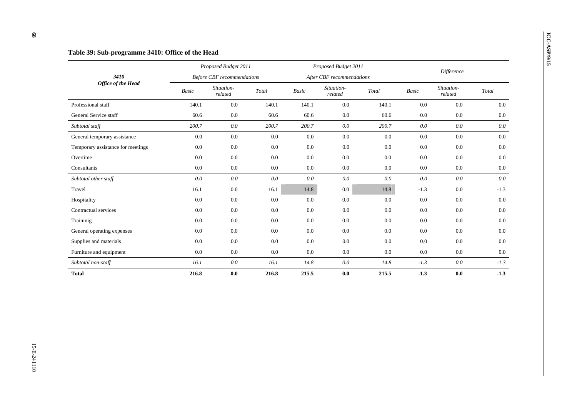### **ICC-ASP:** Sub-programme 3410: Office of the Head *Proposed Budget 2011 Proposed Budget 2011 Proposed Budget 2011 Proposed Budget 2011 Proposed Budget 2011 Before CBF recommendations After CBF recommendations Difference 3410 Office of the Head Basic Situation- related Total Basic Situation- related Total Basic Situation- related Total*  Professional staff 140.1 0.0 140.1 140.1 0.0 140.1 0.0 0.0 0.0  $0.0\,$ General Service staff 60.6 0.0 60.6 60.6 0.0 60.6 0.0 0.0 0.0  $0.0\,$ *Subtotal staff 200.7 0.0 200.7 200.7 0.0 200.7 0.0 0.0 0.0*  General temporary assistance 0.0 0.0 0.0 0.0 0.0 0.0 0.0 0.0 0.0 Temporary assistance for meetings  $0.0$   $0.0$   $0.0$   $0.0$   $0.0$   $0.0$   $0.0$   $0.0$   $0.0$   $0.0$   $0.0$   $0.0$ Overtime 0.0 0.0 0.0 0.0 0.0 0.0 0.0 0.0 0.0 Consultants 0.0 0.0 0.0 0.0 0.0 0.0 0.0 0.0 0.0  $0.0\,$ *Subtotal other staff 0.0 0.0 0.0 0.0 0.0 0.0 0.0 0.0 0.0*  Travel 16.1 0.0 16.1 14.8 0.0 14.8 -1.3 0.0 -1.3  $-1.3$ Hospitality 0.0 0.0 0.0 0.0 0.0 0.0 0.0 Contractual services 0.0 0.0 0.0 0.0 0.0 0.0 0.0 0.0 0.0  $0.0\,$ Traininig 0.0 0.0 0.0 0.0 0.0 0.0 0.0 0.0 0.0 General operating expenses  $0.0$   $0.0$   $0.0$   $0.0$   $0.0$   $0.0$   $0.0$   $0.0$   $0.0$   $0.0$   $0.0$   $0.0$   $0.0$ Supplies and materials 0.0 0.0 0.0 0.0 0.0 0.0 0.0 0.0 0.0 Furniture and equipment  $0.0$   $0.0$   $0.0$   $0.0$   $0.0$   $0.0$   $0.0$   $0.0$   $0.0$   $0.0$   $0.0$   $0.0$   $0.0$   $0.0$ *Subtotal non-staff 16.1 0.0 16.1 14.8 0.0 14.8 -1.3 0.0 -1.3*  **Total 216.8 0.0 216.8 215.5 0.0 215.5 -1.3 0.0 -1.3**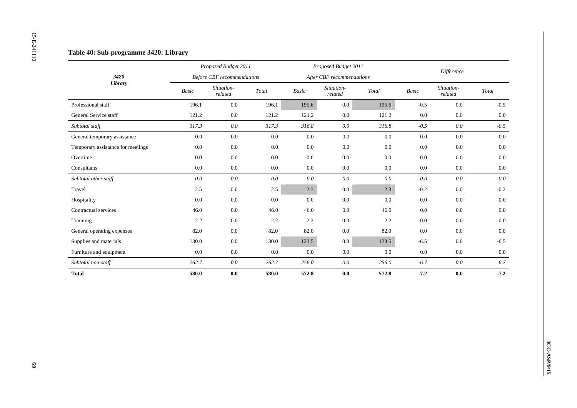|                                   |                          | Proposed Budget 2011              |                                             |             | Proposed Budget 2011      |                                             |                          | Difference            |                                             |
|-----------------------------------|--------------------------|-----------------------------------|---------------------------------------------|-------------|---------------------------|---------------------------------------------|--------------------------|-----------------------|---------------------------------------------|
| 3420                              |                          | <b>Before CBF</b> recommendations |                                             |             | After CBF recommendations |                                             |                          |                       |                                             |
| Library                           | $\label{eq:basic} Basic$ | Situation-<br>related             | $\operatorname{\mathcal{T}\!\mathit{otal}}$ | $\it Basic$ | Situation-<br>related     | $\operatorname{\mathcal{T}\!\mathit{otal}}$ | $\label{eq:basic} Basic$ | Situation-<br>related | $\operatorname{\mathcal{T}\!\mathit{otal}}$ |
| Professional staff                | 196.1                    | $0.0\,$                           | 196.1                                       | 195.6       | $0.0\,$                   | 195.6                                       | $-0.5$                   | $0.0\,$               | $-0.5$                                      |
| General Service staff             | 121.2                    | $0.0\,$                           | 121.2                                       | 121.2       | 0.0                       | 121.2                                       | $0.0\,$                  | 0.0                   | $0.0\,$                                     |
| Subtotal staff                    | 317.3                    | $0.0\,$                           | 317.3                                       | 316.8       | $0.0\,$                   | 316.8                                       | $-0.5$                   | $0.0\,$               | $-0.5$                                      |
| General temporary assistance      | $0.0\,$                  | $0.0\,$                           | $0.0\,$                                     | $0.0\,$     | $0.0\,$                   | $0.0\,$                                     | $0.0\,$                  | $0.0\,$               |                                             |
| Temporary assistance for meetings | $0.0\,$                  | $0.0\,$                           | $0.0\,$                                     | $0.0\,$     | $0.0\,$                   | 0.0                                         | 0.0                      | $0.0\,$               |                                             |
| Overtime                          | 0.0                      | $0.0\,$                           | $0.0\,$                                     | 0.0         | 0.0                       | $0.0\,$                                     | 0.0                      | 0.0                   |                                             |
| Consultants                       | 0.0                      | $0.0\,$                           | $0.0\,$                                     | $0.0\,$     | $0.0\,$                   | $0.0\,$                                     | 0.0                      | 0.0                   | $0.0\,$                                     |
| Subtotal other staff              | $0.0\,$                  | $0.0\,$                           | $0.0\,$                                     | $0.0\,$     | $0.0\,$                   | $0.0\,$                                     | $0.0\,$                  | $0.0\,$               |                                             |
| Travel                            | 2.5                      | $0.0\,$                           | $2.5\,$                                     | 2.3         | $0.0\,$                   | 2.3                                         | $-0.2$                   | $0.0\,$               | $-0.2$                                      |
| Hospitality                       | 0.0                      | $0.0\,$                           | 0.0                                         | 0.0         | $0.0\,$                   | 0.0                                         | $0.0\,$                  | 0.0                   |                                             |
| Contractual services              | 46.0                     | 0.0                               | 46.0                                        | 46.0        | $0.0\,$                   | 46.0                                        | 0.0                      | 0.0                   |                                             |
| Traininig                         | 2.2                      | $0.0\,$                           | $2.2\,$                                     | $2.2\,$     | $0.0\,$                   | $2.2\,$                                     | $0.0\,$                  | $0.0\,$               |                                             |
| General operating expenses        | 82.0                     | $0.0\,$                           | 82.0                                        | 82.0        | $0.0\,$                   | 82.0                                        | $0.0\,$                  | $0.0\,$               |                                             |
| Supplies and materials            | 130.0                    | $0.0\,$                           | 130.0                                       | 123.5       | $0.0\,$                   | 123.5                                       | $-6.5$                   | $0.0\,$               | $-6.5$                                      |
| Furniture and equipment           | $0.0\,$                  | $0.0\,$                           | 0.0                                         | $0.0\,$     | $0.0\,$                   | $0.0\,$                                     | $0.0\,$                  | $0.0\,$               |                                             |
| Subtotal non-staff                | 262.7                    | $0.0\,$                           | 262.7                                       | 256.0       | $0.0\,$                   | $256.0\,$                                   | $-6.7$                   | $0.0\,$               | $-6.7$                                      |
| <b>Total</b>                      | 580.0                    | $\mathbf{0.0}$                    | 580.0                                       | 572.8       | $0.0\,$                   | 572.8                                       | $-7.2$                   | $0.0\,$               | $-7.2$                                      |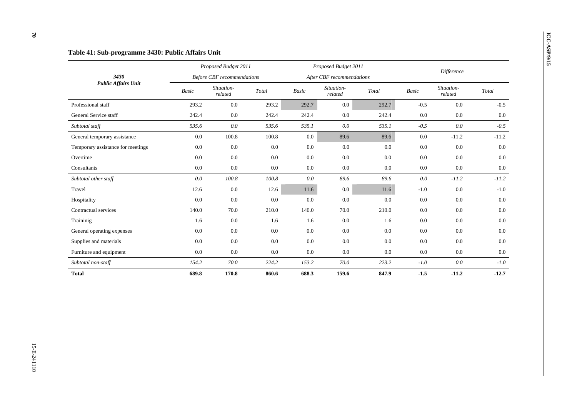|                                   |              | Proposed Budget 2011              |       |              | Proposed Budget 2011      |         |              |                       |         |  |
|-----------------------------------|--------------|-----------------------------------|-------|--------------|---------------------------|---------|--------------|-----------------------|---------|--|
| 3430                              |              | <b>Before CBF</b> recommendations |       |              | After CBF recommendations |         | Difference   |                       |         |  |
| <b>Public Affairs Unit</b>        | <b>Basic</b> | Situation-<br>related             | Total | <b>Basic</b> | Situation-<br>related     | Total   | <b>Basic</b> | Situation-<br>related | Total   |  |
| Professional staff                | 293.2        | 0.0                               | 293.2 | 292.7        | 0.0                       | 292.7   | $-0.5$       | 0.0                   | $-0.5$  |  |
| General Service staff             | 242.4        | 0.0                               | 242.4 | 242.4        | 0.0                       | 242.4   | 0.0          | 0.0                   | 0.0     |  |
| Subtotal staff                    | 535.6        | $0.0\,$                           | 535.6 | 535.1        | 0.0                       | 535.1   | $-0.5$       | $0.0\,$               | $-0.5$  |  |
| General temporary assistance      | 0.0          | 100.8                             | 100.8 | 0.0          | 89.6                      | 89.6    | 0.0          | $-11.2$               | $-11.2$ |  |
| Temporary assistance for meetings | 0.0          | 0.0                               | 0.0   | 0.0          | $0.0\,$                   | $0.0\,$ | 0.0          | 0.0                   | 0.0     |  |
| Overtime                          | 0.0          | 0.0                               | 0.0   | 0.0          | 0.0                       | 0.0     | 0.0          | 0.0                   | 0.0     |  |
| Consultants                       | 0.0          | 0.0                               | 0.0   | 0.0          | 0.0                       | 0.0     | 0.0          | 0.0                   | 0.0     |  |
| Subtotal other staff              | 0.0          | 100.8                             | 100.8 | 0.0          | 89.6                      | 89.6    | 0.0          | $-11.2$               | $-11.2$ |  |
| Travel                            | 12.6         | 0.0                               | 12.6  | 11.6         | 0.0                       | 11.6    | $-1.0$       | 0.0                   | $-1.0$  |  |
| Hospitality                       | 0.0          | 0.0                               | 0.0   | 0.0          | 0.0                       | 0.0     | 0.0          | 0.0                   | 0.0     |  |
| Contractual services              | 140.0        | 70.0                              | 210.0 | 140.0        | 70.0                      | 210.0   | 0.0          | 0.0                   | 0.0     |  |
| Traininig                         | 1.6          | 0.0                               | 1.6   | 1.6          | 0.0                       | 1.6     | 0.0          | 0.0                   | $0.0\,$ |  |
| General operating expenses        | 0.0          | 0.0                               | 0.0   | 0.0          | 0.0                       | 0.0     | 0.0          | 0.0                   | 0.0     |  |
| Supplies and materials            | 0.0          | 0.0                               | 0.0   | 0.0          | 0.0                       | 0.0     | 0.0          | 0.0                   | 0.0     |  |
| Furniture and equipment           | 0.0          | 0.0                               | 0.0   | 0.0          | 0.0                       | 0.0     | 0.0          | 0.0                   | 0.0     |  |
| Subtotal non-staff                | 154.2        | 70.0                              | 224.2 | 153.2        | 70.0                      | 223.2   | $-1.0$       | 0.0                   | $-1.0$  |  |
| <b>Total</b>                      | 689.8        | 170.8                             | 860.6 | 688.3        | 159.6                     | 847.9   | $-1.5$       | $-11.2$               | $-12.7$ |  |

 $\omega$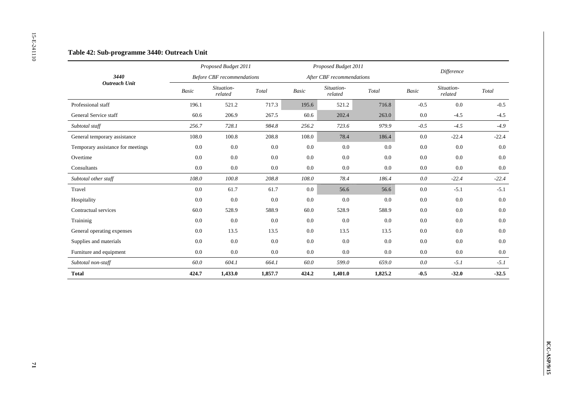|                                   |                          | Proposed Budget 2011              |                        |                          | Proposed Budget 2011      |                                             | Difference  |                       |                        |
|-----------------------------------|--------------------------|-----------------------------------|------------------------|--------------------------|---------------------------|---------------------------------------------|-------------|-----------------------|------------------------|
| 3440<br><b>Outreach Unit</b>      |                          | <b>Before CBF</b> recommendations |                        |                          | After CBF recommendations |                                             |             |                       |                        |
|                                   | $\label{eq:basic} Basic$ | Situation-<br>related             | $\operatorname{Total}$ | $\label{eq:basic} Basic$ | Situation-<br>related     | $\operatorname{\mathcal{T}\!\mathit{otal}}$ | $\it Basic$ | Situation-<br>related | $\operatorname{Total}$ |
| Professional staff                | 196.1                    | 521.2                             | 717.3                  | 195.6                    | 521.2                     | 716.8                                       | $-0.5$      | $0.0\,$               | $-0.5$                 |
| General Service staff             | 60.6                     | 206.9                             | 267.5                  | 60.6                     | 202.4                     | 263.0                                       | 0.0         | $-4.5$                | $-4.5$                 |
| Subtotal staff                    | 256.7                    | 728.1                             | 984.8                  | 256.2                    | 723.6                     | 979.9                                       | $-0.5$      | $-4.5$                | $-4.9$                 |
| General temporary assistance      | 108.0                    | 100.8                             | 208.8                  | 108.0                    | 78.4                      | 186.4                                       | $0.0\,$     | $-22.4$               | $-22.4$                |
| Temporary assistance for meetings | $0.0\,$                  | $0.0\,$                           | $0.0\,$                | $0.0\,$                  | 0.0                       | $0.0\,$                                     | 0.0         | $0.0\,$               | $0.0\,$                |
| Overtime                          | 0.0                      | $0.0\,$                           | $0.0\,$                | 0.0                      | 0.0                       | $0.0\,$                                     | 0.0         | 0.0                   | 0.0                    |
| Consultants                       | $0.0\,$                  | 0.0                               | $0.0\,$                | $0.0\,$                  | 0.0                       | $0.0\,$                                     | $0.0\,$     | $0.0\,$               | $0.0\,$                |
| Subtotal other staff              | $108.0\,$                | $100.8\,$                         | $208.8\,$              | $108.0\,$                | 78.4                      | 186.4                                       | $0.0\,$     | $-22.4$               | $-22.4$                |
| Travel                            | $0.0\,$                  | 61.7                              | 61.7                   | $0.0\,$                  | 56.6                      | 56.6                                        | $0.0\,$     | $-5.1$                | $-5.1$                 |
| Hospitality                       | 0.0                      | 0.0                               | 0.0                    | 0.0                      | $0.0\,$                   | 0.0                                         | 0.0         | 0.0                   | 0.0                    |
| Contractual services              | 60.0                     | 528.9                             | 588.9                  | 60.0                     | 528.9                     | 588.9                                       | 0.0         | 0.0                   | $0.0\,$                |
| Traininig                         | $0.0\,$                  | $0.0\,$                           | $0.0\,$                | $0.0\,$                  | $0.0\,$                   | $0.0\,$                                     | $0.0\,$     | $0.0\,$               | $0.0\,$                |
| General operating expenses        | $0.0\,$                  | 13.5                              | 13.5                   | $0.0\,$                  | 13.5                      | 13.5                                        | $0.0\,$     | $0.0\,$               | $0.0\,$                |
| Supplies and materials            | $0.0\,$                  | $0.0\,$                           | $0.0\,$                | $0.0\,$                  | $0.0\,$                   | $0.0\,$                                     | 0.0         | $0.0\,$               | $0.0\,$                |
| Furniture and equipment           | 0.0                      | $0.0\,$                           | $0.0\,$                | $0.0\,$                  | $0.0\,$                   | $0.0\,$                                     | $0.0\,$     | $0.0\,$               | 0.0                    |
| Subtotal non-staff                | $60.0\,$                 | 604.1                             | 664.1                  | $60.0\,$                 | 599.0                     | 659.0                                       | $0.0\,$     | $-5.1$                | $-5.1$                 |
| <b>Total</b>                      | 424.7                    | 1,433.0                           | 1,857.7                | 424.2                    | 1,401.0                   | 1,825.2                                     | $-0.5$      | $-32.0$               | $-32.5$                |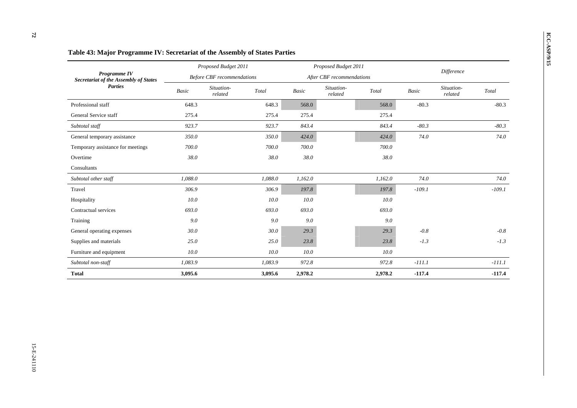|                                                       |              | Proposed Budget 2011              |         |         | Proposed Budget 2011      |         | <b>Difference</b> |                       |          |  |
|-------------------------------------------------------|--------------|-----------------------------------|---------|---------|---------------------------|---------|-------------------|-----------------------|----------|--|
| Programme IV<br>Secretariat of the Assembly of States |              | <b>Before CBF</b> recommendations |         |         | After CBF recommendations |         |                   |                       |          |  |
| <b>Parties</b>                                        | <b>Basic</b> | Situation-<br>related             | Total   | Basic   | Situation-<br>related     | Total   | <b>Basic</b>      | Situation-<br>related | Total    |  |
| Professional staff                                    | 648.3        |                                   | 648.3   | 568.0   |                           | 568.0   | $-80.3$           |                       | $-80.3$  |  |
| General Service staff                                 | 275.4        |                                   | 275.4   | 275.4   |                           | 275.4   |                   |                       |          |  |
| Subtotal staff                                        | 923.7        |                                   | 923.7   | 843.4   |                           | 843.4   | $-80.3$           |                       | $-80.3$  |  |
| General temporary assistance                          | 350.0        |                                   | 350.0   | 424.0   |                           | 424.0   | 74.0              |                       | 74.0     |  |
| Temporary assistance for meetings                     | 700.0        |                                   | 700.0   | 700.0   |                           | 700.0   |                   |                       |          |  |
| Overtime                                              | 38.0         |                                   | 38.0    | 38.0    |                           | 38.0    |                   |                       |          |  |
| Consultants                                           |              |                                   |         |         |                           |         |                   |                       |          |  |
| Subtotal other staff                                  | 1,088.0      |                                   | 1,088.0 | 1,162.0 |                           | 1,162.0 | 74.0              |                       | 74.0     |  |
| Travel                                                | 306.9        |                                   | 306.9   | 197.8   |                           | 197.8   | $-109.1$          |                       | $-109.1$ |  |
| Hospitality                                           | 10.0         |                                   | 10.0    | 10.0    |                           | 10.0    |                   |                       |          |  |
| Contractual services                                  | 693.0        |                                   | 693.0   | 693.0   |                           | 693.0   |                   |                       |          |  |
| Training                                              | 9.0          |                                   | 9.0     | 9.0     |                           | 9.0     |                   |                       |          |  |
| General operating expenses                            | 30.0         |                                   | 30.0    | 29.3    |                           | 29.3    | $-0.8$            |                       | $-0.8$   |  |
| Supplies and materials                                | 25.0         |                                   | 25.0    | 23.8    |                           | 23.8    | $-1.3$            |                       | $-1.3$   |  |
| Furniture and equipment                               | 10.0         |                                   | 10.0    | 10.0    |                           | 10.0    |                   |                       |          |  |
| Subtotal non-staff                                    | 1,083.9      |                                   | 1,083.9 | 972.8   |                           | 972.8   | $-111.1$          |                       | $-111.1$ |  |
| <b>Total</b>                                          | 3,095.6      |                                   | 3,095.6 | 2,978.2 |                           | 2,978.2 | $-117.4$          |                       | $-117.4$ |  |

## **ICC-ASP-43:** Major Programme IV: Secretariat of the Assembly of States Parties *Proposed Budget 2011 Proposed Budget 2011 Proposed Budget 2011 Proposed Budget 2011 Proposed Budget 2011*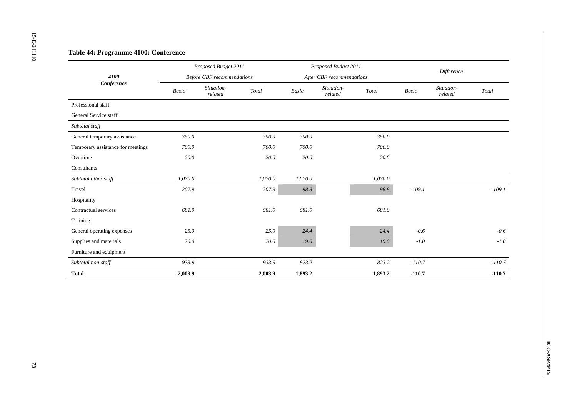| 4100                              |                          | Proposed Budget 2011              |                                             |                          | Proposed Budget 2011      |                                             | Difference |                         |            |
|-----------------------------------|--------------------------|-----------------------------------|---------------------------------------------|--------------------------|---------------------------|---------------------------------------------|------------|-------------------------|------------|
|                                   |                          | <b>Before CBF</b> recommendations |                                             |                          | After CBF recommendations |                                             |            |                         |            |
| Conference                        | $\label{eq:basic} Basic$ | Situation-<br>related             | $\operatorname{\mathcal{T}\!\mathit{otal}}$ | $\label{eq:basic} Basic$ | Situation-<br>$related$   | $\operatorname{\mathcal{T}\!\mathit{otal}}$ | Basic      | Situation-<br>$related$ | Total      |
| Professional staff                |                          |                                   |                                             |                          |                           |                                             |            |                         |            |
| General Service staff             |                          |                                   |                                             |                          |                           |                                             |            |                         |            |
| Subtotal staff                    |                          |                                   |                                             |                          |                           |                                             |            |                         |            |
| General temporary assistance      | $350.0\,$                |                                   | 350.0                                       | 350.0                    |                           | 350.0                                       |            |                         |            |
| Temporary assistance for meetings | $700.0\,$                |                                   | $700.0\,$                                   | 700.0                    |                           | $700.0\,$                                   |            |                         |            |
| Overtime                          | 20.0                     |                                   | 20.0                                        | 20.0                     |                           | 20.0                                        |            |                         |            |
| ${\bf Consultants}$               |                          |                                   |                                             |                          |                           |                                             |            |                         |            |
| Subtotal other staff              | 1,070.0                  |                                   | 1,070.0                                     | 1,070.0                  |                           | 1,070.0                                     |            |                         |            |
| Travel                            | 207.9                    |                                   | 207.9                                       | 98.8                     |                           | 98.8                                        | $-109.1$   |                         | $-109.1$   |
| Hospitality                       |                          |                                   |                                             |                          |                           |                                             |            |                         |            |
| Contractual services              | 681.0                    |                                   | 681.0                                       | 681.0                    |                           | 681.0                                       |            |                         |            |
| Training                          |                          |                                   |                                             |                          |                           |                                             |            |                         |            |
| General operating expenses        | 25.0                     |                                   | 25.0                                        | 24.4                     |                           | 24.4                                        | $-0.6$     |                         | $-0.6$     |
| Supplies and materials            | $20.0\,$                 |                                   | $20.0\,$                                    | $19.0\,$                 |                           | $19.0\,$                                    | $-1.0\,$   |                         | $-1.0\,$   |
| Furniture and equipment           |                          |                                   |                                             |                          |                           |                                             |            |                         |            |
| Subtotal non-staff                | 933.9                    |                                   | 933.9                                       | 823.2                    |                           | 823.2                                       | $-110.7$   |                         | $-110.7\,$ |
| <b>Total</b>                      | 2,003.9                  |                                   | 2,003.9                                     | 1,893.2                  |                           | 1,893.2                                     | $-110.7$   |                         | $-110.7$   |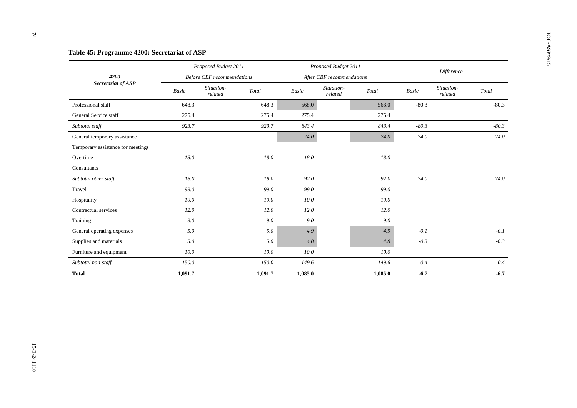# **ICC-ASP Table 45: Programme 4200: Secretariat of ASP** *Proposed Budget 2011 Proposed Budget 2011 Proposed Budget 2011 Proposed Budget 2011 Proposed Budget 2011 Before CBF recommendations After CBF recommendations Difference 4200 Secretariat of ASP Basic Situation- related Total Basic Situation- related Total Basic Situation- related Total*  Professional staff 648.3 648.3 568.0 568.0 -80.3 -80.3  $-80.3$ General Service staff 275.4 275.4 275.4 275.4 275.4 275.4 *Subtotal staff 923.7 923.7 843.4 843.4 -80.3 -80.3*  General temporary assistance *74.0 74.0 74.0 74.0 74.0 74.0 74.0 74.0 74.0 74.0 74.0 74.0* Temporary assistance for meetings Overtime *18.0 18.0 18.0 18.0* Consultants *Subtotal other staff 18.0 18.0 92.0 92.0 74.0 74.0*  Travel *99.0 99.0 99.0 99.0* 99.0 Hospitality *10.0 10.0 10.0 10.0*  Contractual services *12.0 12.0 12.0 12.0*  $12.0$ Training *9.0 9.0 9.0 9.0*  General operating expenses *5.0 5.0 4.9 4.9 -0.1 -0.1*  Supplies and materials *5.0 5.0 4.8 4.8 -0.3 -0.3*  Furniture and equipment *10.0 10.0 10.0 10.0 10.0 10.0 10.0 Subtotal non-staff 150.0 150.0 149.6 149.6 -0.4 -0.4*  **Total 1,091.7 1,091.7 1,085.0 1,085.0 -6.7 -6.7**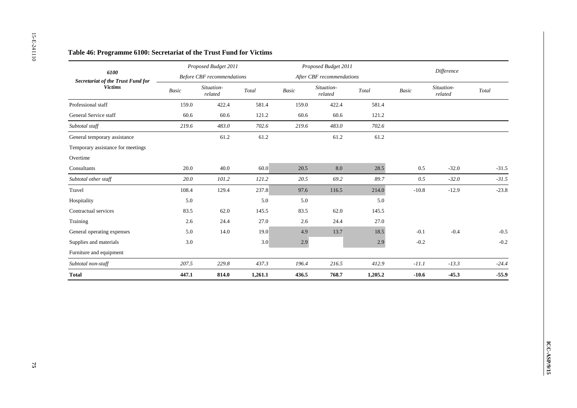|                                                  |             | Proposed Budget 2011              |                                             |         | Proposed Budget 2011      |                        |            |                         |         |  |
|--------------------------------------------------|-------------|-----------------------------------|---------------------------------------------|---------|---------------------------|------------------------|------------|-------------------------|---------|--|
| 6100<br><b>Secretariat of the Trust Fund for</b> |             | <b>Before CBF</b> recommendations |                                             |         | After CBF recommendations |                        | Difference |                         |         |  |
| <b>Victims</b>                                   | $\it Basic$ | Situation-<br>$related$           | $\operatorname{\mathcal{T}\!\mathit{otal}}$ | Basic   | Situation-<br>related     | $\operatorname{Total}$ | Basic      | Situation-<br>$related$ | Total   |  |
| Professional staff                               | 159.0       | 422.4                             | 581.4                                       | 159.0   | 422.4                     | 581.4                  |            |                         |         |  |
| General Service staff                            | 60.6        | 60.6                              | 121.2                                       | 60.6    | 60.6                      | 121.2                  |            |                         |         |  |
| Subtotal staff                                   | 219.6       | 483.0                             | 702.6                                       | 219.6   | 483.0                     | 702.6                  |            |                         |         |  |
| General temporary assistance                     |             | 61.2                              | 61.2                                        |         | 61.2                      | 61.2                   |            |                         |         |  |
| Temporary assistance for meetings                |             |                                   |                                             |         |                           |                        |            |                         |         |  |
| Overtime                                         |             |                                   |                                             |         |                           |                        |            |                         |         |  |
| Consultants                                      | 20.0        | 40.0                              | 60.0                                        | 20.5    | $8.0\,$                   | 28.5                   | $0.5\,$    | $-32.0$                 | $-31.5$ |  |
| Subtotal other staff                             | $20.0\,$    | 101.2                             | 121.2                                       | 20.5    | 69.2                      | 89.7                   | 0.5        | $-32.0$                 | $-31.5$ |  |
| Travel                                           | 108.4       | 129.4                             | 237.8                                       | 97.6    | 116.5                     | 214.0                  | $-10.8$    | $-12.9$                 | $-23.8$ |  |
| Hospitality                                      | 5.0         |                                   | 5.0                                         | 5.0     |                           | 5.0                    |            |                         |         |  |
| Contractual services                             | 83.5        | 62.0                              | 145.5                                       | 83.5    | 62.0                      | 145.5                  |            |                         |         |  |
| Training                                         | $2.6\,$     | 24.4                              | 27.0                                        | $2.6\,$ | 24.4                      | 27.0                   |            |                         |         |  |
| General operating expenses                       | 5.0         | 14.0                              | 19.0                                        | 4.9     | 13.7                      | 18.5                   | $-0.1$     | $-0.4$                  | $-0.5$  |  |
| Supplies and materials                           | 3.0         |                                   | 3.0                                         | $2.9\,$ |                           | 2.9                    | $-0.2$     |                         | $-0.2$  |  |
| Furniture and equipment                          |             |                                   |                                             |         |                           |                        |            |                         |         |  |
| Subtotal non-staff                               | 207.5       | 229.8                             | 437.3                                       | 196.4   | 216.5                     | 412.9                  | $-11.1$    | $-13.3$                 | $-24.4$ |  |
| <b>Total</b>                                     | 447.1       | 814.0                             | 1,261.1                                     | 436.5   | 768.7                     | 1,205.2                | $-10.6$    | $-45.3$                 | $-55.9$ |  |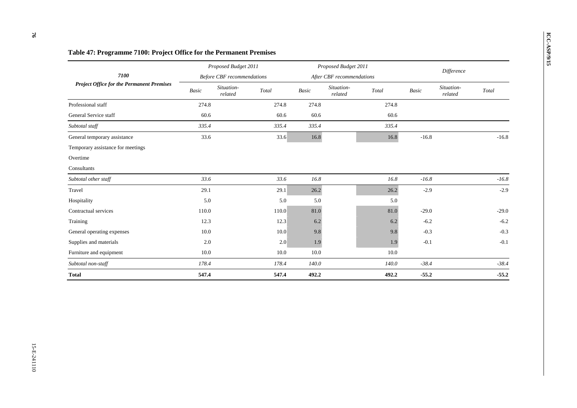|                                                  | Proposed Budget 2011 |                                   |       |       | Proposed Budget 2011      |       |            |                       |         |
|--------------------------------------------------|----------------------|-----------------------------------|-------|-------|---------------------------|-------|------------|-----------------------|---------|
| 7100                                             |                      | <b>Before CBF</b> recommendations |       |       | After CBF recommendations |       | Difference |                       |         |
| <b>Project Office for the Permanent Premises</b> | Basic                | Situation-<br>related             | Total | Basic | Situation-<br>related     | Total | Basic      | Situation-<br>related | Total   |
| Professional staff                               | 274.8                |                                   | 274.8 | 274.8 |                           | 274.8 |            |                       |         |
| General Service staff                            | 60.6                 |                                   | 60.6  | 60.6  |                           | 60.6  |            |                       |         |
| Subtotal staff                                   | 335.4                |                                   | 335.4 | 335.4 |                           | 335.4 |            |                       |         |
| General temporary assistance                     | 33.6                 |                                   | 33.6  | 16.8  |                           | 16.8  | $-16.8$    |                       | $-16.8$ |
| Temporary assistance for meetings                |                      |                                   |       |       |                           |       |            |                       |         |
| Overtime                                         |                      |                                   |       |       |                           |       |            |                       |         |
| Consultants                                      |                      |                                   |       |       |                           |       |            |                       |         |
| Subtotal other staff                             | 33.6                 |                                   | 33.6  | 16.8  |                           | 16.8  | $-16.8$    |                       | $-16.8$ |
| Travel                                           | 29.1                 |                                   | 29.1  | 26.2  |                           | 26.2  | $-2.9$     |                       | $-2.9$  |
| Hospitality                                      | 5.0                  |                                   | 5.0   | 5.0   |                           | 5.0   |            |                       |         |
| Contractual services                             | 110.0                |                                   | 110.0 | 81.0  |                           | 81.0  | $-29.0$    |                       | $-29.0$ |
| Training                                         | 12.3                 |                                   | 12.3  | 6.2   |                           | 6.2   | $-6.2$     |                       | $-6.2$  |
| General operating expenses                       | 10.0                 |                                   | 10.0  | 9.8   |                           | 9.8   | $-0.3$     |                       | $-0.3$  |
| Supplies and materials                           | 2.0                  |                                   | 2.0   | 1.9   |                           | 1.9   | $-0.1$     |                       | $-0.1$  |
| Furniture and equipment                          | 10.0                 |                                   | 10.0  | 10.0  |                           | 10.0  |            |                       |         |
| Subtotal non-staff                               | 178.4                |                                   | 178.4 | 140.0 |                           | 140.0 | $-38.4$    |                       | $-38.4$ |
| <b>Total</b>                                     | 547.4                |                                   | 547.4 | 492.2 |                           | 492.2 | $-55.2$    |                       | $-55.2$ |